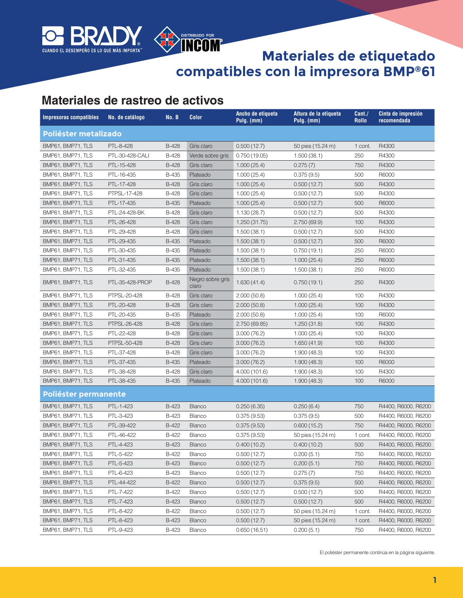

### DISTRIBUIDO POR **Materiales de etiquetado compatibles con la impresora BMP®61**

#### **Materiales de rastreo de activos**

| <b>Impresoras compatibles</b> | No. de catálogo | No. B        | <b>Color</b>              | Ancho de etiqueta<br>Pulg. (mm) | Altura de la etiqueta<br>Pulg. (mm) | Cant./<br><b>Rollo</b> | Cinta de impresión<br>recomendada |
|-------------------------------|-----------------|--------------|---------------------------|---------------------------------|-------------------------------------|------------------------|-----------------------------------|
| Poliéster metalizado          |                 |              |                           |                                 |                                     |                        |                                   |
| BMP61, BMP71, TLS             | PTL-8-428       | <b>B-428</b> | Gris claro                | 0.500(12.7)                     | 50 pies (15.24 m)                   | 1 cont.                | R4300                             |
| BMP61, BMP71, TLS             | PTL-30-428-CALI | <b>B-428</b> | Verde sobre gris          | 0.750(19.05)                    | 1.500(38.1)                         | 250                    | R4300                             |
| BMP61, BMP71, TLS             | PTL-15-428      | <b>B-428</b> | Gris claro                | 1.000(25.4)                     | 0.275(7)                            | 750                    | R4300                             |
| BMP61, BMP71, TLS             | PTL-16-435      | <b>B-435</b> | Plateado                  | 1.000(25.4)                     | 0.375(9.5)                          | 500                    | R6000                             |
| BMP61, BMP71, TLS             | PTL-17-428      | B-428        | Gris claro                | 1.000(25.4)                     | 0.500(12.7)                         | 500                    | R4300                             |
| BMP61, BMP71, TLS             | PTPSL-17-428    | B-428        | Gris claro                | 1.000(25.4)                     | 0.500(12.7)                         | 500                    | R4300                             |
| BMP61, BMP71, TLS             | PTL-17-435      | <b>B-435</b> | Plateado                  | 1.000(25.4)                     | 0.500(12.7)                         | 500                    | R6000                             |
| BMP61, BMP71, TLS             | PTL-24-428-BK   | <b>B-428</b> | Gris claro                | 1.130(28.7)                     | 0.500(12.7)                         | 500                    | R4300                             |
| BMP61, BMP71, TLS             | PTL-26-428      | <b>B-428</b> | Gris claro                | 1.250 (31.75)                   | 2.750(69.9)                         | 100                    | R4300                             |
| BMP61, BMP71, TLS             | PTL-29-428      | <b>B-428</b> | Gris claro                | 1.500(38.1)                     | 0.500(12.7)                         | 500                    | R4300                             |
| BMP61, BMP71, TLS             | PTL-29-435      | <b>B-435</b> | Plateado                  | 1.500(38.1)                     | 0.500(12.7)                         | 500                    | R6000                             |
| BMP61, BMP71, TLS             | PTL-30-435      | <b>B-435</b> | Plateado                  | 1.500(38.1)                     | 0.750(19.1)                         | 250                    | R6000                             |
| BMP61, BMP71, TLS             | PTL-31-435      | <b>B-435</b> | Plateado                  | 1.500(38.1)                     | 1.000(25.4)                         | 250                    | R6000                             |
| BMP61, BMP71, TLS             | PTL-32-435      | <b>B-435</b> | Plateado                  | 1.500(38.1)                     | 1.500(38.1)                         | 250                    | R6000                             |
| BMP61, BMP71, TLS             | PTL-35-428-PROP | <b>B-428</b> | Negro sobre gris<br>claro | 1.630(41.4)                     | 0.750(19.1)                         | 250                    | R4300                             |
| BMP61, BMP71, TLS             | PTPSL-20-428    | <b>B-428</b> | Gris claro                | 2.000(50.8)                     | 1.000(25.4)                         | 100                    | R4300                             |
| BMP61, BMP71, TLS             | PTL-20-428      | <b>B-428</b> | Gris claro                | 2.000(50.8)                     | 1.000(25.4)                         | 100                    | R4300                             |
| BMP61, BMP71, TLS             | PTL-20-435      | <b>B-435</b> | Plateado                  | 2.000(50.8)                     | 1.000(25.4)                         | 100                    | R6000                             |
| BMP61, BMP71, TLS             | PTPSL-26-428    | <b>B-428</b> | Gris claro                | 2.750 (69.85)                   | 1.250(31.8)                         | 100                    | R4300                             |
| BMP61, BMP71, TLS             | PTL-22-428      | <b>B-428</b> | Gris claro                | 3.000(76.2)                     | 1.000(25.4)                         | 100                    | R4300                             |
| BMP61, BMP71, TLS             | PTPSL-50-428    | <b>B-428</b> | Gris claro                | 3.000(76.2)                     | 1.650(41.9)                         | 100                    | R4300                             |
| BMP61, BMP71, TLS             | PTL-37-428      | <b>B-428</b> | Gris claro                | 3.000(76.2)                     | 1.900(48.3)                         | 100                    | R4300                             |
| BMP61, BMP71, TLS             | PTL-37-435      | <b>B-435</b> | Plateado                  | 3.000(76.2)                     | 1.900(48.3)                         | 100                    | R6000                             |
| BMP61, BMP71, TLS             | PTL-38-428      | B-428        | Gris claro                | 4.000 (101.6)                   | 1.900(48.3)                         | 100                    | R4300                             |
| BMP61, BMP71, TLS             | PTL-38-435      | <b>B-435</b> | Plateado                  | 4.000 (101.6)                   | 1.900(48.3)                         | 100                    | R6000                             |
| Poliéster permanente          |                 |              |                           |                                 |                                     |                        |                                   |
| BMP61, BMP71, TLS             | PTL-1-423       | B-423        | <b>Blanco</b>             | 0.250(6.35)                     | 0.250(6.4)                          | 750                    | R4400, R6000, R6200               |
| BMP61, BMP71, TLS             | PTL-3-423       | <b>B-423</b> | Blanco                    | 0.375(9.53)                     | 0.375(9.5)                          | 500                    | R4400, R6000, R6200               |
| BMP61, BMP71, TLS             | PTL-39-422      | B-422        | <b>Blanco</b>             | 0.375(9.53)                     | 0.600(15.2)                         | 750                    | R4400, R6000, R6200               |
| BMP61, BMP71, TLS             | PTL-46-422      | B-422        | Blanco                    | 0.375(9.53)                     | 50 pies (15.24 m)                   | 1 cont.                | R4400, R6000, R6200               |
| BMP61, BMP71, TLS             | PTL-4-423       | B-423        | Blanco                    | 0.400(10.2)                     | 0.400(10.2)                         | 500                    | R4400, R6000, R6200               |
| BMP61, BMP71, TLS             | PTL-5-422       | <b>B-422</b> | Blanco                    | 0.500(12.7)                     | 0.200(5.1)                          | 750                    | R4400, R6000, R6200               |
| BMP61, BMP71, TLS             | PTL-5-423       | <b>B-423</b> | Blanco                    | 0.500(12.7)                     | 0.200(5.1)                          | 750                    | R4400, R6000, R6200               |
| BMP61, BMP71, TLS             | PTL-6-423       | B-423        | Blanco                    | 0.500(12.7)                     | 0.275(7)                            | 750                    | R4400, R6000, R6200               |
| BMP61, BMP71, TLS             | PTL-44-422      | <b>B-422</b> | Blanco                    | 0.500(12.7)                     | 0.375(9.5)                          | 500                    | R4400, R6000, R6200               |
| BMP61, BMP71, TLS             | PTL-7-422       | B-422        | <b>Blanco</b>             | 0.500(12.7)                     | 0.500(12.7)                         | 500                    | R4400, R6000, R6200               |
| BMP61, BMP71, TLS             | PTL-7-423       | <b>B-423</b> | Blanco                    | 0.500(12.7)                     | 0.500(12.7)                         | 500                    | R4400, R6000, R6200               |
| BMP61, BMP71, TLS             | PTL-8-422       | B-422        | <b>Blanco</b>             | 0.500(12.7)                     | 50 pies (15.24 m)                   | 1 cont.                | R4400, R6000, R6200               |
| BMP61, BMP71, TLS             | PTL-8-423       | B-423        | <b>Blanco</b>             | 0.500(12.7)                     | 50 pies (15.24 m)                   | 1 cont.                | R4400, R6000, R6200               |
| BMP61, BMP71, TLS             | PTL-9-423       | <b>B-423</b> | Blanco                    | 0.650(16.51)                    | 0.200(5.1)                          | 750                    | R4400, R6000, R6200               |

El poliéster permanente continúa en la página siguiente.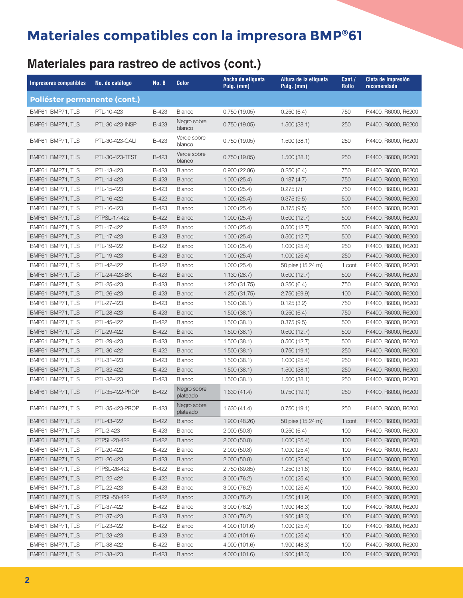### **Materiales para rastreo de activos (cont.)**

| <b>Impresoras compatibles</b> | No. de catálogo | No. B        | <b>Color</b>            | Ancho de etiqueta<br>Pulg. (mm) | Altura de la etiqueta<br>Pulg. (mm) | Cant./<br><b>Rollo</b> | Cinta de impresión<br>recomendada |
|-------------------------------|-----------------|--------------|-------------------------|---------------------------------|-------------------------------------|------------------------|-----------------------------------|
| Poliéster permanente (cont.)  |                 |              |                         |                                 |                                     |                        |                                   |
| BMP61, BMP71, TLS             | PTL-10-423      | B-423        | <b>Blanco</b>           | 0.750(19.05)                    | 0.250(6.4)                          | 750                    | R4400, R6000, R6200               |
| BMP61, BMP71, TLS             | PTL-30-423-INSP | <b>B-423</b> | Negro sobre<br>blanco   | 0.750(19.05)                    | 1.500(38.1)                         | 250                    | R4400, R6000, R6200               |
| BMP61, BMP71, TLS             | PTL-30-423-CALI | B-423        | Verde sobre<br>blanco   | 0.750(19.05)                    | 1.500(38.1)                         | 250                    | R4400, R6000, R6200               |
| BMP61, BMP71, TLS             | PTL-30-423-TEST | <b>B-423</b> | Verde sobre<br>blanco   | 0.750(19.05)                    | 1.500(38.1)                         | 250                    | R4400, R6000, R6200               |
| BMP61, BMP71, TLS             | PTL-13-423      | <b>B-423</b> | <b>Blanco</b>           | 0.900(22.86)                    | 0.250(6.4)                          | 750                    | R4400, R6000, R6200               |
| BMP61, BMP71, TLS             | PTL-14-423      | <b>B-423</b> | <b>Blanco</b>           | 1.000(25.4)                     | 0.187(4.7)                          | 750                    | R4400, R6000, R6200               |
| BMP61, BMP71, TLS             | PTL-15-423      | B-423        | Blanco                  | 1.000(25.4)                     | 0.275(7)                            | 750                    | R4400, R6000, R6200               |
| BMP61, BMP71, TLS             | PTL-16-422      | B-422        | <b>Blanco</b>           | 1.000(25.4)                     | 0.375(9.5)                          | 500                    | R4400, R6000, R6200               |
| BMP61, BMP71, TLS             | PTL-16-423      | B-423        | <b>Blanco</b>           | 1.000(25.4)                     | 0.375(9.5)                          | 500                    | R4400, R6000, R6200               |
| BMP61, BMP71, TLS             | PTPSL-17-422    | B-422        | <b>Blanco</b>           | 1.000(25.4)                     | 0.500(12.7)                         | 500                    | R4400, R6000, R6200               |
| BMP61, BMP71, TLS             | PTL-17-422      | B-422        | <b>Blanco</b>           | 1.000(25.4)                     | 0.500(12.7)                         | 500                    | R4400, R6000, R6200               |
| BMP61, BMP71, TLS             | PTL-17-423      | <b>B-423</b> | <b>Blanco</b>           | 1.000(25.4)                     | 0.500(12.7)                         | 500                    | R4400, R6000, R6200               |
| BMP61, BMP71, TLS             | PTL-19-422      | B-422        | <b>Blanco</b>           | 1.000(25.4)                     | 1.000(25.4)                         | 250                    | R4400, R6000, R6200               |
| BMP61, BMP71, TLS             | PTL-19-423      | <b>B-423</b> | <b>Blanco</b>           | 1.000(25.4)                     | 1.000(25.4)                         | 250                    | R4400, R6000, R6200               |
| BMP61, BMP71, TLS             | PTL-42-422      | B-422        | <b>Blanco</b>           | 1.000(25.4)                     | 50 pies (15.24 m)                   | 1 cont.                | R4400, R6000, R6200               |
| BMP61, BMP71, TLS             | PTL-24-423-BK   | <b>B-423</b> | Blanco                  | 1.130(28.7)                     | 0.500(12.7)                         | 500                    | R4400, R6000, R6200               |
| BMP61, BMP71, TLS             | PTL-25-423      | B-423        | Blanco                  | 1.250 (31.75)                   | 0.250(6.4)                          | 750                    | R4400, R6000, R6200               |
| BMP61, BMP71, TLS             | PTL-26-423      | <b>B-423</b> | <b>Blanco</b>           | 1.250 (31.75)                   | 2.750(69.9)                         | 100                    | R4400, R6000, R6200               |
| BMP61, BMP71, TLS             | PTL-27-423      | B-423        | Blanco                  | 1.500(38.1)                     | 0.125(3.2)                          | 750                    | R4400, R6000, R6200               |
| BMP61, BMP71, TLS             | PTL-28-423      | B-423        | <b>Blanco</b>           | 1.500(38.1)                     | 0.250(6.4)                          | 750                    | R4400, R6000, R6200               |
| BMP61, BMP71, TLS             | PTL-45-422      | B-422        | <b>Blanco</b>           | 1.500(38.1)                     | 0.375(9.5)                          | 500                    | R4400, R6000, R6200               |
| BMP61, BMP71, TLS             | PTL-29-422      | B-422        | <b>Blanco</b>           | 1.500(38.1)                     | 0.500(12.7)                         | 500                    | R4400, R6000, R6200               |
| BMP61, BMP71, TLS             | PTL-29-423      | B-423        | <b>Blanco</b>           | 1.500(38.1)                     | 0.500(12.7)                         | 500                    | R4400, R6000, R6200               |
| BMP61, BMP71, TLS             | PTL-30-422      | B-422        | <b>Blanco</b>           | 1.500(38.1)                     | 0.750(19.1)                         | 250                    | R4400, R6000, R6200               |
| BMP61, BMP71, TLS             | PTL-31-423      | B-423        | <b>Blanco</b>           | 1.500(38.1)                     | 1.000(25.4)                         | 250                    | R4400, R6000, R6200               |
| BMP61, BMP71, TLS             | PTL-32-422      | B-422        | <b>Blanco</b>           | 1.500(38.1)                     | 1.500(38.1)                         | 250                    | R4400, R6000, R6200               |
| BMP61, BMP71, TLS             | PTL-32-423      | B-423        | Blanco                  |                                 |                                     | 250                    | R4400, R6000, R6200               |
| BMP61, BMP71, TLS             | PTL-35-422-PROP | <b>B-422</b> | Negro sobre<br>plateado | 1.500(38.1)<br>1.630(41.4)      | 1.500(38.1)<br>0.750(19.1)          | 250                    | R4400, R6000, R6200               |
| BMP61, BMP71, TLS             | PTL-35-423-PROP | <b>B-423</b> | Negro sobre<br>plateado | 1.630(41.4)                     | 0.750(19.1)                         | 250                    | R4400, R6000, R6200               |
| BMP61, BMP71, TLS             | PTL-43-422      | B-422        | <b>Blanco</b>           | 1.900 (48.26)                   | 50 pies (15.24 m)                   | 1 cont.                | R4400, R6000, R6200               |
| BMP61, BMP71, TLS             | PTL-2-423       | B-423        | Blanco                  | 2.000(50.8)                     | 0.250(6.4)                          | 100                    | R4400, R6000, R6200               |
| BMP61, BMP71, TLS             | PTPSL-20-422    | B-422        | <b>Blanco</b>           | 2.000(50.8)                     | 1.000(25.4)                         | 100                    | R4400, R6000, R6200               |
| BMP61, BMP71, TLS             | PTL-20-422      | B-422        | <b>Blanco</b>           | 2.000(50.8)                     | 1.000(25.4)                         | 100                    | R4400, R6000, R6200               |
| BMP61, BMP71, TLS             | PTL-20-423      | B-423        | <b>Blanco</b>           | 2.000(50.8)                     | 1.000(25.4)                         | 100                    | R4400, R6000, R6200               |
| BMP61, BMP71, TLS             | PTPSL-26-422    | B-422        | <b>Blanco</b>           | 2.750 (69.85)                   | 1.250(31.8)                         | 100                    | R4400, R6000, R6200               |
| BMP61, BMP71, TLS             | PTL-22-422      | B-422        | <b>Blanco</b>           | 3.000(76.2)                     | 1.000(25.4)                         | 100                    | R4400, R6000, R6200               |
| BMP61, BMP71, TLS             | PTL-22-423      | B-423        | <b>Blanco</b>           | 3.000(76.2)                     | 1.000(25.4)                         | 100                    | R4400, R6000, R6200               |
| BMP61, BMP71, TLS             | PTPSL-50-422    | B-422        | <b>Blanco</b>           | 3.000(76.2)                     | 1.650(41.9)                         | 100                    | R4400, R6000, R6200               |
| BMP61, BMP71, TLS             | PTL-37-422      | B-422        | Blanco                  | 3.000(76.2)                     | 1.900(48.3)                         | 100                    | R4400, R6000, R6200               |
| BMP61, BMP71, TLS             | PTL-37-423      | B-423        | <b>Blanco</b>           | 3.000(76.2)                     | 1.900(48.3)                         | 100                    | R4400, R6000, R6200               |
| BMP61, BMP71, TLS             | PTL-23-422      | B-422        | <b>Blanco</b>           | 4.000 (101.6)                   | 1.000(25.4)                         | 100                    | R4400, R6000, R6200               |
| BMP61, BMP71, TLS             | PTL-23-423      | B-423        | <b>Blanco</b>           | 4.000 (101.6)                   | 1.000(25.4)                         | 100                    | R4400, R6000, R6200               |
| BMP61, BMP71, TLS             | PTL-38-422      | B-422        | <b>Blanco</b>           | 4.000 (101.6)                   | 1.900(48.3)                         | 100                    | R4400, R6000, R6200               |
| BMP61, BMP71, TLS             | PTL-38-423      | B-423        | <b>Blanco</b>           | 4.000 (101.6)                   | 1.900(48.3)                         | 100                    | R4400, R6000, R6200               |
|                               |                 |              |                         |                                 |                                     |                        |                                   |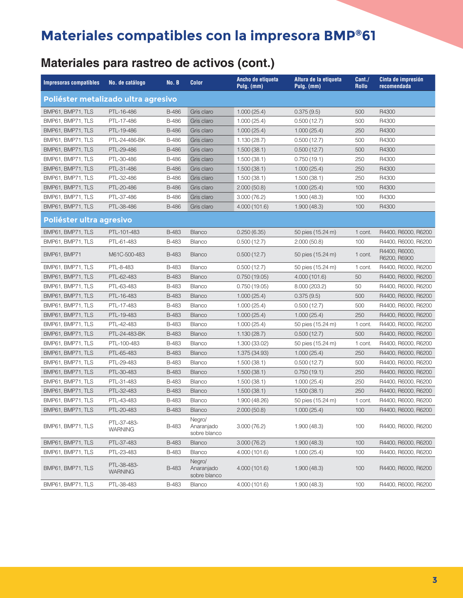### **Materiales para rastreo de activos (cont.)**

| <b>Impresoras compatibles</b>       | No. de catálogo               | No. B        | <b>Color</b>                         | Ancho de etiqueta<br>$Pulg.$ (mm) | Altura de la etiqueta<br>Pulg. (mm) | Cant./<br><b>Rollo</b> | Cinta de impresión<br>recomendada |
|-------------------------------------|-------------------------------|--------------|--------------------------------------|-----------------------------------|-------------------------------------|------------------------|-----------------------------------|
| Poliéster metalizado ultra agresivo |                               |              |                                      |                                   |                                     |                        |                                   |
| BMP61, BMP71, TLS                   | PTL-16-486                    | <b>B-486</b> | Gris claro                           | 1.000(25.4)                       | 0.375(9.5)                          | 500                    | R4300                             |
| BMP61, BMP71, TLS                   | PTL-17-486                    | B-486        | Gris claro                           | 1.000(25.4)                       | 0.500(12.7)                         | 500                    | R4300                             |
| BMP61, BMP71, TLS                   | PTL-19-486                    | B-486        | Gris claro                           | 1.000(25.4)                       | 1.000(25.4)                         | 250                    | R4300                             |
| BMP61, BMP71, TLS                   | PTL-24-486-BK                 | B-486        | Gris claro                           | 1.130(28.7)                       | 0.500(12.7)                         | 500                    | R4300                             |
| BMP61, BMP71, TLS                   | PTL-29-486                    | B-486        | Gris claro                           | 1.500(38.1)                       | 0.500(12.7)                         | 500                    | R4300                             |
| BMP61, BMP71, TLS                   | PTL-30-486                    | B-486        | Gris claro                           | 1.500(38.1)                       | 0.750(19.1)                         | 250                    | R4300                             |
| BMP61, BMP71, TLS                   | PTL-31-486                    | B-486        | Gris claro                           | 1.500(38.1)                       | 1.000(25.4)                         | 250                    | R4300                             |
| BMP61, BMP71, TLS                   | PTL-32-486                    | B-486        | Gris claro                           | 1.500(38.1)                       | 1.500(38.1)                         | 250                    | R4300                             |
| BMP61, BMP71, TLS                   | PTL-20-486                    | <b>B-486</b> | Gris claro                           | 2.000(50.8)                       | 1.000(25.4)                         | 100                    | R4300                             |
| BMP61, BMP71, TLS                   | PTL-37-486                    | B-486        | Gris claro                           | 3.000 (76.2)                      | 1.900(48.3)                         | 100                    | R4300                             |
| BMP61, BMP71, TLS                   | PTL-38-486                    | B-486        | Gris claro                           | 4.000 (101.6)                     | 1.900(48.3)                         | 100                    | R4300                             |
| Poliéster ultra agresivo            |                               |              |                                      |                                   |                                     |                        |                                   |
| BMP61, BMP71, TLS                   | PTL-101-483                   | B-483        | Blanco                               | 0.250(6.35)                       | 50 pies (15.24 m)                   | 1 cont.                | R4400, R6000, R6200               |
| BMP61, BMP71, TLS                   | PTL-61-483                    | B-483        | Blanco                               | 0.500(12.7)                       | 2.000(50.8)                         | 100                    | R4400, R6000, R6200               |
| BMP61, BMP71                        | M61C-500-483                  | <b>B-483</b> | <b>Blanco</b>                        | 0.500(12.7)                       | 50 pies (15.24 m)                   | 1 cont.                | R4400, R6000,<br>R6200, R6900     |
| BMP61, BMP71, TLS                   | PTL-8-483                     | B-483        | Blanco                               | 0.500(12.7)                       | 50 pies (15.24 m)                   | 1 cont.                | R4400, R6000, R6200               |
| BMP61, BMP71, TLS                   | PTL-62-483                    | B-483        | Blanco                               | 0.750(19.05)                      | 4.000 (101.6)                       | 50                     | R4400, R6000, R6200               |
| BMP61, BMP71, TLS                   | PTL-63-483                    | B-483        | Blanco                               | 0.750(19.05)                      | 8.000 (203.2)                       | 50                     | R4400, R6000, R6200               |
| BMP61, BMP71, TLS                   | PTL-16-483                    | B-483        | <b>Blanco</b>                        | 1.000(25.4)                       | 0.375(9.5)                          | 500                    | R4400, R6000, R6200               |
| BMP61, BMP71, TLS                   | PTL-17-483                    | B-483        | Blanco                               | 1.000(25.4)                       | 0.500(12.7)                         | 500                    | R4400, R6000, R6200               |
| BMP61, BMP71, TLS                   | PTL-19-483                    | B-483        | <b>Blanco</b>                        | 1.000(25.4)                       | 1.000(25.4)                         | 250                    | R4400, R6000, R6200               |
| BMP61, BMP71, TLS                   | PTL-42-483                    | B-483        | Blanco                               | 1.000(25.4)                       | 50 pies (15.24 m)                   | 1 cont.                | R4400, R6000, R6200               |
| BMP61, BMP71, TLS                   | PTL-24-483-BK                 | B-483        | <b>Blanco</b>                        | 1.130(28.7)                       | 0.500(12.7)                         | 500                    | R4400, R6000, R6200               |
| BMP61, BMP71, TLS                   | PTL-100-483                   | B-483        | <b>Blanco</b>                        | 1.300 (33.02)                     | 50 pies (15.24 m)                   | 1 cont.                | R4400, R6000, R6200               |
| BMP61, BMP71, TLS                   | PTL-65-483                    | B-483        | <b>Blanco</b>                        | 1.375 (34.93)                     | 1.000(25.4)                         | 250                    | R4400, R6000, R6200               |
| BMP61, BMP71, TLS                   | PTL-29-483                    | B-483        | Blanco                               | 1.500(38.1)                       | 0.500(12.7)                         | 500                    | R4400, R6000, R6200               |
| BMP61, BMP71, TLS                   | PTL-30-483                    | B-483        | Blanco                               | 1.500(38.1)                       | 0.750(19.1)                         | 250                    | R4400, R6000, R6200               |
| BMP61, BMP71, TLS                   | PTL-31-483                    | B-483        | Blanco                               | 1.500(38.1)                       | 1.000(25.4)                         | 250                    | R4400, R6000, R6200               |
| BMP61, BMP71, TLS                   | PTL-32-483                    | B-483        | <b>Blanco</b>                        | 1.500(38.1)                       | 1.500(38.1)                         | 250                    | R4400, R6000, R6200               |
| BMP61, BMP71, TLS                   | PTL-43-483                    | B-483        | Blanco                               | 1.900 (48.26)                     | 50 pies (15.24 m)                   | 1 cont.                | R4400, R6000, R6200               |
| BMP61, BMP71, TLS                   | PTL-20-483                    | B-483        | Blanco                               | 2.000(50.8)                       | 1.000(25.4)                         | 100                    | R4400, R6000, R6200               |
| BMP61, BMP71, TLS                   | PTL-37-483-<br><b>WARNING</b> | B-483        | Negro/<br>Anaranjado<br>sobre blanco | 3.000(76.2)                       | 1.900(48.3)                         | 100                    | R4400, R6000, R6200               |
| BMP61, BMP71, TLS                   | PTL-37-483                    | B-483        | Blanco                               | 3.000(76.2)                       | 1.900(48.3)                         | 100                    | R4400, R6000, R6200               |
| BMP61, BMP71, TLS                   | PTL-23-483                    | B-483        | Blanco                               | 4.000 (101.6)                     | 1.000(25.4)                         | 100                    | R4400, R6000, R6200               |
| BMP61, BMP71, TLS                   | PTL-38-483-<br><b>WARNING</b> | B-483        | Negro/<br>Anaranjado<br>sobre blanco | 4.000 (101.6)                     | 1.900(48.3)                         | 100                    | R4400, R6000, R6200               |
| BMP61, BMP71, TLS                   | PTL-38-483                    | B-483        | Blanco                               | 4.000 (101.6)                     | 1.900(48.3)                         | 100                    | R4400, R6000, R6200               |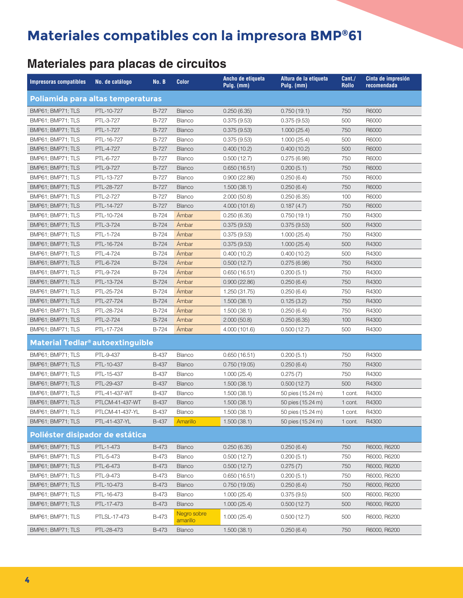### **Materiales para placas de circuitos**

| <b>Impresoras compatibles</b>                      | No. de catálogo | No. B        | <b>Color</b>            | Ancho de etiqueta<br>Pulg. (mm) | Altura de la etiqueta<br>Pulg. (mm) | Cant./<br><b>Rollo</b> | Cinta de impresión<br>recomendada |
|----------------------------------------------------|-----------------|--------------|-------------------------|---------------------------------|-------------------------------------|------------------------|-----------------------------------|
| Poliamida para altas temperaturas                  |                 |              |                         |                                 |                                     |                        |                                   |
| BMP61; BMP71; TLS                                  | PTL-10-727      | B-727        | <b>Blanco</b>           | 0.250(6.35)                     | 0.750(19.1)                         | 750                    | R6000                             |
| BMP61; BMP71; TLS                                  | PTL-3-727       | B-727        | Blanco                  | 0.375(9.53)                     | 0.375(9.53)                         | 500                    | R6000                             |
| BMP61; BMP71; TLS                                  | PTL-1-727       | B-727        | <b>Blanco</b>           | 0.375(9.53)                     | 1.000(25.4)                         | 750                    | R6000                             |
| BMP61; BMP71; TLS                                  | PTL-16-727      | B-727        | Blanco                  | 0.375(9.53)                     | 1.000(25.4)                         | 500                    | R6000                             |
| BMP61; BMP71; TLS                                  | PTL-4-727       | B-727        | <b>Blanco</b>           | 0.400(10.2)                     | 0.400(10.2)                         | 500                    | R6000                             |
| BMP61; BMP71; TLS                                  | PTL-6-727       | B-727        | Blanco                  | 0.500(12.7)                     | 0.275(6.98)                         | 750                    | R6000                             |
| BMP61; BMP71; TLS                                  | PTL-9-727       | B-727        | <b>Blanco</b>           | 0.650(16.51)                    | 0.200(5.1)                          | 750                    | R6000                             |
| BMP61; BMP71; TLS                                  | PTL-13-727      | B-727        | Blanco                  | 0.900(22.86)                    | 0.250(6.4)                          | 750                    | R6000                             |
| BMP61; BMP71; TLS                                  | PTL-28-727      | B-727        | <b>Blanco</b>           | 1.500(38.1)                     | 0.250(6.4)                          | 750                    | R6000                             |
| BMP61; BMP71; TLS                                  | PTL-2-727       | B-727        | Blanco                  | 2.000(50.8)                     | 0.250(6.35)                         | 100                    | R6000                             |
| BMP61; BMP71; TLS                                  | PTL-14-727      | B-727        | <b>Blanco</b>           | 4.000 (101.6)                   | 0.187(4.7)                          | 750                    | R6000                             |
| BMP61; BMP71; TLS                                  | PTL-10-724      | B-724        | Ámbar                   | 0.250(6.35)                     | 0.750(19.1)                         | 750                    | R4300                             |
| BMP61; BMP71; TLS                                  | PTL-3-724       | B-724        | Ámbar                   | 0.375(9.53)                     | 0.375(9.53)                         | 500                    | R4300                             |
| BMP61; BMP71; TLS                                  | PTL-1-724       | B-724        | Ámbar                   | 0.375(9.53)                     | 1.000(25.4)                         | 750                    | R4300                             |
| BMP61; BMP71; TLS                                  | PTL-16-724      | B-724        | Ámbar                   | 0.375(9.53)                     | 1.000(25.4)                         | 500                    | R4300                             |
| BMP61; BMP71; TLS                                  | PTL-4-724       | B-724        | Ámbar                   | 0.400(10.2)                     | 0.400(10.2)                         | 500                    | R4300                             |
| BMP61; BMP71; TLS                                  | PTL-6-724       | B-724        | Ámbar                   | 0.500(12.7)                     | 0.275(6.98)                         | 750                    | R4300                             |
| BMP61; BMP71; TLS                                  | PTL-9-724       | B-724        | Ámbar                   | 0.650(16.51)                    | 0.200(5.1)                          | 750                    | R4300                             |
| BMP61; BMP71; TLS                                  | PTL-13-724      | B-724        | Ámbar                   | 0.900(22.86)                    | 0.250(6.4)                          | 750                    | R4300                             |
| BMP61; BMP71; TLS                                  | PTL-25-724      | B-724        | Ámbar                   | 1.250 (31.75)                   | 0.250(6.4)                          | 750                    | R4300                             |
| BMP61; BMP71; TLS                                  | PTL-27-724      | B-724        | Ámbar                   | 1.500(38.1)                     | 0.125(3.2)                          | 750                    | R4300                             |
| BMP61; BMP71; TLS                                  | PTL-28-724      | B-724        | Ámbar                   | 1.500(38.1)                     | 0.250(6.4)                          | 750                    | R4300                             |
| BMP61; BMP71; TLS                                  | PTL-2-724       | B-724        | Ámbar                   | 2.000(50.8)                     | 0.250(6.35)                         | 100                    | R4300                             |
| BMP61; BMP71; TLS                                  | PTL-17-724      | B-724        | Ámbar                   | 4.000 (101.6)                   | 0.500(12.7)                         | 500                    | R4300                             |
| <b>Material Tedlar<sup>®</sup> autoextinguible</b> |                 |              |                         |                                 |                                     |                        |                                   |
| BMP61; BMP71; TLS                                  | PTL-9-437       | B-437        | Blanco                  | 0.650(16.51)                    | 0.200(5.1)                          | 750                    | R4300                             |
| BMP61; BMP71; TLS                                  | PTL-10-437      | <b>B-437</b> | Blanco                  | 0.750(19.05)                    | 0.250(6.4)                          | 750                    | R4300                             |
| BMP61; BMP71; TLS                                  | PTL-15-437      | B-437        | Blanco                  | 1.000(25.4)                     | 0.275(7)                            | 750                    | R4300                             |
| BMP61; BMP71; TLS                                  | PTL-29-437      | B-437        | <b>Blanco</b>           | 1.500(38.1)                     | 0.500(12.7)                         | 500                    | R4300                             |
| BMP61; BMP71; TLS                                  | PTL-41-437-WT   | B-437        | Blanco                  | 1.500(38.1)                     | 50 pies (15.24 m)                   | 1 cont.                | R4300                             |
| BMP61; BMP71; TLS                                  | PTLCM-41-437-WT | <b>B-437</b> | <b>Blanco</b>           | 1.500(38.1)                     | 50 pies (15.24 m)                   | 1 cont.                | R4300                             |
| BMP61; BMP71; TLS                                  | PTLCM-41-437-YL | <b>B-437</b> | Blanco                  | 1.500(38.1)                     | 50 pies (15.24 m)                   | 1 cont.                | R4300                             |
| BMP61; BMP71; TLS                                  | PTL-41-437-YL   | B-437        | Amarillo                | 1.500(38.1)                     | 50 pies (15.24 m)                   | 1 cont.                | R4300                             |
| Poliéster disipador de estática                    |                 |              |                         |                                 |                                     |                        |                                   |
| BMP61; BMP71; TLS                                  | PTL-1-473       | <b>B-473</b> | <b>Blanco</b>           | 0.250(6.35)                     | 0.250(6.4)                          | 750                    | R6000, R6200                      |
| BMP61; BMP71; TLS                                  | PTL-5-473       | B-473        | Blanco                  | 0.500(12.7)                     | 0.200(5.1)                          | 750                    | R6000, R6200                      |
| BMP61; BMP71; TLS                                  | PTL-6-473       | <b>B-473</b> | <b>Blanco</b>           | 0.500(12.7)                     | 0.275(7)                            | 750                    | R6000, R6200                      |
| BMP61; BMP71; TLS                                  | PTL-9-473       | B-473        | Blanco                  | 0.650(16.51)                    | 0.200(5.1)                          | 750                    | R6000, R6200                      |
| BMP61; BMP71; TLS                                  | PTL-10-473      | B-473        | Blanco                  | 0.750(19.05)                    | 0.250(6.4)                          | 750                    | R6000, R6200                      |
| BMP61; BMP71; TLS                                  | PTL-16-473      | B-473        | Blanco                  | 1.000(25.4)                     | 0.375(9.5)                          | 500                    | R6000, R6200                      |
| BMP61; BMP71; TLS                                  | PTL-17-473      | <b>B-473</b> | Blanco                  | 1.000(25.4)                     | 0.500(12.7)                         | 500                    | R6000, R6200                      |
| BMP61; BMP71; TLS                                  | PTLSL-17-473    | B-473        | Negro sobre<br>amarillo | 1.000(25.4)                     | 0.500(12.7)                         | 500                    | R6000, R6200                      |
| BMP61; BMP71; TLS                                  | PTL-28-473      | <b>B-473</b> | Blanco                  | 1.500(38.1)                     | 0.250(6.4)                          | 750                    | R6000, R6200                      |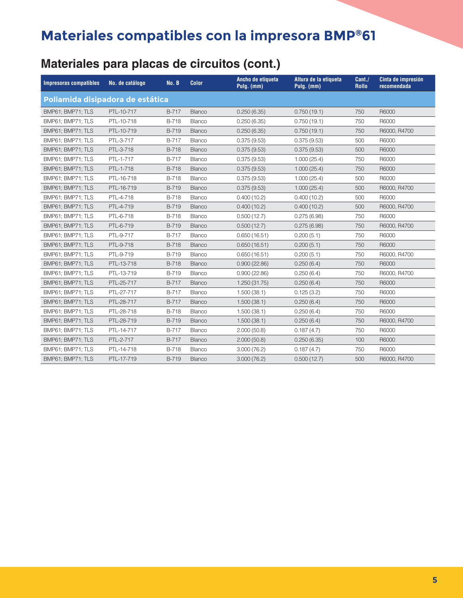### **Materiales para placas de circuitos (cont.)**

| <b>Impresoras compatibles</b>    | No. de catálogo | <b>No. B</b> | <b>Color</b>  | Ancho de etiqueta<br>Pulg. (mm) | Altura de la etiqueta<br>Pulg. (mm) | Cant./<br><b>Rollo</b> | Cinta de impresión<br>recomendada |
|----------------------------------|-----------------|--------------|---------------|---------------------------------|-------------------------------------|------------------------|-----------------------------------|
| Poliamida disipadora de estática |                 |              |               |                                 |                                     |                        |                                   |
| BMP61; BMP71; TLS                | PTL-10-717      | B-717        | Blanco        | 0.250(6.35)                     | 0.750(19.1)                         | 750                    | R6000                             |
| BMP61; BMP71; TLS                | PTL-10-718      | B-718        | Blanco        | 0.250(6.35)                     | 0.750(19.1)                         | 750                    | R6000                             |
| BMP61; BMP71; TLS                | PTL-10-719      | B-719        | Blanco        | 0.250(6.35)                     | 0.750(19.1)                         | 750                    | R6000, R4700                      |
| BMP61; BMP71; TLS                | PTL-3-717       | B-717        | Blanco        | 0.375(9.53)                     | 0.375(9.53)                         | 500                    | R6000                             |
| BMP61; BMP71; TLS                | PTL-3-718       | <b>B-718</b> | <b>Blanco</b> | 0.375(9.53)                     | 0.375(9.53)                         | 500                    | R6000                             |
| BMP61; BMP71; TLS                | PTL-1-717       | B-717        | Blanco        | 0.375(9.53)                     | 1.000(25.4)                         | 750                    | R6000                             |
| BMP61; BMP71; TLS                | PTL-1-718       | B-718        | Blanco        | 0.375(9.53)                     | 1.000(25.4)                         | 750                    | R6000                             |
| BMP61; BMP71; TLS                | PTL-16-718      | B-718        | Blanco        | 0.375(9.53)                     | 1.000(25.4)                         | 500                    | R6000                             |
| BMP61; BMP71; TLS                | PTL-16-719      | B-719        | Blanco        | 0.375(9.53)                     | 1.000(25.4)                         | 500                    | R6000, R4700                      |
| BMP61; BMP71; TLS                | PTL-4-718       | B-718        | Blanco        | 0.400(10.2)                     | 0.400(10.2)                         | 500                    | R6000                             |
| BMP61; BMP71; TLS                | PTL-4-719       | B-719        | Blanco        | 0.400(10.2)                     | 0.400(10.2)                         | 500                    | R6000, R4700                      |
| BMP61; BMP71; TLS                | PTL-6-718       | B-718        | Blanco        | 0.500(12.7)                     | 0.275(6.98)                         | 750                    | R6000                             |
| BMP61; BMP71; TLS                | PTL-6-719       | B-719        | Blanco        | 0.500(12.7)                     | 0.275(6.98)                         | 750                    | R6000, R4700                      |
| BMP61; BMP71; TLS                | PTL-9-717       | B-717        | Blanco        | 0.650(16.51)                    | 0.200(5.1)                          | 750                    | R6000                             |
| BMP61; BMP71; TLS                | PTL-9-718       | <b>B-718</b> | Blanco        | 0.650(16.51)                    | 0.200(5.1)                          | 750                    | R6000                             |
| BMP61; BMP71; TLS                | PTL-9-719       | B-719        | Blanco        | 0.650(16.51)                    | 0.200(5.1)                          | 750                    | R6000, R4700                      |
| BMP61; BMP71; TLS                | PTL-13-718      | <b>B-718</b> | <b>Blanco</b> | 0.900(22.86)                    | 0.250(6.4)                          | 750                    | R6000                             |
| BMP61; BMP71; TLS                | PTL-13-719      | B-719        | Blanco        | 0.900(22.86)                    | 0.250(6.4)                          | 750                    | R6000, R4700                      |
| BMP61; BMP71; TLS                | PTL-25-717      | B-717        | Blanco        | 1.250 (31.75)                   | 0.250(6.4)                          | 750                    | R6000                             |
| BMP61; BMP71; TLS                | PTL-27-717      | B-717        | Blanco        | 1.500(38.1)                     | 0.125(3.2)                          | 750                    | R6000                             |
| BMP61; BMP71; TLS                | PTL-28-717      | B-717        | <b>Blanco</b> | 1.500(38.1)                     | 0.250(6.4)                          | 750                    | R6000                             |
| BMP61; BMP71; TLS                | PTL-28-718      | B-718        | Blanco        | 1.500(38.1)                     | 0.250(6.4)                          | 750                    | R6000                             |
| BMP61; BMP71; TLS                | PTL-28-719      | B-719        | Blanco        | 1.500(38.1)                     | 0.250(6.4)                          | 750                    | R6000, R4700                      |
| BMP61; BMP71; TLS                | PTL-14-717      | B-717        | Blanco        | 2.000(50.8)                     | 0.187(4.7)                          | 750                    | R6000                             |
| BMP61; BMP71; TLS                | PTL-2-717       | B-717        | Blanco        | 2.000(50.8)                     | 0.250(6.35)                         | 100                    | R6000                             |
| BMP61; BMP71; TLS                | PTL-14-718      | B-718        | Blanco        | 3.000(76.2)                     | 0.187(4.7)                          | 750                    | R6000                             |
| BMP61; BMP71; TLS                | PTL-17-719      | B-719        | <b>Blanco</b> | 3.000(76.2)                     | 0.500(12.7)                         | 500                    | R6000, R4700                      |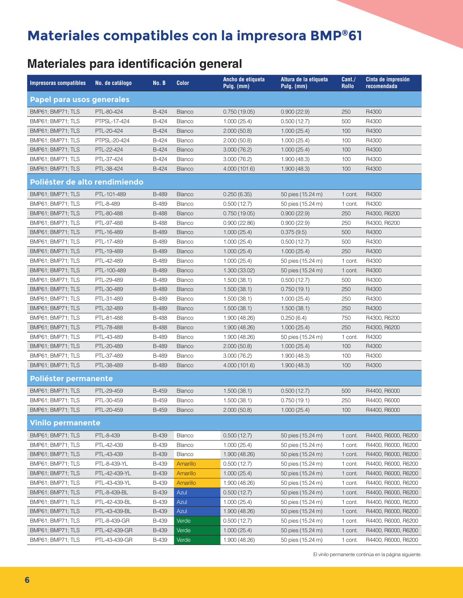#### **Materiales para identificación general**

| <b>Impresoras compatibles</b>    | No. de catálogo | No. B        | <b>Color</b>  | Ancho de etiqueta<br>Pulg. (mm) | Altura de la etiqueta<br>Pulg. (mm) | Cant./<br><b>Rollo</b> | Cinta de impresión<br>recomendada |
|----------------------------------|-----------------|--------------|---------------|---------------------------------|-------------------------------------|------------------------|-----------------------------------|
| <b>Papel para usos generales</b> |                 |              |               |                                 |                                     |                        |                                   |
| BMP61; BMP71; TLS                | PTL-80-424      | B-424        | <b>Blanco</b> | 0.750(19.05)                    | 0.900(22.9)                         | 250                    | R4300                             |
| BMP61: BMP71: TLS                | PTPSL-17-424    | B-424        | Blanco        | 1.000(25.4)                     | 0.500(12.7)                         | 500                    | R4300                             |
| BMP61; BMP71; TLS                | PTL-20-424      | B-424        | <b>Blanco</b> | 2.000(50.8)                     | 1.000(25.4)                         | 100                    | R4300                             |
| BMP61; BMP71; TLS                | PTPSL-20-424    | B-424        | Blanco        | 2.000(50.8)                     | 1.000(25.4)                         | 100                    | R4300                             |
| BMP61; BMP71; TLS                | PTL-22-424      | B-424        | <b>Blanco</b> | 3.000(76.2)                     | 1.000(25.4)                         | 100                    | R4300                             |
| BMP61; BMP71; TLS                | PTL-37-424      | B-424        | Blanco        | 3.000 (76.2)                    | 1.900(48.3)                         | 100                    | R4300                             |
| BMP61; BMP71; TLS                | PTL-38-424      | B-424        | <b>Blanco</b> | 4.000 (101.6)                   | 1.900(48.3)                         | 100                    | R4300                             |
| Poliéster de alto rendimiendo    |                 |              |               |                                 |                                     |                        |                                   |
| BMP61; BMP71; TLS                | PTL-101-489     | <b>B-489</b> | <b>Blanco</b> | 0.250(6.35)                     | 50 pies (15.24 m)                   | 1 cont.                | R4300                             |
| BMP61; BMP71; TLS                | PTL-8-489       | <b>B-489</b> | Blanco        | 0.500(12.7)                     | 50 pies (15.24 m)                   | 1 cont.                | R4300                             |
| BMP61; BMP71; TLS                | PTL-80-488      | <b>B-488</b> | <b>Blanco</b> | 0.750(19.05)                    | 0.900(22.9)                         | 250                    | R4300, R6200                      |
| BMP61; BMP71; TLS                | PTL-97-488      | <b>B-488</b> | <b>Blanco</b> | 0.900(22.86)                    | 0.900(22.9)                         | 250                    | R4300, R6200                      |
| BMP61; BMP71; TLS                | PTL-16-489      | <b>B-489</b> | <b>Blanco</b> | 1.000(25.4)                     | 0.375(9.5)                          | 500                    | R4300                             |
| BMP61; BMP71; TLS                | PTL-17-489      | <b>B-489</b> | Blanco        | 1.000(25.4)                     | 0.500(12.7)                         | 500                    | R4300                             |
| BMP61; BMP71; TLS                | PTL-19-489      | B-489        | <b>Blanco</b> | 1.000(25.4)                     | 1.000(25.4)                         | 250                    | R4300                             |
| BMP61; BMP71; TLS                | PTL-42-489      | B-489        | Blanco        | 1.000(25.4)                     | 50 pies (15.24 m)                   | 1 cont.                | R4300                             |
| BMP61; BMP71; TLS                | PTL-100-489     | B-489        | <b>Blanco</b> | 1.300 (33.02)                   | 50 pies (15.24 m)                   | 1 cont.                | R4300                             |
| BMP61; BMP71; TLS                | PTL-29-489      | B-489        | Blanco        | 1.500(38.1)                     | 0.500(12.7)                         | 500                    | R4300                             |
| BMP61; BMP71; TLS                | PTL-30-489      | <b>B-489</b> | <b>Blanco</b> | 1.500(38.1)                     | 0.750(19.1)                         | 250                    | R4300                             |
| BMP61; BMP71; TLS                | PTL-31-489      | B-489        | Blanco        | 1.500(38.1)                     | 1.000(25.4)                         | 250                    | R4300                             |
| BMP61; BMP71; TLS                | PTL-32-489      | B-489        | <b>Blanco</b> | 1.500(38.1)                     | 1.500(38.1)                         | 250                    | R4300                             |
| BMP61; BMP71; TLS                | PTL-81-488      | <b>B-488</b> | <b>Blanco</b> | 1.900 (48.26)                   | 0.250(6.4)                          | 750                    | R4300, R6200                      |
| BMP61; BMP71; TLS                | PTL-78-488      | <b>B-488</b> | <b>Blanco</b> | 1.900 (48.26)                   | 1.000(25.4)                         | 250                    | R4300, R6200                      |
| BMP61; BMP71; TLS                | PTL-43-489      | B-489        | <b>Blanco</b> | 1.900 (48.26)                   | 50 pies (15.24 m)                   | 1 cont.                | R4300                             |
| BMP61; BMP71; TLS                | PTL-20-489      | B-489        | <b>Blanco</b> | 2.000(50.8)                     | 1.000(25.4)                         | 100                    | R4300                             |
| BMP61; BMP71; TLS                | PTL-37-489      | B-489        | Blanco        | 3.000 (76.2)                    | 1.900(48.3)                         | 100                    | R4300                             |
| BMP61; BMP71; TLS                | PTL-38-489      | <b>B-489</b> | <b>Blanco</b> | 4.000 (101.6)                   | 1.900(48.3)                         | 100                    | R4300                             |
| Poliéster permanente             |                 |              |               |                                 |                                     |                        |                                   |
| BMP61; BMP71; TLS                | PTL-29-459      | <b>B-459</b> | <b>Blanco</b> | 1.500(38.1)                     | 0.500(12.7)                         | 500                    | R4400, R6000                      |
| BMP61; BMP71; TLS                | PTL-30-459      | <b>B-459</b> | Blanco        | 1.500(38.1)                     | 0.750(19.1)                         | 250                    | R4400, R6000                      |
| BMP61; BMP71; TLS                | PTL-20-459      | <b>B-459</b> | <b>Blanco</b> | 2.000(50.8)                     | 1.000(25.4)                         | 100                    | R4400, R6000                      |
| <b>Vinilo permanente</b>         |                 |              |               |                                 |                                     |                        |                                   |
| BMP61; BMP71; TLS                | PTL-8-439       | <b>B-439</b> | Blanco        | 0.500(12.7)                     | 50 pies (15.24 m)                   | 1 cont.                | R4400, R6000, R6200               |
| BMP61; BMP71; TLS                | PTL-42-439      | B-439        | Blanco        | 1.000(25.4)                     | 50 pies (15.24 m)                   | 1 cont.                | R4400, R6000, R6200               |
| BMP61; BMP71; TLS                | PTL-43-439      | <b>B-439</b> | Blanco        | 1.900 (48.26)                   | 50 pies (15.24 m)                   | 1 cont.                | R4400, R6000, R6200               |
| <b>BMP61: BMP71: TLS</b>         | PTL-8-439-YL    | B-439        | Amarillo      | 0.500(12.7)                     | 50 pies (15.24 m)                   | 1 cont.                | R4400, R6000, R6200               |
| BMP61; BMP71; TLS                | PTL-42-439-YL   | <b>B-439</b> | Amarillo      | 1.000(25.4)                     | 50 pies (15.24 m)                   | 1 cont.                | R4400, R6000, R6200               |
| BMP61; BMP71; TLS                | PTL-43-439-YL   | B-439        | Amarillo      | 1.900 (48.26)                   | 50 pies (15.24 m)                   | 1 cont.                | R4400, R6000, R6200               |
| BMP61; BMP71; TLS                | PTL-8-439-BL    | <b>B-439</b> | Azul          | 0.500(12.7)                     | 50 pies (15.24 m)                   | 1 cont.                | R4400, R6000, R6200               |
| BMP61; BMP71; TLS                | PTL-42-439-BL   | B-439        | Azul          | 1.000(25.4)                     | 50 pies (15.24 m)                   | 1 cont.                | R4400, R6000, R6200               |
| BMP61; BMP71; TLS                | PTL-43-439-BL   | B-439        | Azul          | 1.900 (48.26)                   | 50 pies (15.24 m)                   | 1 cont.                | R4400, R6000, R6200               |
| BMP61; BMP71; TLS                | PTL-8-439-GR    | B-439        | Verde         | 0.500(12.7)                     | 50 pies (15.24 m)                   | 1 cont.                | R4400, R6000, R6200               |
| BMP61; BMP71; TLS                | PTL-42-439-GR   | <b>B-439</b> | Verde         | 1.000(25.4)                     | 50 pies (15.24 m)                   | 1 cont.                | R4400, R6000, R6200               |
| BMP61; BMP71; TLS                | PTL-43-439-GR   | B-439        | Verde         | 1.900 (48.26)                   | 50 pies (15.24 m)                   | 1 cont.                | R4400, R6000, R6200               |

El vinilo permanente continúa en la página siguiente.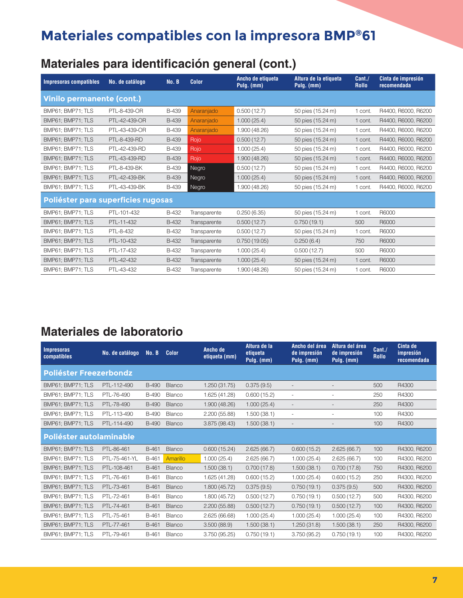### **Materiales para identificación general (cont.)**

| <b>Impresoras compatibles</b>      | No. de catálogo | No. B        | <b>Color</b> | Ancho de etiqueta<br>Pulg. (mm) | Altura de la etiqueta<br>Pulg. (mm) | Cant.<br><b>Rollo</b> | Cinta de impresión<br>recomendada |  |  |  |
|------------------------------------|-----------------|--------------|--------------|---------------------------------|-------------------------------------|-----------------------|-----------------------------------|--|--|--|
| <b>Vinilo permanente (cont.)</b>   |                 |              |              |                                 |                                     |                       |                                   |  |  |  |
| BMP61; BMP71; TLS                  | PTL-8-439-OR    | <b>B-439</b> | Anaranjado   | 0.500(12.7)                     | 50 pies (15.24 m)                   | 1 cont.               | R4400, R6000, R6200               |  |  |  |
| BMP61; BMP71; TLS                  | PTL-42-439-OR   | <b>B-439</b> | Anaranjado   | 1.000(25.4)                     | 50 pies (15.24 m)                   | 1 cont.               | R4400, R6000, R6200               |  |  |  |
| BMP61; BMP71; TLS                  | PTL-43-439-OR   | B-439        | Anaranjado   | 1.900 (48.26)                   | 50 pies (15.24 m)                   | 1 cont.               | R4400, R6000, R6200               |  |  |  |
| BMP61; BMP71; TLS                  | PTL-8-439-RD    | <b>B-439</b> | Rojo         | 0.500(12.7)                     | 50 pies (15.24 m)                   | 1 cont.               | R4400, R6000, R6200               |  |  |  |
| BMP61; BMP71; TLS                  | PTL-42-439-RD   | <b>B-439</b> | Rojo         | 1.000(25.4)                     | 50 pies (15.24 m)                   | 1 cont.               | R4400, R6000, R6200               |  |  |  |
| BMP61; BMP71; TLS                  | PTL-43-439-RD   | B-439        | Rojo         | 1.900 (48.26)                   | 50 pies (15.24 m)                   | 1 cont.               | R4400, R6000, R6200               |  |  |  |
| BMP61; BMP71; TLS                  | PTL-8-439-BK    | B-439        | Negro        | 0.500(12.7)                     | 50 pies (15.24 m)                   | 1 cont.               | R4400, R6000, R6200               |  |  |  |
| BMP61; BMP71; TLS                  | PTL-42-439-BK   | <b>B-439</b> | Negro        | 1.000(25.4)                     | 50 pies (15.24 m)                   | 1 cont.               | R4400, R6000, R6200               |  |  |  |
| BMP61; BMP71; TLS                  | PTL-43-439-BK   | B-439        | Negro        | 1.900 (48.26)                   | 50 pies (15.24 m)                   | 1 cont.               | R4400, R6000, R6200               |  |  |  |
| Poliéster para superficies rugosas |                 |              |              |                                 |                                     |                       |                                   |  |  |  |
| BMP61; BMP71; TLS                  | PTL-101-432     | B-432        | Transparente | 0.250(6.35)                     | 50 pies (15.24 m)                   | 1 cont.               | R6000                             |  |  |  |
| BMP61; BMP71; TLS                  | PTL-11-432      | B-432        | Transparente | 0.500(12.7)                     | 0.750(19.1)                         | 500                   | R6000                             |  |  |  |
| BMP61; BMP71; TLS                  | PTL-8-432       | B-432        | Transparente | 0.500(12.7)                     | 50 pies (15.24 m)                   | 1 cont.               | R6000                             |  |  |  |
| BMP61; BMP71; TLS                  | PTL-10-432      | B-432        | Transparente | 0.750(19.05)                    | 0.250(6.4)                          | 750                   | R6000                             |  |  |  |
| BMP61; BMP71; TLS                  | PTL-17-432      | B-432        | Transparente | 1.000(25.4)                     | 0.500(12.7)                         | 500                   | R6000                             |  |  |  |
| BMP61; BMP71; TLS                  | PTL-42-432      | B-432        | Transparente | 1.000(25.4)                     | 50 pies (15.24 m)                   | 1 cont.               | R6000                             |  |  |  |
| BMP61; BMP71; TLS                  | PTL-43-432      | B-432        | Transparente | 1.900 (48.26)                   | 50 pies (15.24 m)                   | 1 cont.               | R6000                             |  |  |  |

#### **Materiales de laboratorio**

| <b>Impresoras</b><br>compatibles | No. de catálogo | No. B        | <b>Color</b>  | Ancho de<br>etiqueta (mm) | Altura de la<br>etiqueta<br>Pulg. (mm) | Ancho del área<br>de impresión<br>Pulg. (mm) | Altura del área<br>de impresión<br>Pulg. (mm) | Cant./<br><b>Rollo</b> | Cinta de<br>impresión<br>recomendada |
|----------------------------------|-----------------|--------------|---------------|---------------------------|----------------------------------------|----------------------------------------------|-----------------------------------------------|------------------------|--------------------------------------|
| Poliéster Freezerbondz           |                 |              |               |                           |                                        |                                              |                                               |                        |                                      |
| BMP61; BMP71; TLS                | PTL-112-490     | <b>B-490</b> | Blanco        | 1.250(31.75)              | 0.375(9.5)                             |                                              | $\qquad \qquad -$                             | 500                    | R4300                                |
| BMP61: BMP71: TLS                | PTL-76-490      | <b>B-490</b> | Blanco        | 1.625 (41.28)             | 0.600(15.2)                            | $\sim$                                       | ÷,                                            | 250                    | R4300                                |
| BMP61: BMP71: TLS                | PTL-78-490      | <b>B-490</b> | Blanco        | 1.900 (48.26)             | 1.000(25.4)                            |                                              | $\overline{a}$                                | 250                    | R4300                                |
| BMP61; BMP71; TLS                | PTL-113-490     | <b>B-490</b> | Blanco        | 2.200(55.88)              | 1.500(38.1)                            |                                              |                                               | 100                    | R4300                                |
| BMP61; BMP71; TLS                | PTL-114-490     | <b>B-490</b> | Blanco        | 3.875 (98.43)             | 1.500(38.1)                            | $\overline{\phantom{a}}$                     | $\overline{\phantom{a}}$                      | 100                    | R4300                                |
| Poliéster autolaminable          |                 |              |               |                           |                                        |                                              |                                               |                        |                                      |
| BMP61; BMP71; TLS                | PTL-86-461      | B-461        | Blanco        | 0.600(15.24)              | 2.625(66.7)                            | 0.600(15.2)                                  | 2.625(66.7)                                   | 100                    | R4300, R6200                         |
| BMP61: BMP71: TLS                | PTL-75-461-YL   | B-461        | Amarillo      | 1.000(25.4)               | 2.625(66.7)                            | 1.000(25.4)                                  | 2.625(66.7)                                   | 100                    | R4300, R6200                         |
| BMP61: BMP71: TLS                | PTL-108-461     | B-461        | Blanco        | 1.500(38.1)               | 0.700(17.8)                            | 1.500(38.1)                                  | 0.700(17.8)                                   | 750                    | R4300, R6200                         |
| BMP61; BMP71; TLS                | PTL-76-461      | B-461        | Blanco        | 1.625 (41.28)             | 0.600(15.2)                            | 1.000(25.4)                                  | 0.600(15.2)                                   | 250                    | R4300, R6200                         |
| BMP61; BMP71; TLS                | PTL-73-461      | B-461        | Blanco        | 1.800 (45.72)             | 0.375(9.5)                             | 0.750(19.1)                                  | 0.375(9.5)                                    | 500                    | R4300, R6200                         |
| BMP61; BMP71; TLS                | PTL-72-461      | B-461        | Blanco        | 1.800 (45.72)             | 0.500(12.7)                            | 0.750(19.1)                                  | 0.500(12.7)                                   | 500                    | R4300, R6200                         |
| BMP61; BMP71; TLS                | PTL-74-461      | B-461        | <b>Blanco</b> | 2.200 (55.88)             | 0.500(12.7)                            | 0.750(19.1)                                  | 0.500(12.7)                                   | 100                    | R4300, R6200                         |
| BMP61: BMP71: TLS                | PTL-75-461      | B-461        | Blanco        | 2.625 (66.68)             | 1.000(25.4)                            | 1.000(25.4)                                  | 1.000(25.4)                                   | 100                    | R4300, R6200                         |
| BMP61; BMP71; TLS                | PTL-77-461      | B-461        | Blanco        | 3.500(88.9)               | 1.500(38.1)                            | 1.250(31.8)                                  | 1.500(38.1)                                   | 250                    | R4300, R6200                         |
| BMP61: BMP71: TLS                | PTL-79-461      | B-461        | Blanco        | 3.750 (95.25)             | 0.750(19.1)                            | 3.750(95.2)                                  | 0.750(19.1)                                   | 100                    | R4300, R6200                         |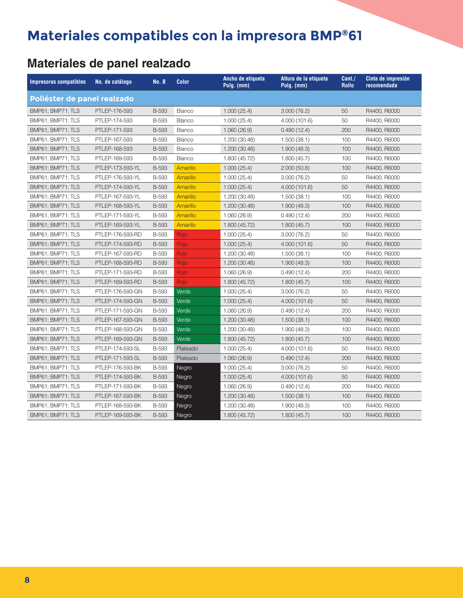### **Materiales de panel realzado**

| <b>Impresoras compatibles</b> | No. de catálogo  | No. B        | <b>Color</b>    | Ancho de etiqueta<br>Pulg. (mm) | Altura de la etiqueta<br>Pulg. (mm) | Cant./<br><b>Rollo</b> | Cinta de impresión<br>recomendada |
|-------------------------------|------------------|--------------|-----------------|---------------------------------|-------------------------------------|------------------------|-----------------------------------|
| Poliéster de panel realzado   |                  |              |                 |                                 |                                     |                        |                                   |
| BMP61; BMP71; TLS             | PTLEP-176-593    | <b>B-593</b> | Blanco          | 1.000(25.4)                     | 3.000(76.2)                         | 50                     | R4400, R6000                      |
| BMP61; BMP71; TLS             | PTLEP-174-593    | <b>B-593</b> | Blanco          | 1.000(25.4)                     | 4.000 (101.6)                       | 50                     | R4400, R6000                      |
| BMP61; BMP71; TLS             | PTLEP-171-593    | <b>B-593</b> | Blanco          | 1.060(26.9)                     | 0.490(12.4)                         | 200                    | R4400, R6000                      |
| BMP61; BMP71; TLS             | PTLEP-167-593    | <b>B-593</b> | Blanco          | 1.200 (30.48)                   | 1.500(38.1)                         | 100                    | R4400, R6000                      |
| BMP61; BMP71; TLS             | PTLEP-168-593    | <b>B-593</b> | Blanco          | 1.200 (30.48)                   | 1.900(48.3)                         | 100                    | R4400, R6000                      |
| BMP61; BMP71; TLS             | PTLEP-169-593    | <b>B-593</b> | Blanco          | 1.800 (45.72)                   | 1.800(45.7)                         | 100                    | R4400, R6000                      |
| BMP61; BMP71; TLS             | PTLEP-173-593-YL | <b>B-593</b> | Amarillo        | 1.000(25.4)                     | 2.000(50.8)                         | 100                    | R4400, R6000                      |
| BMP61; BMP71; TLS             | PTLEP-176-593-YL | <b>B-593</b> | <b>Amarillo</b> | 1.000(25.4)                     | 3.000(76.2)                         | 50                     | R4400, R6000                      |
| BMP61; BMP71; TLS             | PTLEP-174-593-YL | <b>B-593</b> | Amarillo        | 1.000(25.4)                     | 4.000 (101.6)                       | 50                     | R4400, R6000                      |
| BMP61; BMP71; TLS             | PTLEP-167-593-YL | <b>B-593</b> | Amarillo        | 1.200 (30.48)                   | 1.500(38.1)                         | 100                    | R4400, R6000                      |
| BMP61; BMP71; TLS             | PTLEP-168-593-YL | <b>B-593</b> | Amarillo        | 1.200 (30.48)                   | 1.900(48.3)                         | 100                    | R4400, R6000                      |
| BMP61; BMP71; TLS             | PTLEP-171-593-YL | <b>B-593</b> | <b>Amarillo</b> | 1.060(26.9)                     | 0.490(12.4)                         | 200                    | R4400, R6000                      |
| BMP61; BMP71; TLS             | PTLEP-169-593-YL | <b>B-593</b> | Amarillo        | 1.800 (45.72)                   | 1.800(45.7)                         | 100                    | R4400, R6000                      |
| BMP61; BMP71; TLS             | PTLEP-176-593-RD | <b>B-593</b> | Rojo            | 1.000(25.4)                     | 3.000(76.2)                         | 50                     | R4400, R6000                      |
| BMP61; BMP71; TLS             | PTLEP-174-593-RD | <b>B-593</b> | Rojo            | 1.000(25.4)                     | 4.000(101.6)                        | 50                     | R4400, R6000                      |
| BMP61; BMP71; TLS             | PTLEP-167-593-RD | <b>B-593</b> | Rojo            | 1.200 (30.48)                   | 1.500(38.1)                         | 100                    | R4400, R6000                      |
| BMP61; BMP71; TLS             | PTLEP-168-593-RD | <b>B-593</b> | Rojo            | 1.200 (30.48)                   | 1.900(48.3)                         | 100                    | R4400, R6000                      |
| BMP61; BMP71; TLS             | PTLEP-171-593-RD | <b>B-593</b> | Rojo            | 1.060(26.9)                     | 0.490(12.4)                         | 200                    | R4400, R6000                      |
| BMP61; BMP71; TLS             | PTLEP-169-593-RD | <b>B-593</b> | Rojo            | 1.800 (45.72)                   | 1.800(45.7)                         | 100                    | R4400, R6000                      |
| BMP61; BMP71; TLS             | PTLEP-176-593-GN | <b>B-593</b> | Verde           | 1.000(25.4)                     | 3.000(76.2)                         | 50                     | R4400, R6000                      |
| BMP61; BMP71; TLS             | PTLEP-174-593-GN | <b>B-593</b> | Verde           | 1.000(25.4)                     | 4.000 (101.6)                       | 50                     | R4400, R6000                      |
| BMP61; BMP71; TLS             | PTLEP-171-593-GN | <b>B-593</b> | Verde           | 1.060(26.9)                     | 0.490(12.4)                         | 200                    | R4400, R6000                      |
| BMP61; BMP71; TLS             | PTLEP-167-593-GN | <b>B-593</b> | Verde           | 1.200 (30.48)                   | 1.500(38.1)                         | 100                    | R4400, R6000                      |
| BMP61; BMP71; TLS             | PTLEP-168-593-GN | <b>B-593</b> | Verde           | 1.200 (30.48)                   | 1.900(48.3)                         | 100                    | R4400, R6000                      |
| BMP61; BMP71; TLS             | PTLEP-169-593-GN | <b>B-593</b> | Verde           | 1.800 (45.72)                   | 1.800(45.7)                         | 100                    | R4400, R6000                      |
| BMP61; BMP71; TLS             | PTLEP-174-593-SL | <b>B-593</b> | Plateado        | 1.000(25.4)                     | 4.000 (101.6)                       | 50                     | R4400, R6000                      |
| BMP61; BMP71; TLS             | PTLEP-171-593-SL | <b>B-593</b> | Plateado        | 1.060(26.9)                     | 0.490(12.4)                         | 200                    | R4400, R6000                      |
| BMP61; BMP71; TLS             | PTLEP-176-593-BK | B-593        | Negro           | 1.000(25.4)                     | 3.000(76.2)                         | 50                     | R4400, R6000                      |
| BMP61; BMP71; TLS             | PTLEP-174-593-BK | <b>B-593</b> | Negro           | 1.000(25.4)                     | 4.000(101.6)                        | 50                     | R4400, R6000                      |
| BMP61; BMP71; TLS             | PTLEP-171-593-BK | <b>B-593</b> | Negro           | 1.060(26.9)                     | 0.490(12.4)                         | 200                    | R4400, R6000                      |
| BMP61; BMP71; TLS             | PTLEP-167-593-BK | <b>B-593</b> | Negro           | 1.200 (30.48)                   | 1.500(38.1)                         | 100                    | R4400, R6000                      |
| BMP61; BMP71; TLS             | PTLEP-168-593-BK | B-593        | Negro           | 1.200 (30.48)                   | 1.900(48.3)                         | 100                    | R4400, R6000                      |
| BMP61; BMP71; TLS             | PTLEP-169-593-BK | <b>B-593</b> | Negro           | 1.800 (45.72)                   | 1.800(45.7)                         | 100                    | R4400, R6000                      |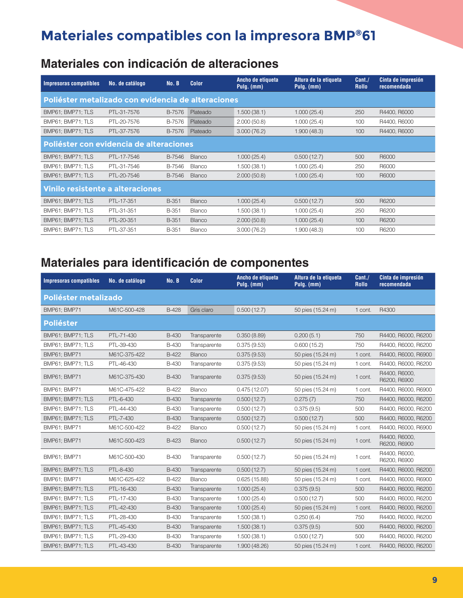#### **Materiales con indicación de alteraciones**

| Impresoras compatibles                             | No. de catálogo | No. B  | <b>Color</b>  | Ancho de etiqueta<br>Pulg. (mm) | Altura de la etiqueta<br>Pulg. (mm) | Cant./<br><b>Rollo</b> | Cinta de impresión<br>recomendada |
|----------------------------------------------------|-----------------|--------|---------------|---------------------------------|-------------------------------------|------------------------|-----------------------------------|
| Poliéster metalizado con evidencia de alteraciones |                 |        |               |                                 |                                     |                        |                                   |
| BMP61; BMP71; TLS                                  | PTL-31-7576     | B-7576 | Plateado      | 1.500(38.1)                     | 1.000(25.4)                         | 250                    | R4400, R6000                      |
| BMP61; BMP71; TLS                                  | PTL-20-7576     | B-7576 | Plateado      | 2.000(50.8)                     | 1.000(25.4)                         | 100                    | R4400, R6000                      |
| BMP61; BMP71; TLS                                  | PTL-37-7576     | B-7576 | Plateado      | 3.000(76.2)                     | 1.900(48.3)                         | 100                    | R4400, R6000                      |
| Poliéster con evidencia de alteraciones            |                 |        |               |                                 |                                     |                        |                                   |
| BMP61; BMP71; TLS                                  | PTL-17-7546     | B-7546 | Blanco        | 1.000(25.4)                     | 0.500(12.7)                         | 500                    | R6000                             |
| BMP61; BMP71; TLS                                  | PTL-31-7546     | B-7546 | Blanco        | 1.500(38.1)                     | 1.000(25.4)                         | 250                    | R6000                             |
| BMP61: BMP71: TLS                                  | PTL-20-7546     | B-7546 | <b>Blanco</b> | 2.000(50.8)                     | 1.000(25.4)                         | 100                    | R6000                             |
| Vinilo resistente a alteraciones                   |                 |        |               |                                 |                                     |                        |                                   |
| BMP61; BMP71; TLS                                  | PTL-17-351      | B-351  | <b>Blanco</b> | 1.000(25.4)                     | 0.500(12.7)                         | 500                    | R6200                             |
| BMP61: BMP71: TLS                                  | PTL-31-351      | B-351  | Blanco        | 1.500(38.1)                     | 1.000(25.4)                         | 250                    | R6200                             |
| BMP61; BMP71; TLS                                  | PTL-20-351      | B-351  | <b>Blanco</b> | 2.000(50.8)                     | 1.000(25.4)                         | 100                    | R6200                             |
| BMP61; BMP71; TLS                                  | PTL-37-351      | B-351  | Blanco        | 3.000(76.2)                     | 1.900(48.3)                         | 100                    | R6200                             |

#### **Materiales para identificación de componentes**

| <b>Impresoras compatibles</b> | No. de catálogo | No. B        | <b>Color</b> | Ancho de etiqueta<br>Pulg. (mm) | Altura de la etiqueta<br>Pulg. (mm) | Cant./<br><b>Rollo</b> | Cinta de impresión<br>recomendada |
|-------------------------------|-----------------|--------------|--------------|---------------------------------|-------------------------------------|------------------------|-----------------------------------|
| Poliéster metalizado          |                 |              |              |                                 |                                     |                        |                                   |
| BMP61; BMP71                  | M61C-500-428    | <b>B-428</b> | Gris claro   | 0.500(12.7)                     | 50 pies (15.24 m)                   | 1 cont.                | R4300                             |
| <b>Poliéster</b>              |                 |              |              |                                 |                                     |                        |                                   |
| BMP61; BMP71; TLS             | PTL-71-430      | <b>B-430</b> | Transparente | 0.350(8.89)                     | 0.200(5.1)                          | 750                    | R4400, R6000, R6200               |
| BMP61; BMP71; TLS             | PTL-39-430      | <b>B-430</b> | Transparente | 0.375(9.53)                     | 0.600(15.2)                         | 750                    | R4400, R6000, R6200               |
| <b>BMP61; BMP71</b>           | M61C-375-422    | B-422        | Blanco       | 0.375(9.53)                     | 50 pies (15.24 m)                   | 1 cont.                | R4400, R6000, R6900               |
| BMP61; BMP71; TLS             | PTL-46-430      | <b>B-430</b> | Transparente | 0.375(9.53)                     | 50 pies (15.24 m)                   | 1 cont.                | R4400, R6000, R6200               |
| BMP61; BMP71                  | M61C-375-430    | <b>B-430</b> | Transparente | 0.375(9.53)                     | 50 pies (15.24 m)                   | 1 cont.                | R4400, R6000,<br>R6200, R6900     |
| BMP61; BMP71                  | M61C-475-422    | B-422        | Blanco       | 0.475(12.07)                    | 50 pies (15.24 m)                   | 1 cont.                | R4400, R6000, R6900               |
| BMP61; BMP71; TLS             | PTL-6-430       | <b>B-430</b> | Transparente | 0.500(12.7)                     | 0.275(7)                            | 750                    | R4400, R6000, R6200               |
| BMP61; BMP71; TLS             | PTL-44-430      | <b>B-430</b> | Transparente | 0.500(12.7)                     | 0.375(9.5)                          | 500                    | R4400, R6000, R6200               |
| BMP61; BMP71; TLS             | PTL-7-430       | <b>B-430</b> | Transparente | 0.500(12.7)                     | 0.500(12.7)                         | 500                    | R4400, R6000, R6200               |
| BMP61; BMP71                  | M61C-500-422    | B-422        | Blanco       | 0.500(12.7)                     | 50 pies (15.24 m)                   | 1 cont.                | R4400, R6000, R6900               |
| BMP61; BMP71                  | M61C-500-423    | <b>B-423</b> | Blanco       | 0.500(12.7)                     | 50 pies (15.24 m)                   | 1 cont.                | R4400, R6000,<br>R6200, R6900     |
| BMP61; BMP71                  | M61C-500-430    | <b>B-430</b> | Transparente | 0.500(12.7)                     | 50 pies (15.24 m)                   | 1 cont.                | R4400, R6000.<br>R6200, R6900     |
| BMP61; BMP71; TLS             | PTL-8-430       | <b>B-430</b> | Transparente | 0.500(12.7)                     | 50 pies (15.24 m)                   | 1 cont.                | R4400, R6000, R6200               |
| BMP61; BMP71                  | M61C-625-422    | B-422        | Blanco       | 0.625(15.88)                    | 50 pies (15.24 m)                   | 1 cont.                | R4400, R6000, R6900               |
| BMP61; BMP71; TLS             | PTL-16-430      | <b>B-430</b> | Transparente | 1.000(25.4)                     | 0.375(9.5)                          | 500                    | R4400, R6000, R6200               |
| BMP61; BMP71; TLS             | PTL-17-430      | <b>B-430</b> | Transparente | 1.000(25.4)                     | 0.500(12.7)                         | 500                    | R4400, R6000, R6200               |
| BMP61: BMP71: TLS             | PTL-42-430      | <b>B-430</b> | Transparente | 1.000(25.4)                     | 50 pies (15.24 m)                   | 1 cont.                | R4400, R6000, R6200               |
| <b>BMP61: BMP71: TLS</b>      | PTL-28-430      | <b>B-430</b> | Transparente | 1.500(38.1)                     | 0.250(6.4)                          | 750                    | R4400, R6000, R6200               |
| BMP61; BMP71; TLS             | PTL-45-430      | <b>B-430</b> | Transparente | 1.500(38.1)                     | 0.375(9.5)                          | 500                    | R4400, R6000, R6200               |
| BMP61; BMP71; TLS             | PTL-29-430      | <b>B-430</b> | Transparente | 1.500(38.1)                     | 0.500(12.7)                         | 500                    | R4400, R6000, R6200               |
| BMP61; BMP71; TLS             | PTL-43-430      | <b>B-430</b> | Transparente | 1.900 (48.26)                   | 50 pies (15.24 m)                   | 1 cont.                | R4400, R6000, R6200               |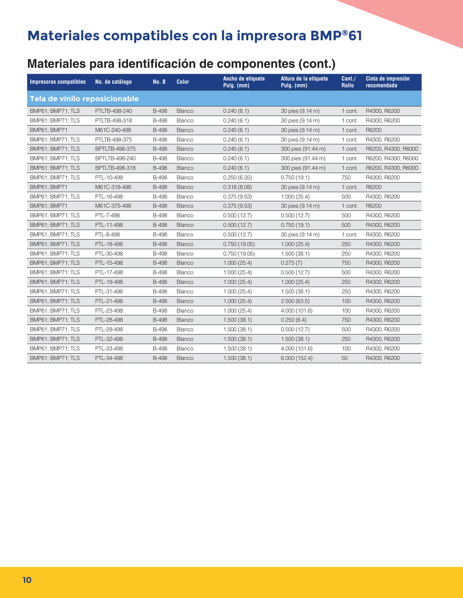### **Materiales para identificación de componentes (cont.)**

| <b>Impresoras compatibles</b> | No. de catálogo       | No. B        | <b>Color</b>  | Ancho de etiqueta<br>Pulg. (mm) | Altura de la etiqueta<br>Pulg. (mm) | Cant./<br><b>Rollo</b> | Cinta de impresión<br>recomendada |
|-------------------------------|-----------------------|--------------|---------------|---------------------------------|-------------------------------------|------------------------|-----------------------------------|
| Tela de vinilo reposicionable |                       |              |               |                                 |                                     |                        |                                   |
| BMP61; BMP71; TLS             | PTLTB-498-240         | <b>B-498</b> | Blanco        | 0.240(6.1)                      | 30 pies (9.14 m)                    | 1 cont.                | R4300, R6200                      |
| BMP61; BMP71; TLS             | PTLTB-498-318         | <b>B-498</b> | Blanco        | 0.240(6.1)                      | 30 pies (9.14 m)                    | 1 cont.                | R4300, R6200                      |
| BMP61; BMP71                  | M61C-240-498          | <b>B-498</b> | Blanco        | 0.240(6.1)                      | 30 pies (9.14 m)                    | 1 cont.                | R6200                             |
| BMP61; BMP71; TLS             | PTLTB-498-375         | <b>B-498</b> | Blanco        | 0.240(6.1)                      | 30 pies (9.14 m)                    | 1 cont.                | R4300, R6200                      |
| BMP61; BMP71; TLS             | <b>BPTLTB-498-375</b> | <b>B-498</b> | Blanco        | 0.240(6.1)                      | 300 pies (91.44 m)                  | 1 cont.                | R6200, R4300, R6000               |
| BMP61; BMP71; TLS             | BPTLTB-498-240        | <b>B-498</b> | Blanco        | 0.240(6.1)                      | 300 pies (91.44 m)                  | 1 cont.                | R6200, R4300, R6000               |
| BMP61; BMP71; TLS             | BPTLTB-498-318        | <b>B-498</b> | Blanco        | 0.240(6.1)                      | 300 pies (91.44 m)                  | 1 cont.                | R6200, R4300, R6000               |
| BMP61; BMP71; TLS             | PTL-10-498            | <b>B-498</b> | Blanco        | 0.250(6.35)                     | 0.750(19.1)                         | 750                    | R4300, R6200                      |
| <b>BMP61; BMP71</b>           | M61C-318-498          | <b>B-498</b> | Blanco        | 0.318(8.08)                     | 30 pies (9.14 m)                    | 1 cont.                | R6200                             |
| BMP61; BMP71; TLS             | PTL-16-498            | <b>B-498</b> | Blanco        | 0.375(9.53)                     | 1.000(25.4)                         | 500                    | R4300, R6200                      |
| BMP61; BMP71                  | M61C-375-498          | <b>B-498</b> | <b>Blanco</b> | 0.375(9.53)                     | 30 pies (9.14 m)                    | 1 cont.                | R6200                             |
| BMP61; BMP71; TLS             | PTL-7-498             | <b>B-498</b> | Blanco        | 0.500(12.7)                     | 0.500(12.7)                         | 500                    | R4300, R6200                      |
| BMP61; BMP71; TLS             | PTL-11-498            | <b>B-498</b> | Blanco        | 0.500(12.7)                     | 0.750(19.1)                         | 500                    | R4300, R6200                      |
| BMP61; BMP71; TLS             | PTL-8-498             | <b>B-498</b> | Blanco        | 0.500(12.7)                     | 30 pies (9.14 m)                    | 1 cont.                | R4300, R6200                      |
| BMP61; BMP71; TLS             | PTL-18-498            | <b>B-498</b> | <b>Blanco</b> | 0.750(19.05)                    | 1.000(25.4)                         | 250                    | R4300, R6200                      |
| BMP61; BMP71; TLS             | PTL-30-498            | <b>B-498</b> | Blanco        | 0.750(19.05)                    | 1.500(38.1)                         | 250                    | R4300, R6200                      |
| BMP61; BMP71; TLS             | PTL-15-498            | <b>B-498</b> | <b>Blanco</b> | 1.000(25.4)                     | 0.275(7)                            | 750                    | R4300, R6200                      |
| BMP61; BMP71; TLS             | PTL-17-498            | <b>B-498</b> | Blanco        | 1.000(25.4)                     | 0.500(12.7)                         | 500                    | R4300, R6200                      |
| BMP61; BMP71; TLS             | PTL-19-498            | <b>B-498</b> | Blanco        | 1.000(25.4)                     | 1.000(25.4)                         | 250                    | R4300, R6200                      |
| BMP61; BMP71; TLS             | PTL-31-498            | <b>B-498</b> | Blanco        | 1.000(25.4)                     | 1.500(38.1)                         | 250                    | R4300, R6200                      |
| BMP61; BMP71; TLS             | PTL-21-498            | <b>B-498</b> | Blanco        | 1.000(25.4)                     | 2.500(63.5)                         | 100                    | R4300, R6200                      |
| BMP61; BMP71; TLS             | PTL-23-498            | <b>B-498</b> | Blanco        | 1.000(25.4)                     | 4.000(101.6)                        | 100                    | R4300, R6200                      |
| BMP61; BMP71; TLS             | PTL-28-498            | <b>B-498</b> | <b>Blanco</b> | 1.500(38.1)                     | 0.250(6.4)                          | 750                    | R4300, R6200                      |
| BMP61; BMP71; TLS             | PTL-29-498            | <b>B-498</b> | Blanco        | 1.500(38.1)                     | 0.500(12.7)                         | 500                    | R4300, R6200                      |
| BMP61; BMP71; TLS             | PTL-32-498            | <b>B-498</b> | <b>Blanco</b> | 1.500(38.1)                     | 1.500(38.1)                         | 250                    | R4300, R6200                      |
| BMP61; BMP71; TLS             | PTL-33-498            | <b>B-498</b> | Blanco        | 1.500(38.1)                     | 4.000 (101.6)                       | 100                    | R4300, R6200                      |
| BMP61; BMP71; TLS             | PTL-34-498            | <b>B-498</b> | Blanco        | 1.500(38.1)                     | 6.000(152.4)                        | 50                     | R4300, R6200                      |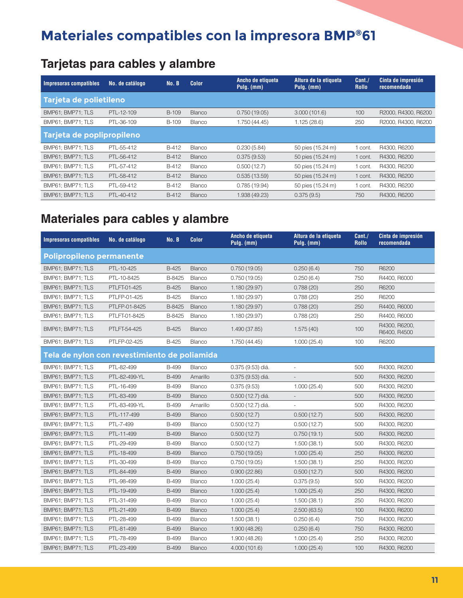### **Tarjetas para cables y alambre**

| Impresoras compatibles    | No. de catálogo | No. B | <b>Color</b>  | Ancho de etiqueta<br>Altura de la etiqueta<br>Pulg. (mm)<br>Pulg. (mm) |                   | Cant.<br><b>Rollo</b> | Cinta de impresión<br>recomendada |
|---------------------------|-----------------|-------|---------------|------------------------------------------------------------------------|-------------------|-----------------------|-----------------------------------|
| Tarjeta de polietileno    |                 |       |               |                                                                        |                   |                       |                                   |
| BMP61: BMP71: TLS         | PTL-12-109      | B-109 | <b>Blanco</b> | 0.750(19.05)                                                           | 3.000(101.6)      | 100                   | R2000, R4300, R6200               |
| BMP61; BMP71; TLS         | PTL-36-109      | B-109 | <b>Blanco</b> | 1.750 (44.45)                                                          | 1.125(28.6)       | 250                   | R2000, R4300, R6200               |
| Tarjeta de poplipropileno |                 |       |               |                                                                        |                   |                       |                                   |
| BMP61: BMP71: TLS         | PTL-55-412      | B-412 | Blanco        | 0.230(5.84)                                                            | 50 pies (15.24 m) | cont.                 | R4300, R6200                      |
| BMP61; BMP71; TLS         | PTL-56-412      | B-412 | <b>Blanco</b> | 0.375(9.53)                                                            | 50 pies (15.24 m) | 1 cont.               | R4300, R6200                      |
| BMP61: BMP71: TLS         | PTL-57-412      | B-412 | <b>Blanco</b> | 0.500(12.7)                                                            | 50 pies (15.24 m) | cont.                 | R4300, R6200                      |
| BMP61; BMP71; TLS         | PTL-58-412      | B-412 | <b>Blanco</b> | 0.535(13.59)                                                           | 50 pies (15.24 m) | 1 cont.               | R4300, R6200                      |
| BMP61; BMP71; TLS         | PTL-59-412      | B-412 | Blanco        | 0.785(19.94)                                                           | 50 pies (15.24 m) | cont.                 | R4300, R6200                      |
| BMP61: BMP71: TLS         | PTL-40-412      | B-412 | <b>Blanco</b> | 1.938 (49.23)                                                          | 0.375(9.5)        | 750                   | R4300, R6200                      |

### **Materiales para cables y alambre**

| <b>Impresoras compatibles</b>                | No. de catálogo | No. B        | Color         | Ancho de etiqueta<br>Pulg. (mm) | Altura de la etiqueta<br>Pulg. (mm) | Cant./<br><b>Rollo</b> | Cinta de impresión<br>recomendada |
|----------------------------------------------|-----------------|--------------|---------------|---------------------------------|-------------------------------------|------------------------|-----------------------------------|
| Polipropileno permanente                     |                 |              |               |                                 |                                     |                        |                                   |
| BMP61; BMP71; TLS                            | PTL-10-425      | B-425        | <b>Blanco</b> | 0.750(19.05)                    | 0.250(6.4)                          | 750                    | R6200                             |
| BMP61; BMP71; TLS                            | PTL-10-8425     | B-8425       | Blanco        | 0.750(19.05)                    | 0.250(6.4)                          | 750                    | R4400, R6000                      |
| BMP61; BMP71; TLS                            | PTLFT-01-425    | <b>B-425</b> | Blanco        | 1.180 (29.97)                   | 0.788(20)                           | 250                    | R6200                             |
| BMP61; BMP71; TLS                            | PTLFP-01-425    | B-425        | Blanco        | 1.180 (29.97)                   | 0.788(20)                           | 250                    | R6200                             |
| BMP61; BMP71; TLS                            | PTLFP-01-8425   | B-8425       | <b>Blanco</b> | 1.180 (29.97)                   | 0.788(20)                           | 250                    | R4400, R6000                      |
| BMP61; BMP71; TLS                            | PTLFT-01-8425   | B-8425       | Blanco        | 1.180 (29.97)                   | 0.788(20)                           | 250                    | R4400, R6000                      |
| BMP61; BMP71; TLS                            | PTLFT-54-425    | B-425        | <b>Blanco</b> | 1.490 (37.85)                   | 1.575(40)                           | 100                    | R4300, R6200,<br>R6400, R4500     |
| BMP61; BMP71; TLS                            | PTLFP-02-425    | B-425        | Blanco        | 1.750 (44.45)                   | 1.000(25.4)                         | 100                    | R6200                             |
| Tela de nylon con revestimiento de poliamida |                 |              |               |                                 |                                     |                        |                                   |
| BMP61; BMP71; TLS                            | PTL-82-499      | <b>B-499</b> | Blanco        | 0.375 (9.53) diá.               | $\overline{\phantom{a}}$            | 500                    | R4300, R6200                      |
| BMP61; BMP71; TLS                            | PTL-82-499-YL   | <b>B-499</b> | Amarillo      | 0.375 (9.53) diá.               |                                     | 500                    | R4300, R6200                      |
| BMP61; BMP71; TLS                            | PTL-16-499      | <b>B-499</b> | Blanco        | 0.375(9.53)                     | 1.000(25.4)                         | 500                    | R4300, R6200                      |
| BMP61; BMP71; TLS                            | PTL-83-499      | <b>B-499</b> | Blanco        | 0.500 (12.7) diá.               |                                     | 500                    | R4300, R6200                      |
| BMP61; BMP71; TLS                            | PTL-83-499-YL   | <b>B-499</b> | Amarillo      | 0.500 (12.7) diá.               | $\overline{\phantom{a}}$            | 500                    | R4300, R6200                      |
| BMP61; BMP71; TLS                            | PTL-117-499     | <b>B-499</b> | <b>Blanco</b> | 0.500(12.7)                     | 0.500(12.7)                         | 500                    | R4300, R6200                      |
| BMP61; BMP71; TLS                            | PTL-7-499       | <b>B-499</b> | Blanco        | 0.500(12.7)                     | 0.500(12.7)                         | 500                    | R4300, R6200                      |
| BMP61; BMP71; TLS                            | PTL-11-499      | <b>B-499</b> | <b>Blanco</b> | 0.500(12.7)                     | 0.750(19.1)                         | 500                    | R4300, R6200                      |
| BMP61; BMP71; TLS                            | PTL-29-499      | <b>B-499</b> | Blanco        | 0.500(12.7)                     | 1.500(38.1)                         | 500                    | R4300, R6200                      |
| BMP61; BMP71; TLS                            | PTL-18-499      | <b>B-499</b> | Blanco        | 0.750(19.05)                    | 1.000(25.4)                         | 250                    | R4300, R6200                      |
| BMP61; BMP71; TLS                            | PTL-30-499      | <b>B-499</b> | Blanco        | 0.750(19.05)                    | 1.500(38.1)                         | 250                    | R4300, R6200                      |
| BMP61; BMP71; TLS                            | PTL-84-499      | <b>B-499</b> | <b>Blanco</b> | 0.900(22.86)                    | 0.500(12.7)                         | 500                    | R4300, R6200                      |
| BMP61; BMP71; TLS                            | PTL-98-499      | <b>B-499</b> | Blanco        | 1.000(25.4)                     | 0.375(9.5)                          | 500                    | R4300, R6200                      |
| BMP61; BMP71; TLS                            | PTL-19-499      | <b>B-499</b> | Blanco        | 1.000(25.4)                     | 1.000(25.4)                         | 250                    | R4300, R6200                      |
| BMP61; BMP71; TLS                            | PTL-31-499      | <b>B-499</b> | Blanco        | 1.000(25.4)                     | 1.500(38.1)                         | 250                    | R4300, R6200                      |
| BMP61; BMP71; TLS                            | PTL-21-499      | <b>B-499</b> | Blanco        | 1.000(25.4)                     | 2.500(63.5)                         | 100                    | R4300, R6200                      |
| BMP61; BMP71; TLS                            | PTL-28-499      | <b>B-499</b> | Blanco        | 1.500(38.1)                     | 0.250(6.4)                          | 750                    | R4300, R6200                      |
| BMP61; BMP71; TLS                            | PTL-81-499      | <b>B-499</b> | <b>Blanco</b> | 1.900 (48.26)                   | 0.250(6.4)                          | 750                    | R4300, R6200                      |
| BMP61; BMP71; TLS                            | PTL-78-499      | <b>B-499</b> | Blanco        | 1.900 (48.26)                   | 1.000(25.4)                         | 250                    | R4300, R6200                      |
| BMP61; BMP71; TLS                            | PTL-23-499      | <b>B-499</b> | <b>Blanco</b> | 4.000 (101.6)                   | 1.000(25.4)                         | 100                    | R4300, R6200                      |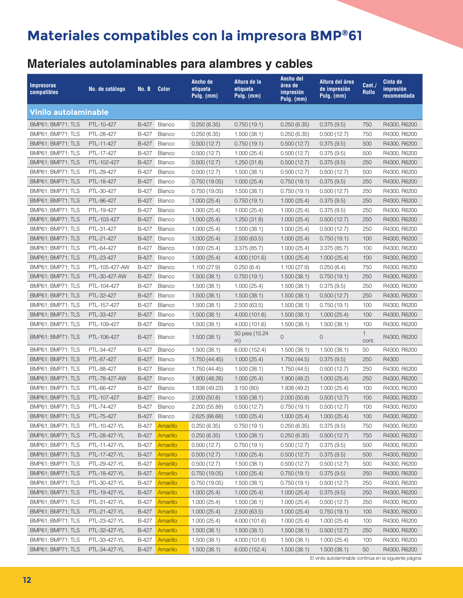### **Materiales autolaminables para alambres y cables**

| <b>Vinilo autolaminable</b><br><b>B-427</b><br>Blanco<br>750<br>BMP61; BMP71; TLS<br>PTL-10-427<br>0.250(6.35)<br>0.750(19.1)<br>0.250(6.35)<br>0.375(9.5)<br>R4300, R6200<br>BMP61; BMP71; TLS<br>PTL-28-427<br>B-427<br>0.250(6.35)<br>1.500(38.1)<br>0.250(6.35)<br>750<br>Blanco<br>0.500(12.7)<br>R4300, R6200<br>B-427<br>Blanco<br>500<br>BMP61; BMP71; TLS<br>PTL-11-427<br>0.500(12.7)<br>0.750(19.1)<br>0.500(12.7)<br>0.375(9.5)<br>R4300, R6200<br>PTL-17-427<br>B-427<br>Blanco<br>BMP61; BMP71; TLS<br>0.500(12.7)<br>1.000(25.4)<br>0.500(12.7)<br>0.375(9.5)<br>500<br>R4300, R6200<br>BMP61; BMP71; TLS<br>PTL-102-427<br>B-427<br>Blanco<br>0.500(12.7)<br>1.250(31.8)<br>0.500(12.7)<br>0.375(9.5)<br>250<br>R4300, R6200<br>BMP61; BMP71; TLS<br>PTL-29-427<br>B-427<br>Blanco<br>500<br>0.500(12.7)<br>1.500(38.1)<br>0.500(12.7)<br>0.500(12.7)<br>R4300, R6200<br>PTL-18-427<br><b>B-427</b><br>Blanco<br>BMP61; BMP71; TLS<br>0.750(19.05)<br>1.000(25.4)<br>0.750(19.1)<br>0.375(9.5)<br>250<br>R4300, R6200<br>B-427<br>BMP61; BMP71; TLS<br>PTL-30-427<br>Blanco<br>0.750(19.05)<br>1.500(38.1)<br>0.750(19.1)<br>0.500(12.7)<br>250<br>R4300, R6200<br>B-427<br>Blanco<br>BMP61; BMP71; TLS<br>PTL-96-427<br>1.000(25.4)<br>0.750(19.1)<br>1.000(25.4)<br>250<br>R4300, R6200<br>0.375(9.5)<br>B-427<br>Blanco<br>250<br>BMP61; BMP71; TLS<br>PTL-19-427<br>1.000(25.4)<br>1.000(25.4)<br>1.000(25.4)<br>0.375(9.5)<br>R4300, R6200<br>Blanco<br>B-427<br>250<br>BMP61; BMP71; TLS<br>PTL-103-427<br>1.000(25.4)<br>1.000(25.4)<br>0.500(12.7)<br>R4300, R6200<br>1.250(31.8)<br>B-427<br>250<br>BMP61; BMP71; TLS<br>PTL-31-427<br>Blanco<br>1.000(25.4)<br>1.500(38.1)<br>1.000(25.4)<br>0.500(12.7)<br>R4300, R6200<br>PTL-21-427<br>B-427<br>Blanco<br>BMP61; BMP71; TLS<br>1.000(25.4)<br>2.500(63.5)<br>1.000(25.4)<br>0.750(19.1)<br>100<br>R4300, R6200<br>B-427<br>BMP61; BMP71; TLS<br>PTL-64-427<br>Blanco<br>1.000(25.4)<br>3.375(85.7)<br>1.000(25.4)<br>100<br>3.375(85.7)<br>R4300, R6200<br>BMP61; BMP71; TLS<br>PTL-23-427<br>B-427<br>Blanco<br>100<br>R4300, R6200<br>1.000(25.4)<br>4.000 (101.6)<br>1.000(25.4)<br>1.000(25.4)<br>B-427<br>BMP61; BMP71; TLS<br>PTL-105-427-AW<br>Blanco<br>0.250(6.4)<br>1.100(27.9)<br>0.250(6.4)<br>750<br>R4300, R6200<br>1.100(27.9)<br>BMP61; BMP71; TLS<br>PTL-30-427-AW<br>B-427<br>250<br>Blanco<br>1.500(38.1)<br>0.750(19.1)<br>1.500(38.1)<br>0.750(19.1)<br>R4300, R6200<br>B-427<br>BMP61; BMP71; TLS<br>PTL-104-427<br>Blanco<br>1.500(38.1)<br>1.000(25.4)<br>1.500(38.1)<br>0.375(9.5)<br>250<br>R4300, R6200<br>B-427<br>BMP61; BMP71; TLS<br>PTL-32-427<br>Blanco<br>250<br>1.500(38.1)<br>1.500(38.1)<br>1.500(38.1)<br>0.500(12.7)<br>R4300, R6200<br>B-427<br>Blanco<br>BMP61; BMP71; TLS<br>PTL-157-427<br>1.500(38.1)<br>2.500(63.5)<br>1.500(38.1)<br>0.750(19.1)<br>100<br>R4300, R6200<br>PTL-33-427<br>B-427<br>Blanco<br>100<br>BMP61; BMP71; TLS<br>1.500(38.1)<br>1.500(38.1)<br>1.000(25.4)<br>R4300, R6200<br>4.000 (101.6)<br>B-427<br>BMP61; BMP71; TLS<br>PTL-109-427<br>Blanco<br>1.500(38.1)<br>4.000 (101.6)<br>1.500(38.1)<br>1.500(38.1)<br>100<br>R4300, R6200<br>50 pies (15.24<br>$\mathbf{1}$<br>PTL-106-427<br>Blanco<br>1.500(38.1)<br>0<br>$\mathbf 0$<br>R4300, R6200<br>BMP61; BMP71; TLS<br>B-427<br>cont.<br>m)<br>PTL-34-427<br>B-427<br>Blanco<br>BMP61; BMP71; TLS<br>1.500(38.1)<br>50<br>R4300, R6200<br>1.500(38.1)<br>6.000 (152.4)<br>1.500(38.1)<br>B-427<br>Blanco<br>250<br>BMP61; BMP71; TLS<br>PTL-87-427<br>1.000(25.4)<br>1.750(44.5)<br>0.375(9.5)<br>R4300<br>1.750 (44.45)<br>PTL-88-427<br>B-427<br>Blanco<br>250<br>BMP61; BMP71; TLS<br>1.750 (44.45)<br>1.500(38.1)<br>1.750 (44.5)<br>0.500(12.7)<br>R4300, R6200<br>B-427<br>Blanco<br>BMP61; BMP71; TLS<br>PTL-78-427-AW<br>1.900 (48.26)<br>1.000(25.4)<br>1.900(48.2)<br>1.000(25.4)<br>250<br>R4300, R6200<br>PTL-66-427<br>B-427<br>1.938 (49.2)<br>100<br>BMP61; BMP71; TLS<br>Blanco<br>1.938 (49.23)<br>3.150(80)<br>1.000(25.4)<br>R4300, R6200<br>BMP61; BMP71; TLS<br>PTL-107-427<br>B-427<br>Blanco<br>2.000(50.8)<br>1.500(38.1)<br>2.000(50.8)<br>0.500(12.7)<br>100<br>R4300, R6200<br>Blanco<br>BMP61; BMP71; TLS<br>PTL-74-427<br>B-427<br>2.200 (55.88)<br>0.500(12.7)<br>0.750(19.1)<br>0.500(12.7)<br>100<br>R4300, R6200<br>BMP61; BMP71; TLS<br>PTL-75-427<br>B-427<br>Blanco<br>2.625 (66.68)<br>1.000(25.4)<br>1.000(25.4)<br>1.000(25.4)<br>100<br>R4300, R6200<br>BMP61; BMP71; TLS<br>PTL-10-427-YL<br>B-427<br>Amarillo<br>0.250(6.35)<br>0.250(6.35)<br>750<br>R4300, R6200<br>0.750(19.1)<br>0.375(9.5)<br>Amarillo<br>BMP61; BMP71; TLS<br>PTL-28-427-YL<br>B-427<br>0.250(6.35)<br>1.500(38.1)<br>0.250(6.35)<br>0.500(12.7)<br>750<br>R4300, R6200<br>Amarillo<br>BMP61; BMP71; TLS<br>PTL-11-427-YL<br>B-427<br>0.500(12.7)<br>0.750(19.1)<br>0.500(12.7)<br>0.375(9.5)<br>500<br>R4300, R6200<br>Amarillo<br>BMP61; BMP71; TLS<br>PTL-17-427-YL<br>B-427<br>0.500(12.7)<br>1.000(25.4)<br>0.500(12.7)<br>0.375(9.5)<br>500<br>R4300, R6200<br>PTL-29-427-YL<br>B-427<br>Amarillo<br>0.500(12.7)<br>500<br>BMP61; BMP71; TLS<br>0.500(12.7)<br>1.500(38.1)<br>0.500(12.7)<br>R4300, R6200<br>Amarillo<br>250<br>BMP61; BMP71; TLS<br>PTL-18-427-YL<br>B-427<br>0.750(19.05)<br>1.000(25.4)<br>0.750(19.1)<br>0.375(9.5)<br>R4300, R6200<br>PTL-30-427-YL<br>B-427<br>Amarillo<br>1.500(38.1)<br>0.500(12.7)<br>250<br>R4300, R6200<br>BMP61; BMP71; TLS<br>0.750(19.05)<br>0.750(19.1)<br>PTL-19-427-YL<br>Amarillo<br>BMP61; BMP71; TLS<br>B-427<br>1.000(25.4)<br>1.000(25.4)<br>1.000(25.4)<br>0.375(9.5)<br>250<br>R4300, R6200<br>250<br>BMP61; BMP71; TLS<br>PTL-31-427-YL<br>B-427<br>Amarillo<br>1.000(25.4)<br>1.500(38.1)<br>1.000(25.4)<br>0.500(12.7)<br>R4300, R6200<br>PTL-21-427-YL<br>Amarillo<br>1.000(25.4)<br>BMP61; BMP71; TLS<br>B-427<br>2.500(63.5)<br>1.000(25.4)<br>0.750(19.1)<br>100<br>R4300, R6200<br>PTL-23-427-YL<br>B-427<br>Amarillo<br>100<br>BMP61; BMP71; TLS<br>1.000(25.4)<br>4.000 (101.6)<br>1.000(25.4)<br>1.000(25.4)<br>R4300, R6200<br>PTL-32-427-YL<br>Amarillo<br>BMP61; BMP71; TLS<br>B-427<br>1.500(38.1)<br>1.500(38.1)<br>1.500(38.1)<br>0.500(12.7)<br>250<br>R4300, R6200<br>BMP61; BMP71; TLS<br>B-427<br>Amarillo<br>1.500(38.1)<br>1.500(38.1)<br>100<br>PTL-33-427-YL<br>4.000 (101.6)<br>1.000(25.4)<br>R4300, R6200 | <b>Impresoras</b><br>compatibles | No. de catálogo | No. B | <b>Color</b> | Ancho de<br>etiqueta<br>Pulg. (mm) | Altura de la<br>etiqueta<br>Pulg. (mm) | <b>Ancho del</b><br>área de<br>impresión<br>Pulg. (mm) | Altura del área<br>de impresión<br>Pulg. (mm) | Cant.<br><b>Rollo</b> | Cinta de<br>impresión<br>recomendada |
|------------------------------------------------------------------------------------------------------------------------------------------------------------------------------------------------------------------------------------------------------------------------------------------------------------------------------------------------------------------------------------------------------------------------------------------------------------------------------------------------------------------------------------------------------------------------------------------------------------------------------------------------------------------------------------------------------------------------------------------------------------------------------------------------------------------------------------------------------------------------------------------------------------------------------------------------------------------------------------------------------------------------------------------------------------------------------------------------------------------------------------------------------------------------------------------------------------------------------------------------------------------------------------------------------------------------------------------------------------------------------------------------------------------------------------------------------------------------------------------------------------------------------------------------------------------------------------------------------------------------------------------------------------------------------------------------------------------------------------------------------------------------------------------------------------------------------------------------------------------------------------------------------------------------------------------------------------------------------------------------------------------------------------------------------------------------------------------------------------------------------------------------------------------------------------------------------------------------------------------------------------------------------------------------------------------------------------------------------------------------------------------------------------------------------------------------------------------------------------------------------------------------------------------------------------------------------------------------------------------------------------------------------------------------------------------------------------------------------------------------------------------------------------------------------------------------------------------------------------------------------------------------------------------------------------------------------------------------------------------------------------------------------------------------------------------------------------------------------------------------------------------------------------------------------------------------------------------------------------------------------------------------------------------------------------------------------------------------------------------------------------------------------------------------------------------------------------------------------------------------------------------------------------------------------------------------------------------------------------------------------------------------------------------------------------------------------------------------------------------------------------------------------------------------------------------------------------------------------------------------------------------------------------------------------------------------------------------------------------------------------------------------------------------------------------------------------------------------------------------------------------------------------------------------------------------------------------------------------------------------------------------------------------------------------------------------------------------------------------------------------------------------------------------------------------------------------------------------------------------------------------------------------------------------------------------------------------------------------------------------------------------------------------------------------------------------------------------------------------------------------------------------------------------------------------------------------------------------------------------------------------------------------------------------------------------------------------------------------------------------------------------------------------------------------------------------------------------------------------------------------------------------------------------------------------------------------------------------------------------------------------------------------------------------------------------------------------------------------------------------------------------------------------------------------------------------------------------------------------------------------------------------------------------------------------------------------------------------------------------------------------------------------------------------------------------------------------------------------------------------------------------------------------------------------------------------------------------------------------------------------------------------------------------------------------------------------------------------------------------------------------------------------------------------------------------------------------------------------------------------------------------------------------------------------------------------------------------------------------------------------------------------------------------------------------------------------------------------------------------------------------------------------------------------------|----------------------------------|-----------------|-------|--------------|------------------------------------|----------------------------------------|--------------------------------------------------------|-----------------------------------------------|-----------------------|--------------------------------------|
|                                                                                                                                                                                                                                                                                                                                                                                                                                                                                                                                                                                                                                                                                                                                                                                                                                                                                                                                                                                                                                                                                                                                                                                                                                                                                                                                                                                                                                                                                                                                                                                                                                                                                                                                                                                                                                                                                                                                                                                                                                                                                                                                                                                                                                                                                                                                                                                                                                                                                                                                                                                                                                                                                                                                                                                                                                                                                                                                                                                                                                                                                                                                                                                                                                                                                                                                                                                                                                                                                                                                                                                                                                                                                                                                                                                                                                                                                                                                                                                                                                                                                                                                                                                                                                                                                                                                                                                                                                                                                                                                                                                                                                                                                                                                                                                                                                                                                                                                                                                                                                                                                                                                                                                                                                                                                                                                                                                                                                                                                                                                                                                                                                                                                                                                                                                                                                                                                                                                                                                                                                                                                                                                                                                                                                                                                                                                                                                                                              |                                  |                 |       |              |                                    |                                        |                                                        |                                               |                       |                                      |
|                                                                                                                                                                                                                                                                                                                                                                                                                                                                                                                                                                                                                                                                                                                                                                                                                                                                                                                                                                                                                                                                                                                                                                                                                                                                                                                                                                                                                                                                                                                                                                                                                                                                                                                                                                                                                                                                                                                                                                                                                                                                                                                                                                                                                                                                                                                                                                                                                                                                                                                                                                                                                                                                                                                                                                                                                                                                                                                                                                                                                                                                                                                                                                                                                                                                                                                                                                                                                                                                                                                                                                                                                                                                                                                                                                                                                                                                                                                                                                                                                                                                                                                                                                                                                                                                                                                                                                                                                                                                                                                                                                                                                                                                                                                                                                                                                                                                                                                                                                                                                                                                                                                                                                                                                                                                                                                                                                                                                                                                                                                                                                                                                                                                                                                                                                                                                                                                                                                                                                                                                                                                                                                                                                                                                                                                                                                                                                                                                              |                                  |                 |       |              |                                    |                                        |                                                        |                                               |                       |                                      |
|                                                                                                                                                                                                                                                                                                                                                                                                                                                                                                                                                                                                                                                                                                                                                                                                                                                                                                                                                                                                                                                                                                                                                                                                                                                                                                                                                                                                                                                                                                                                                                                                                                                                                                                                                                                                                                                                                                                                                                                                                                                                                                                                                                                                                                                                                                                                                                                                                                                                                                                                                                                                                                                                                                                                                                                                                                                                                                                                                                                                                                                                                                                                                                                                                                                                                                                                                                                                                                                                                                                                                                                                                                                                                                                                                                                                                                                                                                                                                                                                                                                                                                                                                                                                                                                                                                                                                                                                                                                                                                                                                                                                                                                                                                                                                                                                                                                                                                                                                                                                                                                                                                                                                                                                                                                                                                                                                                                                                                                                                                                                                                                                                                                                                                                                                                                                                                                                                                                                                                                                                                                                                                                                                                                                                                                                                                                                                                                                                              |                                  |                 |       |              |                                    |                                        |                                                        |                                               |                       |                                      |
|                                                                                                                                                                                                                                                                                                                                                                                                                                                                                                                                                                                                                                                                                                                                                                                                                                                                                                                                                                                                                                                                                                                                                                                                                                                                                                                                                                                                                                                                                                                                                                                                                                                                                                                                                                                                                                                                                                                                                                                                                                                                                                                                                                                                                                                                                                                                                                                                                                                                                                                                                                                                                                                                                                                                                                                                                                                                                                                                                                                                                                                                                                                                                                                                                                                                                                                                                                                                                                                                                                                                                                                                                                                                                                                                                                                                                                                                                                                                                                                                                                                                                                                                                                                                                                                                                                                                                                                                                                                                                                                                                                                                                                                                                                                                                                                                                                                                                                                                                                                                                                                                                                                                                                                                                                                                                                                                                                                                                                                                                                                                                                                                                                                                                                                                                                                                                                                                                                                                                                                                                                                                                                                                                                                                                                                                                                                                                                                                                              |                                  |                 |       |              |                                    |                                        |                                                        |                                               |                       |                                      |
|                                                                                                                                                                                                                                                                                                                                                                                                                                                                                                                                                                                                                                                                                                                                                                                                                                                                                                                                                                                                                                                                                                                                                                                                                                                                                                                                                                                                                                                                                                                                                                                                                                                                                                                                                                                                                                                                                                                                                                                                                                                                                                                                                                                                                                                                                                                                                                                                                                                                                                                                                                                                                                                                                                                                                                                                                                                                                                                                                                                                                                                                                                                                                                                                                                                                                                                                                                                                                                                                                                                                                                                                                                                                                                                                                                                                                                                                                                                                                                                                                                                                                                                                                                                                                                                                                                                                                                                                                                                                                                                                                                                                                                                                                                                                                                                                                                                                                                                                                                                                                                                                                                                                                                                                                                                                                                                                                                                                                                                                                                                                                                                                                                                                                                                                                                                                                                                                                                                                                                                                                                                                                                                                                                                                                                                                                                                                                                                                                              |                                  |                 |       |              |                                    |                                        |                                                        |                                               |                       |                                      |
|                                                                                                                                                                                                                                                                                                                                                                                                                                                                                                                                                                                                                                                                                                                                                                                                                                                                                                                                                                                                                                                                                                                                                                                                                                                                                                                                                                                                                                                                                                                                                                                                                                                                                                                                                                                                                                                                                                                                                                                                                                                                                                                                                                                                                                                                                                                                                                                                                                                                                                                                                                                                                                                                                                                                                                                                                                                                                                                                                                                                                                                                                                                                                                                                                                                                                                                                                                                                                                                                                                                                                                                                                                                                                                                                                                                                                                                                                                                                                                                                                                                                                                                                                                                                                                                                                                                                                                                                                                                                                                                                                                                                                                                                                                                                                                                                                                                                                                                                                                                                                                                                                                                                                                                                                                                                                                                                                                                                                                                                                                                                                                                                                                                                                                                                                                                                                                                                                                                                                                                                                                                                                                                                                                                                                                                                                                                                                                                                                              |                                  |                 |       |              |                                    |                                        |                                                        |                                               |                       |                                      |
|                                                                                                                                                                                                                                                                                                                                                                                                                                                                                                                                                                                                                                                                                                                                                                                                                                                                                                                                                                                                                                                                                                                                                                                                                                                                                                                                                                                                                                                                                                                                                                                                                                                                                                                                                                                                                                                                                                                                                                                                                                                                                                                                                                                                                                                                                                                                                                                                                                                                                                                                                                                                                                                                                                                                                                                                                                                                                                                                                                                                                                                                                                                                                                                                                                                                                                                                                                                                                                                                                                                                                                                                                                                                                                                                                                                                                                                                                                                                                                                                                                                                                                                                                                                                                                                                                                                                                                                                                                                                                                                                                                                                                                                                                                                                                                                                                                                                                                                                                                                                                                                                                                                                                                                                                                                                                                                                                                                                                                                                                                                                                                                                                                                                                                                                                                                                                                                                                                                                                                                                                                                                                                                                                                                                                                                                                                                                                                                                                              |                                  |                 |       |              |                                    |                                        |                                                        |                                               |                       |                                      |
|                                                                                                                                                                                                                                                                                                                                                                                                                                                                                                                                                                                                                                                                                                                                                                                                                                                                                                                                                                                                                                                                                                                                                                                                                                                                                                                                                                                                                                                                                                                                                                                                                                                                                                                                                                                                                                                                                                                                                                                                                                                                                                                                                                                                                                                                                                                                                                                                                                                                                                                                                                                                                                                                                                                                                                                                                                                                                                                                                                                                                                                                                                                                                                                                                                                                                                                                                                                                                                                                                                                                                                                                                                                                                                                                                                                                                                                                                                                                                                                                                                                                                                                                                                                                                                                                                                                                                                                                                                                                                                                                                                                                                                                                                                                                                                                                                                                                                                                                                                                                                                                                                                                                                                                                                                                                                                                                                                                                                                                                                                                                                                                                                                                                                                                                                                                                                                                                                                                                                                                                                                                                                                                                                                                                                                                                                                                                                                                                                              |                                  |                 |       |              |                                    |                                        |                                                        |                                               |                       |                                      |
|                                                                                                                                                                                                                                                                                                                                                                                                                                                                                                                                                                                                                                                                                                                                                                                                                                                                                                                                                                                                                                                                                                                                                                                                                                                                                                                                                                                                                                                                                                                                                                                                                                                                                                                                                                                                                                                                                                                                                                                                                                                                                                                                                                                                                                                                                                                                                                                                                                                                                                                                                                                                                                                                                                                                                                                                                                                                                                                                                                                                                                                                                                                                                                                                                                                                                                                                                                                                                                                                                                                                                                                                                                                                                                                                                                                                                                                                                                                                                                                                                                                                                                                                                                                                                                                                                                                                                                                                                                                                                                                                                                                                                                                                                                                                                                                                                                                                                                                                                                                                                                                                                                                                                                                                                                                                                                                                                                                                                                                                                                                                                                                                                                                                                                                                                                                                                                                                                                                                                                                                                                                                                                                                                                                                                                                                                                                                                                                                                              |                                  |                 |       |              |                                    |                                        |                                                        |                                               |                       |                                      |
|                                                                                                                                                                                                                                                                                                                                                                                                                                                                                                                                                                                                                                                                                                                                                                                                                                                                                                                                                                                                                                                                                                                                                                                                                                                                                                                                                                                                                                                                                                                                                                                                                                                                                                                                                                                                                                                                                                                                                                                                                                                                                                                                                                                                                                                                                                                                                                                                                                                                                                                                                                                                                                                                                                                                                                                                                                                                                                                                                                                                                                                                                                                                                                                                                                                                                                                                                                                                                                                                                                                                                                                                                                                                                                                                                                                                                                                                                                                                                                                                                                                                                                                                                                                                                                                                                                                                                                                                                                                                                                                                                                                                                                                                                                                                                                                                                                                                                                                                                                                                                                                                                                                                                                                                                                                                                                                                                                                                                                                                                                                                                                                                                                                                                                                                                                                                                                                                                                                                                                                                                                                                                                                                                                                                                                                                                                                                                                                                                              |                                  |                 |       |              |                                    |                                        |                                                        |                                               |                       |                                      |
|                                                                                                                                                                                                                                                                                                                                                                                                                                                                                                                                                                                                                                                                                                                                                                                                                                                                                                                                                                                                                                                                                                                                                                                                                                                                                                                                                                                                                                                                                                                                                                                                                                                                                                                                                                                                                                                                                                                                                                                                                                                                                                                                                                                                                                                                                                                                                                                                                                                                                                                                                                                                                                                                                                                                                                                                                                                                                                                                                                                                                                                                                                                                                                                                                                                                                                                                                                                                                                                                                                                                                                                                                                                                                                                                                                                                                                                                                                                                                                                                                                                                                                                                                                                                                                                                                                                                                                                                                                                                                                                                                                                                                                                                                                                                                                                                                                                                                                                                                                                                                                                                                                                                                                                                                                                                                                                                                                                                                                                                                                                                                                                                                                                                                                                                                                                                                                                                                                                                                                                                                                                                                                                                                                                                                                                                                                                                                                                                                              |                                  |                 |       |              |                                    |                                        |                                                        |                                               |                       |                                      |
|                                                                                                                                                                                                                                                                                                                                                                                                                                                                                                                                                                                                                                                                                                                                                                                                                                                                                                                                                                                                                                                                                                                                                                                                                                                                                                                                                                                                                                                                                                                                                                                                                                                                                                                                                                                                                                                                                                                                                                                                                                                                                                                                                                                                                                                                                                                                                                                                                                                                                                                                                                                                                                                                                                                                                                                                                                                                                                                                                                                                                                                                                                                                                                                                                                                                                                                                                                                                                                                                                                                                                                                                                                                                                                                                                                                                                                                                                                                                                                                                                                                                                                                                                                                                                                                                                                                                                                                                                                                                                                                                                                                                                                                                                                                                                                                                                                                                                                                                                                                                                                                                                                                                                                                                                                                                                                                                                                                                                                                                                                                                                                                                                                                                                                                                                                                                                                                                                                                                                                                                                                                                                                                                                                                                                                                                                                                                                                                                                              |                                  |                 |       |              |                                    |                                        |                                                        |                                               |                       |                                      |
|                                                                                                                                                                                                                                                                                                                                                                                                                                                                                                                                                                                                                                                                                                                                                                                                                                                                                                                                                                                                                                                                                                                                                                                                                                                                                                                                                                                                                                                                                                                                                                                                                                                                                                                                                                                                                                                                                                                                                                                                                                                                                                                                                                                                                                                                                                                                                                                                                                                                                                                                                                                                                                                                                                                                                                                                                                                                                                                                                                                                                                                                                                                                                                                                                                                                                                                                                                                                                                                                                                                                                                                                                                                                                                                                                                                                                                                                                                                                                                                                                                                                                                                                                                                                                                                                                                                                                                                                                                                                                                                                                                                                                                                                                                                                                                                                                                                                                                                                                                                                                                                                                                                                                                                                                                                                                                                                                                                                                                                                                                                                                                                                                                                                                                                                                                                                                                                                                                                                                                                                                                                                                                                                                                                                                                                                                                                                                                                                                              |                                  |                 |       |              |                                    |                                        |                                                        |                                               |                       |                                      |
|                                                                                                                                                                                                                                                                                                                                                                                                                                                                                                                                                                                                                                                                                                                                                                                                                                                                                                                                                                                                                                                                                                                                                                                                                                                                                                                                                                                                                                                                                                                                                                                                                                                                                                                                                                                                                                                                                                                                                                                                                                                                                                                                                                                                                                                                                                                                                                                                                                                                                                                                                                                                                                                                                                                                                                                                                                                                                                                                                                                                                                                                                                                                                                                                                                                                                                                                                                                                                                                                                                                                                                                                                                                                                                                                                                                                                                                                                                                                                                                                                                                                                                                                                                                                                                                                                                                                                                                                                                                                                                                                                                                                                                                                                                                                                                                                                                                                                                                                                                                                                                                                                                                                                                                                                                                                                                                                                                                                                                                                                                                                                                                                                                                                                                                                                                                                                                                                                                                                                                                                                                                                                                                                                                                                                                                                                                                                                                                                                              |                                  |                 |       |              |                                    |                                        |                                                        |                                               |                       |                                      |
|                                                                                                                                                                                                                                                                                                                                                                                                                                                                                                                                                                                                                                                                                                                                                                                                                                                                                                                                                                                                                                                                                                                                                                                                                                                                                                                                                                                                                                                                                                                                                                                                                                                                                                                                                                                                                                                                                                                                                                                                                                                                                                                                                                                                                                                                                                                                                                                                                                                                                                                                                                                                                                                                                                                                                                                                                                                                                                                                                                                                                                                                                                                                                                                                                                                                                                                                                                                                                                                                                                                                                                                                                                                                                                                                                                                                                                                                                                                                                                                                                                                                                                                                                                                                                                                                                                                                                                                                                                                                                                                                                                                                                                                                                                                                                                                                                                                                                                                                                                                                                                                                                                                                                                                                                                                                                                                                                                                                                                                                                                                                                                                                                                                                                                                                                                                                                                                                                                                                                                                                                                                                                                                                                                                                                                                                                                                                                                                                                              |                                  |                 |       |              |                                    |                                        |                                                        |                                               |                       |                                      |
|                                                                                                                                                                                                                                                                                                                                                                                                                                                                                                                                                                                                                                                                                                                                                                                                                                                                                                                                                                                                                                                                                                                                                                                                                                                                                                                                                                                                                                                                                                                                                                                                                                                                                                                                                                                                                                                                                                                                                                                                                                                                                                                                                                                                                                                                                                                                                                                                                                                                                                                                                                                                                                                                                                                                                                                                                                                                                                                                                                                                                                                                                                                                                                                                                                                                                                                                                                                                                                                                                                                                                                                                                                                                                                                                                                                                                                                                                                                                                                                                                                                                                                                                                                                                                                                                                                                                                                                                                                                                                                                                                                                                                                                                                                                                                                                                                                                                                                                                                                                                                                                                                                                                                                                                                                                                                                                                                                                                                                                                                                                                                                                                                                                                                                                                                                                                                                                                                                                                                                                                                                                                                                                                                                                                                                                                                                                                                                                                                              |                                  |                 |       |              |                                    |                                        |                                                        |                                               |                       |                                      |
|                                                                                                                                                                                                                                                                                                                                                                                                                                                                                                                                                                                                                                                                                                                                                                                                                                                                                                                                                                                                                                                                                                                                                                                                                                                                                                                                                                                                                                                                                                                                                                                                                                                                                                                                                                                                                                                                                                                                                                                                                                                                                                                                                                                                                                                                                                                                                                                                                                                                                                                                                                                                                                                                                                                                                                                                                                                                                                                                                                                                                                                                                                                                                                                                                                                                                                                                                                                                                                                                                                                                                                                                                                                                                                                                                                                                                                                                                                                                                                                                                                                                                                                                                                                                                                                                                                                                                                                                                                                                                                                                                                                                                                                                                                                                                                                                                                                                                                                                                                                                                                                                                                                                                                                                                                                                                                                                                                                                                                                                                                                                                                                                                                                                                                                                                                                                                                                                                                                                                                                                                                                                                                                                                                                                                                                                                                                                                                                                                              |                                  |                 |       |              |                                    |                                        |                                                        |                                               |                       |                                      |
|                                                                                                                                                                                                                                                                                                                                                                                                                                                                                                                                                                                                                                                                                                                                                                                                                                                                                                                                                                                                                                                                                                                                                                                                                                                                                                                                                                                                                                                                                                                                                                                                                                                                                                                                                                                                                                                                                                                                                                                                                                                                                                                                                                                                                                                                                                                                                                                                                                                                                                                                                                                                                                                                                                                                                                                                                                                                                                                                                                                                                                                                                                                                                                                                                                                                                                                                                                                                                                                                                                                                                                                                                                                                                                                                                                                                                                                                                                                                                                                                                                                                                                                                                                                                                                                                                                                                                                                                                                                                                                                                                                                                                                                                                                                                                                                                                                                                                                                                                                                                                                                                                                                                                                                                                                                                                                                                                                                                                                                                                                                                                                                                                                                                                                                                                                                                                                                                                                                                                                                                                                                                                                                                                                                                                                                                                                                                                                                                                              |                                  |                 |       |              |                                    |                                        |                                                        |                                               |                       |                                      |
|                                                                                                                                                                                                                                                                                                                                                                                                                                                                                                                                                                                                                                                                                                                                                                                                                                                                                                                                                                                                                                                                                                                                                                                                                                                                                                                                                                                                                                                                                                                                                                                                                                                                                                                                                                                                                                                                                                                                                                                                                                                                                                                                                                                                                                                                                                                                                                                                                                                                                                                                                                                                                                                                                                                                                                                                                                                                                                                                                                                                                                                                                                                                                                                                                                                                                                                                                                                                                                                                                                                                                                                                                                                                                                                                                                                                                                                                                                                                                                                                                                                                                                                                                                                                                                                                                                                                                                                                                                                                                                                                                                                                                                                                                                                                                                                                                                                                                                                                                                                                                                                                                                                                                                                                                                                                                                                                                                                                                                                                                                                                                                                                                                                                                                                                                                                                                                                                                                                                                                                                                                                                                                                                                                                                                                                                                                                                                                                                                              |                                  |                 |       |              |                                    |                                        |                                                        |                                               |                       |                                      |
|                                                                                                                                                                                                                                                                                                                                                                                                                                                                                                                                                                                                                                                                                                                                                                                                                                                                                                                                                                                                                                                                                                                                                                                                                                                                                                                                                                                                                                                                                                                                                                                                                                                                                                                                                                                                                                                                                                                                                                                                                                                                                                                                                                                                                                                                                                                                                                                                                                                                                                                                                                                                                                                                                                                                                                                                                                                                                                                                                                                                                                                                                                                                                                                                                                                                                                                                                                                                                                                                                                                                                                                                                                                                                                                                                                                                                                                                                                                                                                                                                                                                                                                                                                                                                                                                                                                                                                                                                                                                                                                                                                                                                                                                                                                                                                                                                                                                                                                                                                                                                                                                                                                                                                                                                                                                                                                                                                                                                                                                                                                                                                                                                                                                                                                                                                                                                                                                                                                                                                                                                                                                                                                                                                                                                                                                                                                                                                                                                              |                                  |                 |       |              |                                    |                                        |                                                        |                                               |                       |                                      |
|                                                                                                                                                                                                                                                                                                                                                                                                                                                                                                                                                                                                                                                                                                                                                                                                                                                                                                                                                                                                                                                                                                                                                                                                                                                                                                                                                                                                                                                                                                                                                                                                                                                                                                                                                                                                                                                                                                                                                                                                                                                                                                                                                                                                                                                                                                                                                                                                                                                                                                                                                                                                                                                                                                                                                                                                                                                                                                                                                                                                                                                                                                                                                                                                                                                                                                                                                                                                                                                                                                                                                                                                                                                                                                                                                                                                                                                                                                                                                                                                                                                                                                                                                                                                                                                                                                                                                                                                                                                                                                                                                                                                                                                                                                                                                                                                                                                                                                                                                                                                                                                                                                                                                                                                                                                                                                                                                                                                                                                                                                                                                                                                                                                                                                                                                                                                                                                                                                                                                                                                                                                                                                                                                                                                                                                                                                                                                                                                                              |                                  |                 |       |              |                                    |                                        |                                                        |                                               |                       |                                      |
|                                                                                                                                                                                                                                                                                                                                                                                                                                                                                                                                                                                                                                                                                                                                                                                                                                                                                                                                                                                                                                                                                                                                                                                                                                                                                                                                                                                                                                                                                                                                                                                                                                                                                                                                                                                                                                                                                                                                                                                                                                                                                                                                                                                                                                                                                                                                                                                                                                                                                                                                                                                                                                                                                                                                                                                                                                                                                                                                                                                                                                                                                                                                                                                                                                                                                                                                                                                                                                                                                                                                                                                                                                                                                                                                                                                                                                                                                                                                                                                                                                                                                                                                                                                                                                                                                                                                                                                                                                                                                                                                                                                                                                                                                                                                                                                                                                                                                                                                                                                                                                                                                                                                                                                                                                                                                                                                                                                                                                                                                                                                                                                                                                                                                                                                                                                                                                                                                                                                                                                                                                                                                                                                                                                                                                                                                                                                                                                                                              |                                  |                 |       |              |                                    |                                        |                                                        |                                               |                       |                                      |
|                                                                                                                                                                                                                                                                                                                                                                                                                                                                                                                                                                                                                                                                                                                                                                                                                                                                                                                                                                                                                                                                                                                                                                                                                                                                                                                                                                                                                                                                                                                                                                                                                                                                                                                                                                                                                                                                                                                                                                                                                                                                                                                                                                                                                                                                                                                                                                                                                                                                                                                                                                                                                                                                                                                                                                                                                                                                                                                                                                                                                                                                                                                                                                                                                                                                                                                                                                                                                                                                                                                                                                                                                                                                                                                                                                                                                                                                                                                                                                                                                                                                                                                                                                                                                                                                                                                                                                                                                                                                                                                                                                                                                                                                                                                                                                                                                                                                                                                                                                                                                                                                                                                                                                                                                                                                                                                                                                                                                                                                                                                                                                                                                                                                                                                                                                                                                                                                                                                                                                                                                                                                                                                                                                                                                                                                                                                                                                                                                              |                                  |                 |       |              |                                    |                                        |                                                        |                                               |                       |                                      |
|                                                                                                                                                                                                                                                                                                                                                                                                                                                                                                                                                                                                                                                                                                                                                                                                                                                                                                                                                                                                                                                                                                                                                                                                                                                                                                                                                                                                                                                                                                                                                                                                                                                                                                                                                                                                                                                                                                                                                                                                                                                                                                                                                                                                                                                                                                                                                                                                                                                                                                                                                                                                                                                                                                                                                                                                                                                                                                                                                                                                                                                                                                                                                                                                                                                                                                                                                                                                                                                                                                                                                                                                                                                                                                                                                                                                                                                                                                                                                                                                                                                                                                                                                                                                                                                                                                                                                                                                                                                                                                                                                                                                                                                                                                                                                                                                                                                                                                                                                                                                                                                                                                                                                                                                                                                                                                                                                                                                                                                                                                                                                                                                                                                                                                                                                                                                                                                                                                                                                                                                                                                                                                                                                                                                                                                                                                                                                                                                                              |                                  |                 |       |              |                                    |                                        |                                                        |                                               |                       |                                      |
|                                                                                                                                                                                                                                                                                                                                                                                                                                                                                                                                                                                                                                                                                                                                                                                                                                                                                                                                                                                                                                                                                                                                                                                                                                                                                                                                                                                                                                                                                                                                                                                                                                                                                                                                                                                                                                                                                                                                                                                                                                                                                                                                                                                                                                                                                                                                                                                                                                                                                                                                                                                                                                                                                                                                                                                                                                                                                                                                                                                                                                                                                                                                                                                                                                                                                                                                                                                                                                                                                                                                                                                                                                                                                                                                                                                                                                                                                                                                                                                                                                                                                                                                                                                                                                                                                                                                                                                                                                                                                                                                                                                                                                                                                                                                                                                                                                                                                                                                                                                                                                                                                                                                                                                                                                                                                                                                                                                                                                                                                                                                                                                                                                                                                                                                                                                                                                                                                                                                                                                                                                                                                                                                                                                                                                                                                                                                                                                                                              |                                  |                 |       |              |                                    |                                        |                                                        |                                               |                       |                                      |
|                                                                                                                                                                                                                                                                                                                                                                                                                                                                                                                                                                                                                                                                                                                                                                                                                                                                                                                                                                                                                                                                                                                                                                                                                                                                                                                                                                                                                                                                                                                                                                                                                                                                                                                                                                                                                                                                                                                                                                                                                                                                                                                                                                                                                                                                                                                                                                                                                                                                                                                                                                                                                                                                                                                                                                                                                                                                                                                                                                                                                                                                                                                                                                                                                                                                                                                                                                                                                                                                                                                                                                                                                                                                                                                                                                                                                                                                                                                                                                                                                                                                                                                                                                                                                                                                                                                                                                                                                                                                                                                                                                                                                                                                                                                                                                                                                                                                                                                                                                                                                                                                                                                                                                                                                                                                                                                                                                                                                                                                                                                                                                                                                                                                                                                                                                                                                                                                                                                                                                                                                                                                                                                                                                                                                                                                                                                                                                                                                              |                                  |                 |       |              |                                    |                                        |                                                        |                                               |                       |                                      |
|                                                                                                                                                                                                                                                                                                                                                                                                                                                                                                                                                                                                                                                                                                                                                                                                                                                                                                                                                                                                                                                                                                                                                                                                                                                                                                                                                                                                                                                                                                                                                                                                                                                                                                                                                                                                                                                                                                                                                                                                                                                                                                                                                                                                                                                                                                                                                                                                                                                                                                                                                                                                                                                                                                                                                                                                                                                                                                                                                                                                                                                                                                                                                                                                                                                                                                                                                                                                                                                                                                                                                                                                                                                                                                                                                                                                                                                                                                                                                                                                                                                                                                                                                                                                                                                                                                                                                                                                                                                                                                                                                                                                                                                                                                                                                                                                                                                                                                                                                                                                                                                                                                                                                                                                                                                                                                                                                                                                                                                                                                                                                                                                                                                                                                                                                                                                                                                                                                                                                                                                                                                                                                                                                                                                                                                                                                                                                                                                                              |                                  |                 |       |              |                                    |                                        |                                                        |                                               |                       |                                      |
|                                                                                                                                                                                                                                                                                                                                                                                                                                                                                                                                                                                                                                                                                                                                                                                                                                                                                                                                                                                                                                                                                                                                                                                                                                                                                                                                                                                                                                                                                                                                                                                                                                                                                                                                                                                                                                                                                                                                                                                                                                                                                                                                                                                                                                                                                                                                                                                                                                                                                                                                                                                                                                                                                                                                                                                                                                                                                                                                                                                                                                                                                                                                                                                                                                                                                                                                                                                                                                                                                                                                                                                                                                                                                                                                                                                                                                                                                                                                                                                                                                                                                                                                                                                                                                                                                                                                                                                                                                                                                                                                                                                                                                                                                                                                                                                                                                                                                                                                                                                                                                                                                                                                                                                                                                                                                                                                                                                                                                                                                                                                                                                                                                                                                                                                                                                                                                                                                                                                                                                                                                                                                                                                                                                                                                                                                                                                                                                                                              |                                  |                 |       |              |                                    |                                        |                                                        |                                               |                       |                                      |
|                                                                                                                                                                                                                                                                                                                                                                                                                                                                                                                                                                                                                                                                                                                                                                                                                                                                                                                                                                                                                                                                                                                                                                                                                                                                                                                                                                                                                                                                                                                                                                                                                                                                                                                                                                                                                                                                                                                                                                                                                                                                                                                                                                                                                                                                                                                                                                                                                                                                                                                                                                                                                                                                                                                                                                                                                                                                                                                                                                                                                                                                                                                                                                                                                                                                                                                                                                                                                                                                                                                                                                                                                                                                                                                                                                                                                                                                                                                                                                                                                                                                                                                                                                                                                                                                                                                                                                                                                                                                                                                                                                                                                                                                                                                                                                                                                                                                                                                                                                                                                                                                                                                                                                                                                                                                                                                                                                                                                                                                                                                                                                                                                                                                                                                                                                                                                                                                                                                                                                                                                                                                                                                                                                                                                                                                                                                                                                                                                              |                                  |                 |       |              |                                    |                                        |                                                        |                                               |                       |                                      |
|                                                                                                                                                                                                                                                                                                                                                                                                                                                                                                                                                                                                                                                                                                                                                                                                                                                                                                                                                                                                                                                                                                                                                                                                                                                                                                                                                                                                                                                                                                                                                                                                                                                                                                                                                                                                                                                                                                                                                                                                                                                                                                                                                                                                                                                                                                                                                                                                                                                                                                                                                                                                                                                                                                                                                                                                                                                                                                                                                                                                                                                                                                                                                                                                                                                                                                                                                                                                                                                                                                                                                                                                                                                                                                                                                                                                                                                                                                                                                                                                                                                                                                                                                                                                                                                                                                                                                                                                                                                                                                                                                                                                                                                                                                                                                                                                                                                                                                                                                                                                                                                                                                                                                                                                                                                                                                                                                                                                                                                                                                                                                                                                                                                                                                                                                                                                                                                                                                                                                                                                                                                                                                                                                                                                                                                                                                                                                                                                                              |                                  |                 |       |              |                                    |                                        |                                                        |                                               |                       |                                      |
|                                                                                                                                                                                                                                                                                                                                                                                                                                                                                                                                                                                                                                                                                                                                                                                                                                                                                                                                                                                                                                                                                                                                                                                                                                                                                                                                                                                                                                                                                                                                                                                                                                                                                                                                                                                                                                                                                                                                                                                                                                                                                                                                                                                                                                                                                                                                                                                                                                                                                                                                                                                                                                                                                                                                                                                                                                                                                                                                                                                                                                                                                                                                                                                                                                                                                                                                                                                                                                                                                                                                                                                                                                                                                                                                                                                                                                                                                                                                                                                                                                                                                                                                                                                                                                                                                                                                                                                                                                                                                                                                                                                                                                                                                                                                                                                                                                                                                                                                                                                                                                                                                                                                                                                                                                                                                                                                                                                                                                                                                                                                                                                                                                                                                                                                                                                                                                                                                                                                                                                                                                                                                                                                                                                                                                                                                                                                                                                                                              |                                  |                 |       |              |                                    |                                        |                                                        |                                               |                       |                                      |
|                                                                                                                                                                                                                                                                                                                                                                                                                                                                                                                                                                                                                                                                                                                                                                                                                                                                                                                                                                                                                                                                                                                                                                                                                                                                                                                                                                                                                                                                                                                                                                                                                                                                                                                                                                                                                                                                                                                                                                                                                                                                                                                                                                                                                                                                                                                                                                                                                                                                                                                                                                                                                                                                                                                                                                                                                                                                                                                                                                                                                                                                                                                                                                                                                                                                                                                                                                                                                                                                                                                                                                                                                                                                                                                                                                                                                                                                                                                                                                                                                                                                                                                                                                                                                                                                                                                                                                                                                                                                                                                                                                                                                                                                                                                                                                                                                                                                                                                                                                                                                                                                                                                                                                                                                                                                                                                                                                                                                                                                                                                                                                                                                                                                                                                                                                                                                                                                                                                                                                                                                                                                                                                                                                                                                                                                                                                                                                                                                              |                                  |                 |       |              |                                    |                                        |                                                        |                                               |                       |                                      |
|                                                                                                                                                                                                                                                                                                                                                                                                                                                                                                                                                                                                                                                                                                                                                                                                                                                                                                                                                                                                                                                                                                                                                                                                                                                                                                                                                                                                                                                                                                                                                                                                                                                                                                                                                                                                                                                                                                                                                                                                                                                                                                                                                                                                                                                                                                                                                                                                                                                                                                                                                                                                                                                                                                                                                                                                                                                                                                                                                                                                                                                                                                                                                                                                                                                                                                                                                                                                                                                                                                                                                                                                                                                                                                                                                                                                                                                                                                                                                                                                                                                                                                                                                                                                                                                                                                                                                                                                                                                                                                                                                                                                                                                                                                                                                                                                                                                                                                                                                                                                                                                                                                                                                                                                                                                                                                                                                                                                                                                                                                                                                                                                                                                                                                                                                                                                                                                                                                                                                                                                                                                                                                                                                                                                                                                                                                                                                                                                                              |                                  |                 |       |              |                                    |                                        |                                                        |                                               |                       |                                      |
|                                                                                                                                                                                                                                                                                                                                                                                                                                                                                                                                                                                                                                                                                                                                                                                                                                                                                                                                                                                                                                                                                                                                                                                                                                                                                                                                                                                                                                                                                                                                                                                                                                                                                                                                                                                                                                                                                                                                                                                                                                                                                                                                                                                                                                                                                                                                                                                                                                                                                                                                                                                                                                                                                                                                                                                                                                                                                                                                                                                                                                                                                                                                                                                                                                                                                                                                                                                                                                                                                                                                                                                                                                                                                                                                                                                                                                                                                                                                                                                                                                                                                                                                                                                                                                                                                                                                                                                                                                                                                                                                                                                                                                                                                                                                                                                                                                                                                                                                                                                                                                                                                                                                                                                                                                                                                                                                                                                                                                                                                                                                                                                                                                                                                                                                                                                                                                                                                                                                                                                                                                                                                                                                                                                                                                                                                                                                                                                                                              |                                  |                 |       |              |                                    |                                        |                                                        |                                               |                       |                                      |
|                                                                                                                                                                                                                                                                                                                                                                                                                                                                                                                                                                                                                                                                                                                                                                                                                                                                                                                                                                                                                                                                                                                                                                                                                                                                                                                                                                                                                                                                                                                                                                                                                                                                                                                                                                                                                                                                                                                                                                                                                                                                                                                                                                                                                                                                                                                                                                                                                                                                                                                                                                                                                                                                                                                                                                                                                                                                                                                                                                                                                                                                                                                                                                                                                                                                                                                                                                                                                                                                                                                                                                                                                                                                                                                                                                                                                                                                                                                                                                                                                                                                                                                                                                                                                                                                                                                                                                                                                                                                                                                                                                                                                                                                                                                                                                                                                                                                                                                                                                                                                                                                                                                                                                                                                                                                                                                                                                                                                                                                                                                                                                                                                                                                                                                                                                                                                                                                                                                                                                                                                                                                                                                                                                                                                                                                                                                                                                                                                              |                                  |                 |       |              |                                    |                                        |                                                        |                                               |                       |                                      |
|                                                                                                                                                                                                                                                                                                                                                                                                                                                                                                                                                                                                                                                                                                                                                                                                                                                                                                                                                                                                                                                                                                                                                                                                                                                                                                                                                                                                                                                                                                                                                                                                                                                                                                                                                                                                                                                                                                                                                                                                                                                                                                                                                                                                                                                                                                                                                                                                                                                                                                                                                                                                                                                                                                                                                                                                                                                                                                                                                                                                                                                                                                                                                                                                                                                                                                                                                                                                                                                                                                                                                                                                                                                                                                                                                                                                                                                                                                                                                                                                                                                                                                                                                                                                                                                                                                                                                                                                                                                                                                                                                                                                                                                                                                                                                                                                                                                                                                                                                                                                                                                                                                                                                                                                                                                                                                                                                                                                                                                                                                                                                                                                                                                                                                                                                                                                                                                                                                                                                                                                                                                                                                                                                                                                                                                                                                                                                                                                                              |                                  |                 |       |              |                                    |                                        |                                                        |                                               |                       |                                      |
|                                                                                                                                                                                                                                                                                                                                                                                                                                                                                                                                                                                                                                                                                                                                                                                                                                                                                                                                                                                                                                                                                                                                                                                                                                                                                                                                                                                                                                                                                                                                                                                                                                                                                                                                                                                                                                                                                                                                                                                                                                                                                                                                                                                                                                                                                                                                                                                                                                                                                                                                                                                                                                                                                                                                                                                                                                                                                                                                                                                                                                                                                                                                                                                                                                                                                                                                                                                                                                                                                                                                                                                                                                                                                                                                                                                                                                                                                                                                                                                                                                                                                                                                                                                                                                                                                                                                                                                                                                                                                                                                                                                                                                                                                                                                                                                                                                                                                                                                                                                                                                                                                                                                                                                                                                                                                                                                                                                                                                                                                                                                                                                                                                                                                                                                                                                                                                                                                                                                                                                                                                                                                                                                                                                                                                                                                                                                                                                                                              |                                  |                 |       |              |                                    |                                        |                                                        |                                               |                       |                                      |
|                                                                                                                                                                                                                                                                                                                                                                                                                                                                                                                                                                                                                                                                                                                                                                                                                                                                                                                                                                                                                                                                                                                                                                                                                                                                                                                                                                                                                                                                                                                                                                                                                                                                                                                                                                                                                                                                                                                                                                                                                                                                                                                                                                                                                                                                                                                                                                                                                                                                                                                                                                                                                                                                                                                                                                                                                                                                                                                                                                                                                                                                                                                                                                                                                                                                                                                                                                                                                                                                                                                                                                                                                                                                                                                                                                                                                                                                                                                                                                                                                                                                                                                                                                                                                                                                                                                                                                                                                                                                                                                                                                                                                                                                                                                                                                                                                                                                                                                                                                                                                                                                                                                                                                                                                                                                                                                                                                                                                                                                                                                                                                                                                                                                                                                                                                                                                                                                                                                                                                                                                                                                                                                                                                                                                                                                                                                                                                                                                              |                                  |                 |       |              |                                    |                                        |                                                        |                                               |                       |                                      |
|                                                                                                                                                                                                                                                                                                                                                                                                                                                                                                                                                                                                                                                                                                                                                                                                                                                                                                                                                                                                                                                                                                                                                                                                                                                                                                                                                                                                                                                                                                                                                                                                                                                                                                                                                                                                                                                                                                                                                                                                                                                                                                                                                                                                                                                                                                                                                                                                                                                                                                                                                                                                                                                                                                                                                                                                                                                                                                                                                                                                                                                                                                                                                                                                                                                                                                                                                                                                                                                                                                                                                                                                                                                                                                                                                                                                                                                                                                                                                                                                                                                                                                                                                                                                                                                                                                                                                                                                                                                                                                                                                                                                                                                                                                                                                                                                                                                                                                                                                                                                                                                                                                                                                                                                                                                                                                                                                                                                                                                                                                                                                                                                                                                                                                                                                                                                                                                                                                                                                                                                                                                                                                                                                                                                                                                                                                                                                                                                                              |                                  |                 |       |              |                                    |                                        |                                                        |                                               |                       |                                      |
|                                                                                                                                                                                                                                                                                                                                                                                                                                                                                                                                                                                                                                                                                                                                                                                                                                                                                                                                                                                                                                                                                                                                                                                                                                                                                                                                                                                                                                                                                                                                                                                                                                                                                                                                                                                                                                                                                                                                                                                                                                                                                                                                                                                                                                                                                                                                                                                                                                                                                                                                                                                                                                                                                                                                                                                                                                                                                                                                                                                                                                                                                                                                                                                                                                                                                                                                                                                                                                                                                                                                                                                                                                                                                                                                                                                                                                                                                                                                                                                                                                                                                                                                                                                                                                                                                                                                                                                                                                                                                                                                                                                                                                                                                                                                                                                                                                                                                                                                                                                                                                                                                                                                                                                                                                                                                                                                                                                                                                                                                                                                                                                                                                                                                                                                                                                                                                                                                                                                                                                                                                                                                                                                                                                                                                                                                                                                                                                                                              |                                  |                 |       |              |                                    |                                        |                                                        |                                               |                       |                                      |
|                                                                                                                                                                                                                                                                                                                                                                                                                                                                                                                                                                                                                                                                                                                                                                                                                                                                                                                                                                                                                                                                                                                                                                                                                                                                                                                                                                                                                                                                                                                                                                                                                                                                                                                                                                                                                                                                                                                                                                                                                                                                                                                                                                                                                                                                                                                                                                                                                                                                                                                                                                                                                                                                                                                                                                                                                                                                                                                                                                                                                                                                                                                                                                                                                                                                                                                                                                                                                                                                                                                                                                                                                                                                                                                                                                                                                                                                                                                                                                                                                                                                                                                                                                                                                                                                                                                                                                                                                                                                                                                                                                                                                                                                                                                                                                                                                                                                                                                                                                                                                                                                                                                                                                                                                                                                                                                                                                                                                                                                                                                                                                                                                                                                                                                                                                                                                                                                                                                                                                                                                                                                                                                                                                                                                                                                                                                                                                                                                              |                                  |                 |       |              |                                    |                                        |                                                        |                                               |                       |                                      |
|                                                                                                                                                                                                                                                                                                                                                                                                                                                                                                                                                                                                                                                                                                                                                                                                                                                                                                                                                                                                                                                                                                                                                                                                                                                                                                                                                                                                                                                                                                                                                                                                                                                                                                                                                                                                                                                                                                                                                                                                                                                                                                                                                                                                                                                                                                                                                                                                                                                                                                                                                                                                                                                                                                                                                                                                                                                                                                                                                                                                                                                                                                                                                                                                                                                                                                                                                                                                                                                                                                                                                                                                                                                                                                                                                                                                                                                                                                                                                                                                                                                                                                                                                                                                                                                                                                                                                                                                                                                                                                                                                                                                                                                                                                                                                                                                                                                                                                                                                                                                                                                                                                                                                                                                                                                                                                                                                                                                                                                                                                                                                                                                                                                                                                                                                                                                                                                                                                                                                                                                                                                                                                                                                                                                                                                                                                                                                                                                                              |                                  |                 |       |              |                                    |                                        |                                                        |                                               |                       |                                      |
|                                                                                                                                                                                                                                                                                                                                                                                                                                                                                                                                                                                                                                                                                                                                                                                                                                                                                                                                                                                                                                                                                                                                                                                                                                                                                                                                                                                                                                                                                                                                                                                                                                                                                                                                                                                                                                                                                                                                                                                                                                                                                                                                                                                                                                                                                                                                                                                                                                                                                                                                                                                                                                                                                                                                                                                                                                                                                                                                                                                                                                                                                                                                                                                                                                                                                                                                                                                                                                                                                                                                                                                                                                                                                                                                                                                                                                                                                                                                                                                                                                                                                                                                                                                                                                                                                                                                                                                                                                                                                                                                                                                                                                                                                                                                                                                                                                                                                                                                                                                                                                                                                                                                                                                                                                                                                                                                                                                                                                                                                                                                                                                                                                                                                                                                                                                                                                                                                                                                                                                                                                                                                                                                                                                                                                                                                                                                                                                                                              |                                  |                 |       |              |                                    |                                        |                                                        |                                               |                       |                                      |
|                                                                                                                                                                                                                                                                                                                                                                                                                                                                                                                                                                                                                                                                                                                                                                                                                                                                                                                                                                                                                                                                                                                                                                                                                                                                                                                                                                                                                                                                                                                                                                                                                                                                                                                                                                                                                                                                                                                                                                                                                                                                                                                                                                                                                                                                                                                                                                                                                                                                                                                                                                                                                                                                                                                                                                                                                                                                                                                                                                                                                                                                                                                                                                                                                                                                                                                                                                                                                                                                                                                                                                                                                                                                                                                                                                                                                                                                                                                                                                                                                                                                                                                                                                                                                                                                                                                                                                                                                                                                                                                                                                                                                                                                                                                                                                                                                                                                                                                                                                                                                                                                                                                                                                                                                                                                                                                                                                                                                                                                                                                                                                                                                                                                                                                                                                                                                                                                                                                                                                                                                                                                                                                                                                                                                                                                                                                                                                                                                              |                                  |                 |       |              |                                    |                                        |                                                        |                                               |                       |                                      |
|                                                                                                                                                                                                                                                                                                                                                                                                                                                                                                                                                                                                                                                                                                                                                                                                                                                                                                                                                                                                                                                                                                                                                                                                                                                                                                                                                                                                                                                                                                                                                                                                                                                                                                                                                                                                                                                                                                                                                                                                                                                                                                                                                                                                                                                                                                                                                                                                                                                                                                                                                                                                                                                                                                                                                                                                                                                                                                                                                                                                                                                                                                                                                                                                                                                                                                                                                                                                                                                                                                                                                                                                                                                                                                                                                                                                                                                                                                                                                                                                                                                                                                                                                                                                                                                                                                                                                                                                                                                                                                                                                                                                                                                                                                                                                                                                                                                                                                                                                                                                                                                                                                                                                                                                                                                                                                                                                                                                                                                                                                                                                                                                                                                                                                                                                                                                                                                                                                                                                                                                                                                                                                                                                                                                                                                                                                                                                                                                                              |                                  |                 |       |              |                                    |                                        |                                                        |                                               |                       |                                      |
|                                                                                                                                                                                                                                                                                                                                                                                                                                                                                                                                                                                                                                                                                                                                                                                                                                                                                                                                                                                                                                                                                                                                                                                                                                                                                                                                                                                                                                                                                                                                                                                                                                                                                                                                                                                                                                                                                                                                                                                                                                                                                                                                                                                                                                                                                                                                                                                                                                                                                                                                                                                                                                                                                                                                                                                                                                                                                                                                                                                                                                                                                                                                                                                                                                                                                                                                                                                                                                                                                                                                                                                                                                                                                                                                                                                                                                                                                                                                                                                                                                                                                                                                                                                                                                                                                                                                                                                                                                                                                                                                                                                                                                                                                                                                                                                                                                                                                                                                                                                                                                                                                                                                                                                                                                                                                                                                                                                                                                                                                                                                                                                                                                                                                                                                                                                                                                                                                                                                                                                                                                                                                                                                                                                                                                                                                                                                                                                                                              | BMP61; BMP71; TLS                | PTL-34-427-YL   | B-427 | Amarillo     | 1.500(38.1)                        | 6.000(152.4)                           | 1.500(38.1)                                            | 1.500(38.1)                                   | 50                    | R4300, R6200                         |

El vinilo autolaminable continúa en la siguiente página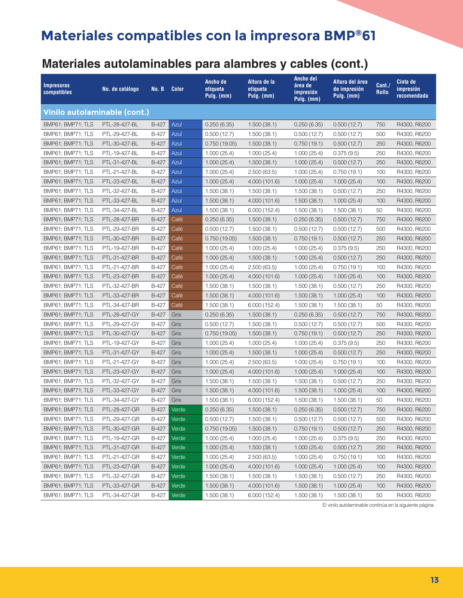### **Materiales autolaminables para alambres y cables (cont.)**

| <b>Impresoras</b><br>compatibles    | No. de catálogo | No. B        | <b>Color</b> | Ancho de<br>etiqueta<br>Pulg. (mm) | Altura de la<br>etiqueta<br>Pulg. (mm) | <b>Ancho del</b><br>área de<br>impresión<br>Pulg. (mm) | Altura del área<br>de impresión<br>Pulg. (mm) | Cant./<br><b>Rollo</b> | Cinta de<br>impresión<br>recomendada |
|-------------------------------------|-----------------|--------------|--------------|------------------------------------|----------------------------------------|--------------------------------------------------------|-----------------------------------------------|------------------------|--------------------------------------|
| <b>Vinilo autolaminable (cont.)</b> |                 |              |              |                                    |                                        |                                                        |                                               |                        |                                      |
| BMP61; BMP71; TLS                   | PTL-28-427-BL   | <b>B-427</b> | Azul         | 0.250(6.35)                        | 1.500(38.1)                            | 0.250(6.35)                                            | 0.500(12.7)                                   | 750                    | R4300, R6200                         |
| BMP61; BMP71; TLS                   | PTL-29-427-BL   | B-427        | Azul         | 0.500(12.7)                        | 1.500(38.1)                            | 0.500(12.7)                                            | 0.500(12.7)                                   | 500                    | R4300, R6200                         |
| BMP61; BMP71; TLS                   | PTL-30-427-BL   | B-427        | Azul         | 0.750(19.05)                       | 1.500(38.1)                            | 0.750(19.1)                                            | 0.500(12.7)                                   | 250                    | R4300, R6200                         |
| BMP61; BMP71; TLS                   | PTL-19-427-BL   | B-427        | Azul         | 1.000(25.4)                        | 1.000(25.4)                            | 1.000(25.4)                                            | 0.375(9.5)                                    | 250                    | R4300, R6200                         |
| BMP61; BMP71; TLS                   | PTL-31-427-BL   | B-427        | Azul         | 1.000(25.4)                        | 1.500(38.1)                            | 1.000(25.4)                                            | 0.500(12.7)                                   | 250                    | R4300, R6200                         |
| BMP61; BMP71; TLS                   | PTL-21-427-BL   | B-427        | Azul         | 1.000(25.4)                        | 2.500(63.5)                            | 1.000(25.4)                                            | 0.750(19.1)                                   | 100                    | R4300, R6200                         |
| BMP61; BMP71; TLS                   | PTL-23-427-BL   | B-427        | Azul         | 1.000(25.4)                        | 4.000 (101.6)                          | 1.000(25.4)                                            | 1.000(25.4)                                   | 100                    | R4300, R6200                         |
| BMP61; BMP71; TLS                   | PTL-32-427-BL   | <b>B-427</b> | Azul         | 1.500(38.1)                        | 1.500(38.1)                            | 1.500(38.1)                                            | 0.500(12.7)                                   | 250                    | R4300, R6200                         |
| BMP61; BMP71; TLS                   | PTL-33-427-BL   | B-427        | Azul         | 1.500(38.1)                        | 4.000 (101.6)                          | 1.500(38.1)                                            | 1.000(25.4)                                   | 100                    | R4300, R6200                         |
| BMP61; BMP71; TLS                   | PTL-34-427-BL   | B-427        | Azul         | 1.500(38.1)                        | 6.000(152.4)                           | 1.500(38.1)                                            | 1.500(38.1)                                   | 50                     | R4300, R6200                         |
| BMP61; BMP71; TLS                   | PTL-28-427-BR   | B-427        | Café         | 0.250(6.35)                        | 1.500(38.1)                            | 0.250(6.35)                                            | 0.500(12.7)                                   | 750                    | R4300, R6200                         |
| BMP61; BMP71; TLS                   | PTL-29-427-BR   | B-427        | Café         | 0.500(12.7)                        | 1.500(38.1)                            | 0.500(12.7)                                            | 0.500(12.7)                                   | 500                    | R4300, R6200                         |
| BMP61; BMP71; TLS                   | PTL-30-427-BR   | B-427        | Café         | 0.750(19.05)                       | 1.500(38.1)                            | 0.750(19.1)                                            | 0.500(12.7)                                   | 250                    | R4300, R6200                         |
| BMP61; BMP71; TLS                   | PTL-19-427-BR   | <b>B-427</b> | Café         | 1.000(25.4)                        | 1.000(25.4)                            | 1.000(25.4)                                            | 0.375(9.5)                                    | 250                    | R4300, R6200                         |
| BMP61; BMP71; TLS                   | PTL-31-427-BR   | B-427        | Café         | 1.000(25.4)                        | 1.500(38.1)                            | 1.000(25.4)                                            | 0.500(12.7)                                   | 250                    | R4300, R6200                         |
| BMP61; BMP71; TLS                   | PTL-21-427-BR   | <b>B-427</b> | Café         | 1.000(25.4)                        | 2.500(63.5)                            | 1.000(25.4)                                            | 0.750 (19.1)                                  | 100                    | R4300, R6200                         |
| BMP61; BMP71; TLS                   | PTL-23-427-BR   | B-427        | Café         | 1.000(25.4)                        | 4.000 (101.6)                          | 1.000(25.4)                                            | 1.000(25.4)                                   | 100                    | R4300, R6200                         |
| BMP61; BMP71; TLS                   | PTL-32-427-BR   | <b>B-427</b> | Café         | 1.500(38.1)                        | 1.500(38.1)                            | 1.500(38.1)                                            | 0.500(12.7)                                   | 250                    | R4300, R6200                         |
| BMP61; BMP71; TLS                   | PTL-33-427-BR   | <b>B-427</b> | Café         | 1.500(38.1)                        | 4.000 (101.6)                          | 1.500(38.1)                                            | 1.000(25.4)                                   | 100                    | R4300, R6200                         |
| BMP61; BMP71; TLS                   | PTL-34-427-BR   | B-427        | Café         | 1.500(38.1)                        | 6.000 (152.4)                          | 1.500(38.1)                                            | 1.500(38.1)                                   | 50                     | R4300, R6200                         |
| BMP61; BMP71; TLS                   | PTL-28-427-GY   | B-427        | Gris         | 0.250(6.35)                        | 1.500(38.1)                            | 0.250(6.35)                                            | 0.500(12.7)                                   | 750                    | R4300, R6200                         |
| BMP61; BMP71; TLS                   | PTL-29-427-GY   | B-427        | Gris         | 0.500(12.7)                        | 1.500(38.1)                            | 0.500(12.7)                                            | 0.500(12.7)                                   | 500                    | R4300, R6200                         |
| BMP61; BMP71; TLS                   | PTL-30-427-GY   | B-427        | Gris         | 0.750(19.05)                       | 1.500(38.1)                            | 0.750(19.1)                                            | 0.500(12.7)                                   | 250                    | R4300, R6200                         |
| BMP61; BMP71; TLS                   | PTL-19-427-GY   | <b>B-427</b> | Gris         | 1.000(25.4)                        | 1.000(25.4)                            | 1.000(25.4)                                            | 0.375(9.5)                                    | 250                    | R4300, R6200                         |
| BMP61; BMP71; TLS                   | PTL-31-427-GY   | B-427        | Gris         | 1.000(25.4)                        | 1.500(38.1)                            | 1.000(25.4)                                            | 0.500(12.7)                                   | 250                    | R4300, R6200                         |
| BMP61; BMP71; TLS                   | PTL-21-427-GY   | B-427        | Gris         | 1.000(25.4)                        | 2.500(63.5)                            | 1.000(25.4)                                            | 0.750(19.1)                                   | 100                    | R4300, R6200                         |
| BMP61; BMP71; TLS                   | PTL-23-427-GY   | B-427        | Gris         | 1.000(25.4)                        | 4.000 (101.6)                          | 1.000(25.4)                                            | 1.000(25.4)                                   | 100                    | R4300, R6200                         |
| BMP61; BMP71; TLS                   | PTL-32-427-GY   | B-427        | Gris         | 1.500(38.1)                        | 1.500(38.1)                            | 1.500(38.1)                                            | 0.500(12.7)                                   | 250                    | R4300, R6200                         |
| BMP61; BMP71; TLS                   | PTL-33-427-GY   | B-427        | Gris         | 1.500(38.1)                        | 4.000 (101.6)                          | 1.500(38.1)                                            | 1.000(25.4)                                   | 100                    | R4300, R6200                         |
| BMP61; BMP71; TLS                   | PTL-34-427-GY   | B-427        | Gris         | 1.500(38.1)                        | 6.000(152.4)                           | 1.500(38.1)                                            | 1.500(38.1)                                   | 50                     | R4300, R6200                         |
| BMP61; BMP71; TLS                   | PTL-28-427-GR   | B-427        | Verde        | 0.250(6.35)                        | 1.500(38.1)                            | 0.250(6.35)                                            | 0.500(12.7)                                   | 750                    | R4300, R6200                         |
| BMP61; BMP71; TLS                   | PTL-29-427-GR   | B-427        | Verde        | 0.500(12.7)                        | 1.500(38.1)                            | 0.500(12.7)                                            | 0.500(12.7)                                   | 500                    | R4300, R6200                         |
| BMP61; BMP71; TLS                   | PTL-30-427-GR   | B-427        | Verde        | 0.750(19.05)                       | 1.500(38.1)                            | 0.750(19.1)                                            | 0.500(12.7)                                   | 250                    | R4300, R6200                         |
| BMP61; BMP71; TLS                   | PTL-19-427-GR   | B-427        | Verde        | 1.000(25.4)                        | 1.000(25.4)                            | 1.000(25.4)                                            | 0.375(9.5)                                    | 250                    | R4300, R6200                         |
| BMP61; BMP71; TLS                   | PTL-31-427-GR   | B-427        | Verde        | 1.000(25.4)                        | 1.500(38.1)                            | 1.000(25.4)                                            | 0.500(12.7)                                   | 250                    | R4300, R6200                         |
| BMP61; BMP71; TLS                   | PTL-21-427-GR   | B-427        | Verde        | 1.000(25.4)                        | 2.500(63.5)                            | 1.000(25.4)                                            | 0.750(19.1)                                   | 100                    | R4300, R6200                         |
| BMP61; BMP71; TLS                   | PTL-23-427-GR   | B-427        | Verde        | 1.000(25.4)                        | 4.000 (101.6)                          | 1.000(25.4)                                            | 1.000(25.4)                                   | 100                    | R4300, R6200                         |
| BMP61; BMP71; TLS                   | PTL-32-427-GR   | B-427        | Verde        | 1.500(38.1)                        | 1.500(38.1)                            | 1.500(38.1)                                            | 0.500(12.7)                                   | 250                    | R4300, R6200                         |
| BMP61; BMP71; TLS                   | PTL-33-427-GR   | B-427        | Verde        | 1.500(38.1)                        | 4.000 (101.6)                          | 1.500(38.1)                                            | 1.000(25.4)                                   | 100                    | R4300, R6200                         |
| BMP61; BMP71; TLS                   | PTL-34-427-GR   | B-427        | Verde        | 1.500(38.1)                        | 6.000(152.4)                           | 1.500(38.1)                                            | 1.500(38.1)                                   | 50                     | R4300, R6200                         |

El vinilo autolaminable continúa en la siguiente página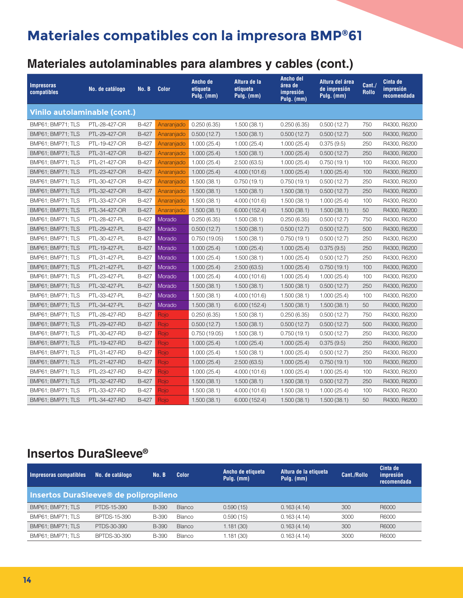# **Materiales autolaminables para alambres y cables (cont.)**

| <b>Impresoras</b><br>compatibles | No. de catálogo | No. B        | <b>Color</b> | Ancho de<br>etiqueta<br>Pulg. (mm) | Altura de la<br>etiqueta<br>Pulg. (mm) | Ancho del<br>área de<br>impresión<br>Pulg. (mm) | Altura del área<br>de impresión<br>Pulg. (mm) | Cant./<br><b>Rollo</b> | Cinta de<br>impresión<br>recomendada |
|----------------------------------|-----------------|--------------|--------------|------------------------------------|----------------------------------------|-------------------------------------------------|-----------------------------------------------|------------------------|--------------------------------------|
| Vinilo autolaminable (cont.)     |                 |              |              |                                    |                                        |                                                 |                                               |                        |                                      |
| BMP61; BMP71; TLS                | PTL-28-427-OR   | B-427        | Anaranjado   | 0.250(6.35)                        | 1.500(38.1)                            | 0.250(6.35)                                     | 0.500(12.7)                                   | 750                    | R4300, R6200                         |
| BMP61; BMP71; TLS                | PTL-29-427-OR   | B-427        | Anaranjado   | 0.500(12.7)                        | 1.500(38.1)                            | 0.500(12.7)                                     | 0.500(12.7)                                   | 500                    | R4300, R6200                         |
| BMP61; BMP71; TLS                | PTL-19-427-OR   | B-427        | Anaranjado   | 1.000(25.4)                        | 1.000(25.4)                            | 1.000(25.4)                                     | 0.375(9.5)                                    | 250                    | R4300, R6200                         |
| BMP61; BMP71; TLS                | PTL-31-427-OR   | B-427        | Anaranjado   | 1.000(25.4)                        | 1.500(38.1)                            | 1.000(25.4)                                     | 0.500(12.7)                                   | 250                    | R4300, R6200                         |
| BMP61; BMP71; TLS                | PTL-21-427-OR   | B-427        | Anaranjado   | 1.000(25.4)                        | 2.500(63.5)                            | 1.000(25.4)                                     | 0.750(19.1)                                   | 100                    | R4300, R6200                         |
| BMP61; BMP71; TLS                | PTL-23-427-OR   | B-427        | Anaranjado   | 1.000(25.4)                        | 4.000 (101.6)                          | 1.000(25.4)                                     | 1.000(25.4)                                   | 100                    | R4300, R6200                         |
| BMP61; BMP71; TLS                | PTL-30-427-OR   | B-427        | Anaranjado   | 1.500(38.1)                        | 0.750(19.1)                            | 0.750(19.1)                                     | 0.500(12.7)                                   | 250                    | R4300, R6200                         |
| BMP61; BMP71; TLS                | PTL-32-427-OR   | B-427        | Anaranjado   | 1.500(38.1)                        | 1.500(38.1)                            | 1.500(38.1)                                     | 0.500(12.7)                                   | 250                    | R4300, R6200                         |
| BMP61; BMP71; TLS                | PTL-33-427-OR   | B-427        | Anaranjado   | 1.500(38.1)                        | 4.000 (101.6)                          | 1.500(38.1)                                     | 1.000(25.4)                                   | 100                    | R4300, R6200                         |
| BMP61; BMP71; TLS                | PTL-34-427-OR   | B-427        | Anaranjado   | 1.500(38.1)                        | 6.000(152.4)                           | 1.500(38.1)                                     | 1.500(38.1)                                   | 50                     | R4300, R6200                         |
| BMP61; BMP71; TLS                | PTL-28-427-PL   | B-427        | Morado       | 0.250(6.35)                        | 1.500(38.1)                            | 0.250(6.35)                                     | 0.500(12.7)                                   | 750                    | R4300, R6200                         |
| BMP61; BMP71; TLS                | PTL-29-427-PL   | B-427        | Morado       | 0.500(12.7)                        | 1.500(38.1)                            | 0.500(12.7)                                     | 0.500(12.7)                                   | 500                    | R4300, R6200                         |
| BMP61; BMP71; TLS                | PTL-30-427-PL   | B-427        | Morado       | 0.750(19.05)                       | 1.500(38.1)                            | 0.750(19.1)                                     | 0.500(12.7)                                   | 250                    | R4300, R6200                         |
| BMP61; BMP71; TLS                | PTL-19-427-PL   | <b>B-427</b> | Morado       | 1.000(25.4)                        | 1.000(25.4)                            | 1.000(25.4)                                     | 0.375(9.5)                                    | 250                    | R4300, R6200                         |
| BMP61; BMP71; TLS                | PTL-31-427-PL   | B-427        | Morado       | 1.000(25.4)                        | 1.500(38.1)                            | 1.000(25.4)                                     | 0.500(12.7)                                   | 250                    | R4300, R6200                         |
| BMP61; BMP71; TLS                | PTL-21-427-PL   | B-427        | Morado       | 1.000(25.4)                        | 2.500(63.5)                            | 1.000(25.4)                                     | 0.750(19.1)                                   | 100                    | R4300, R6200                         |
| BMP61; BMP71; TLS                | PTL-23-427-PL   | B-427        | Morado       | 1.000(25.4)                        | 4.000 (101.6)                          | 1.000(25.4)                                     | 1.000(25.4)                                   | 100                    | R4300, R6200                         |
| BMP61; BMP71; TLS                | PTL-32-427-PL   | B-427        | Morado       | 1.500(38.1)                        | 1.500(38.1)                            | 1.500(38.1)                                     | 0.500(12.7)                                   | 250                    | R4300, R6200                         |
| BMP61; BMP71; TLS                | PTL-33-427-PL   | B-427        | Morado       | 1.500(38.1)                        | 4.000 (101.6)                          | 1.500(38.1)                                     | 1.000(25.4)                                   | 100                    | R4300, R6200                         |
| BMP61; BMP71; TLS                | PTL-34-427-PL   | B-427        | Morado       | 1.500(38.1)                        | 6.000(152.4)                           | 1.500(38.1)                                     | 1.500(38.1)                                   | 50                     | R4300, R6200                         |
| BMP61; BMP71; TLS                | PTL-28-427-RD   | B-427        | Rojo         | 0.250(6.35)                        | 1.500(38.1)                            | 0.250(6.35)                                     | 0.500(12.7)                                   | 750                    | R4300, R6200                         |
| BMP61; BMP71; TLS                | PTL-29-427-RD   | B-427        | Rojo         | 0.500(12.7)                        | 1.500(38.1)                            | 0.500(12.7)                                     | 0.500(12.7)                                   | 500                    | R4300, R6200                         |
| BMP61; BMP71; TLS                | PTL-30-427-RD   | B-427        | Rojo         | 0.750(19.05)                       | 1.500(38.1)                            | 0.750(19.1)                                     | 0.500(12.7)                                   | 250                    | R4300, R6200                         |
| BMP61; BMP71; TLS                | PTL-19-427-RD   | B-427        | Rojo         | 1.000(25.4)                        | 1.000(25.4)                            | 1.000(25.4)                                     | 0.375(9.5)                                    | 250                    | R4300, R6200                         |
| BMP61; BMP71; TLS                | PTL-31-427-RD   | B-427        | Rojo         | 1.000(25.4)                        | 1.500(38.1)                            | 1.000(25.4)                                     | 0.500(12.7)                                   | 250                    | R4300, R6200                         |
| BMP61; BMP71; TLS                | PTL-21-427-RD   | B-427        | Rojo         | 1.000(25.4)                        | 2.500(63.5)                            | 1.000(25.4)                                     | 0.750(19.1)                                   | 100                    | R4300, R6200                         |
| BMP61; BMP71; TLS                | PTL-23-427-RD   | B-427        | Rojo         | 1.000(25.4)                        | 4.000 (101.6)                          | 1.000(25.4)                                     | 1.000(25.4)                                   | 100                    | R4300, R6200                         |
| BMP61; BMP71; TLS                | PTL-32-427-RD   | B-427        | Rojo         | 1.500(38.1)                        | 1.500(38.1)                            | 1.500(38.1)                                     | 0.500(12.7)                                   | 250                    | R4300, R6200                         |
| BMP61; BMP71; TLS                | PTL-33-427-RD   | B-427        | Rojo         | 1.500(38.1)                        | 4.000 (101.6)                          | 1.500(38.1)                                     | 1.000(25.4)                                   | 100                    | R4300, R6200                         |
| BMP61; BMP71; TLS                | PTL-34-427-RD   | B-427        | Rojo         | 1.500(38.1)                        | 6.000(152.4)                           | 1.500(38.1)                                     | 1.500(38.1)                                   | 50                     | R4300, R6200                         |

#### **Insertos DuraSleeve®**

| Impresoras compatibles                | No. de catálogo     | No. B        | <b>Color</b>  | Ancho de etiqueta<br>Pulg. (mm) | Altura de la etiqueta<br>Pulg. (mm) | Cant./Rollo | Cinta de<br>impresión<br>recomendada |
|---------------------------------------|---------------------|--------------|---------------|---------------------------------|-------------------------------------|-------------|--------------------------------------|
| Insertos DuraSleeve® de polipropileno |                     |              |               |                                 |                                     |             |                                      |
| BMP61; BMP71; TLS                     | PTDS-15-390         | B-390        | <b>Blanco</b> | 0.590(15)                       | 0.163(4.14)                         | 300         | <b>B6000</b>                         |
| BMP61; BMP71; TLS                     | BPTDS-15-390        | B-390        | Blanco        | 0.590(15)                       | 0.163(4.14)                         | 3000        | <b>R6000</b>                         |
| BMP61: BMP71: TLS                     | PTDS-30-390         | <b>B-390</b> | <b>Blanco</b> | 1.181(30)                       | 0.163(4.14)                         | 300         | R6000                                |
| BMP61; BMP71; TLS                     | <b>BPTDS-30-390</b> | <b>B-390</b> | Blanco        | 1.181(30)                       | 0.163(4.14)                         | 3000        | R6000                                |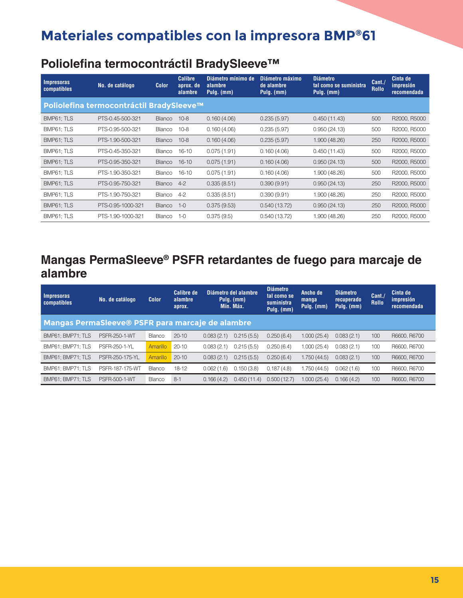#### **Poliolefina termocontráctil BradySleeve™**

| <b>Impresoras</b><br>compatibles | No. de catálogo                          | <b>Color</b>  | <b>Calibre</b><br>aprox. de<br>alambre | Diámetro mínimo de<br>alambre<br>Pulg. (mm) | Diámetro máximo<br>de alambre<br>Pulg. (mm) | <b>Diámetro</b><br>tal como se suministra<br>Pulg. (mm) | Cant.<br><b>Rollo</b> | Cinta de<br>impresión<br>recomendada |
|----------------------------------|------------------------------------------|---------------|----------------------------------------|---------------------------------------------|---------------------------------------------|---------------------------------------------------------|-----------------------|--------------------------------------|
|                                  | Poliolefina termocontráctil BradySleeve™ |               |                                        |                                             |                                             |                                                         |                       |                                      |
| BMP61; TLS                       | PTS-0.45-500-321                         | Blanco        | $10 - 8$                               | 0.160(4.06)                                 | 0.235(5.97)                                 | 0.450(11.43)                                            | 500                   | R2000, R5000                         |
| BMP61; TLS                       | PTS-0.95-500-321                         | <b>Blanco</b> | $10 - 8$                               | 0.160(4.06)                                 | 0.235(5.97)                                 | 0.950(24.13)                                            | 500                   | R2000, R5000                         |
| BMP61; TLS                       | PTS-1.90-500-321                         | Blanco        | $10 - 8$                               | 0.160(4.06)                                 | 0.235(5.97)                                 | 1.900(48.26)                                            | 250                   | R2000, R5000                         |
| BMP61; TLS                       | PTS-0.45-350-321                         | <b>Blanco</b> | $16 - 10$                              | 0.075(1.91)                                 | 0.160(4.06)                                 | 0.450(11.43)                                            | 500                   | R2000, R5000                         |
| BMP61; TLS                       | PTS-0.95-350-321                         | Blanco        | $16 - 10$                              | 0.075(1.91)                                 | 0.160(4.06)                                 | 0.950(24.13)                                            | 500                   | R2000, R5000                         |
| BMP61; TLS                       | PTS-1.90-350-321                         | <b>Blanco</b> | $16 - 10$                              | 0.075(1.91)                                 | 0.160(4.06)                                 | 1.900 (48.26)                                           | 500                   | R2000, R5000                         |
| BMP61: TLS                       | PTS-0.95-750-321                         | Blanco        | $4 - 2$                                | 0.335(8.51)                                 | 0.390(9.91)                                 | 0.950(24.13)                                            | 250                   | R2000, R5000                         |
| BMP61; TLS                       | PTS-1.90-750-321                         | Blanco        | $4 - 2$                                | 0.335(8.51)                                 | 0.390(9.91)                                 | 1.900 (48.26)                                           | 250                   | R2000, R5000                         |
| BMP61; TLS                       | PTS-0.95-1000-321                        | Blanco        | $1 - 0$                                | 0.375(9.53)                                 | 0.540(13.72)                                | 0.950(24.13)                                            | 250                   | R2000, R5000                         |
| BMP61; TLS                       | PTS-1.90-1000-321                        | Blanco        | $1 - 0$                                | 0.375(9.5)                                  | 0.540(13.72)                                | 1.900 (48.26)                                           | 250                   | R2000, R5000                         |

#### **Mangas PermaSleeve® PSFR retardantes de fuego para marcaje de alambre**

| <b>Impresoras</b><br><b>compatibles</b>          | No. de catálogo      | <b>Color</b>    | <b>Calibre de</b><br>alambre<br>aprox. |            | Diámetro del alambre<br>Pulg. (mm)<br>Mín. Máx. | <b>Diámetro</b><br>tal como se<br>suministra<br>Pulg. (mm) | Ancho de<br>manga<br>Pulg. (mm) | <b>Diámetro</b><br>recuperado<br>Pulg. (mm) | Cant.<br><b>Rollo</b> | Cinta de<br>impresión<br>recomendada |
|--------------------------------------------------|----------------------|-----------------|----------------------------------------|------------|-------------------------------------------------|------------------------------------------------------------|---------------------------------|---------------------------------------------|-----------------------|--------------------------------------|
| Mangas PermaSleeve® PSFR para marcaje de alambre |                      |                 |                                        |            |                                                 |                                                            |                                 |                                             |                       |                                      |
| BMP61: BMP71: TLS                                | <b>PSFR-250-1-WT</b> | Blanco          | $20 - 10$                              | 0.083(2.1) | 0.215(5.5)                                      | 0.250(6.4)                                                 | 1.000 (25.4)                    | 0.083(2.1)                                  | 100                   | R6600, R6700                         |
| BMP61: BMP71: TLS                                | <b>PSFR-250-1-YL</b> | Amarillo        | $20 - 10$                              | 0.083(2.1) | 0.215(5.5)                                      | 0.250(6.4)                                                 | 1.000 (25.4)                    | 0.083(2.1)                                  | 100                   | R6600, R6700                         |
| BMP61: BMP71: TLS                                | PSFR-250-175-YL      | <b>Amarillo</b> | $20 - 10$                              | 0.083(2.1) | 0.215(5.5)                                      | 0.250(6.4)                                                 | 1.750 (44.5)                    | 0.083(2.1)                                  | 100                   | R6600, R6700                         |
| BMP61: BMP71: TLS                                | PSFR-187-175-WT      | Blanco          | $18 - 12$                              | 0.062(1.6) | 0.150(3.8)                                      | 0.187(4.8)                                                 | 1.750 (44.5)                    | 0.062(1.6)                                  | 100                   | R6600, R6700                         |
| BMP61: BMP71: TLS                                | <b>PSFR-500-1-WT</b> | Blanco          | $8-1$                                  | 0.166(4.2) | 0.450(11.4)                                     | 0.500(12.7)                                                | 1.000(25.4)                     | 0.166(4.2)                                  | 100                   | R6600, R6700                         |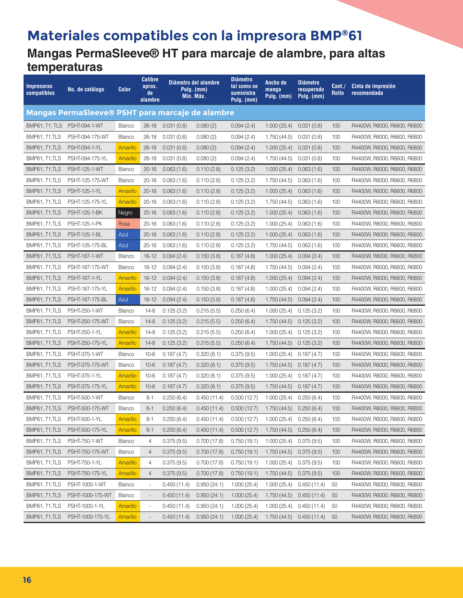#### **Materiales compatibles con la impresora BMP®61 Mangas PermaSleeve® HT para marcaje de alambre, para altas temperaturas**

| Impresoras<br>compatibles | No. de catálogo                                  | Color           | <b>Calibre</b><br>aprox.<br>de<br>alambre |             | Diámetro del alambre<br>Pulg. (mm)<br>Mín. Máx. | <b>Diámetro</b><br>tal como se<br>suministra<br>Pulg. (mm) | Ancho de<br>manga<br>Pulg. (mm) | <b>Diámetro</b><br>recuperado<br>Pulg. (mm) | Cant./<br>Rollo | Cinta de impresión<br>recomendada |
|---------------------------|--------------------------------------------------|-----------------|-------------------------------------------|-------------|-------------------------------------------------|------------------------------------------------------------|---------------------------------|---------------------------------------------|-----------------|-----------------------------------|
|                           | Mangas PermaSleeve® PSHT para marcaje de alambre |                 |                                           |             |                                                 |                                                            |                                 |                                             |                 |                                   |
|                           | BMP61; 71; TLS PSHT-094-1-WT                     | Blanco          | 26-18                                     | 0.031(0.8)  | 0.080(2)                                        | 0.094(2.4)                                                 | 1.000(25.4)                     | 0.031(0.8)                                  | 100             | R4400W, R6000, R6600, R6800       |
| <b>BMP61, 71, TLS</b>     | PSHT-094-175-WT                                  | <b>Blanco</b>   | $26 - 18$                                 | 0.031(0.8)  | 0.080(2)                                        | 0.094(2.4)                                                 | 1.750(44.5)                     | 0.031(0.8)                                  | 100             | R4400W, R6000, R6600, R6800       |
| <b>BMP61, 71, TLS</b>     | PSHT-094-1-YL                                    | Amarillo        | $26 - 18$                                 | 0.031(0.8)  | 0.080(2)                                        | 0.094(2.4)                                                 | 1.000(25.4)                     | 0.031(0.8)                                  | 100             | R4400W, R6000, R6600, R6800       |
| <b>BMP61, 71, TLS</b>     | PSHT-094-175-YL                                  | Amarillo        | $26 - 18$                                 | 0.031(0.8)  | 0.080(2)                                        | 0.094(2.4)                                                 | 1.750(44.5)                     | 0.031(0.8)                                  | 100             | R4400W, R6000, R6600, R6800       |
| <b>BMP61, 71, TLS</b>     | <b>PSHT-125-1-WT</b>                             | <b>Blanco</b>   | 20-16                                     | 0.063(1.6)  | 0.110(2.8)                                      | 0.125(3.2)                                                 | 1.000(25.4)                     | 0.063(1.6)                                  | 100             | R4400W, R6000, R6600, R6800       |
| <b>BMP61, 71, TLS</b>     | PSHT-125-175-WT                                  | <b>Blanco</b>   | $20 - 16$                                 | 0.063(1.6)  | 0.110(2.8)                                      | 0.125(3.2)                                                 | 1.750(44.5)                     | 0.063(1.6)                                  | 100             | R4400W, R6000, R6600, R6800       |
| <b>BMP61, 71, TLS</b>     | <b>PSHT-125-1-YL</b>                             | Amarillo        | $20 - 16$                                 | 0.063(1.6)  | 0.110(2.8)                                      | 0.125(3.2)                                                 | 1.000(25.4)                     | 0.063(1.6)                                  | 100             | R4400W, R6000, R6600, R6800       |
| <b>BMP61, 71, TLS</b>     | PSHT-125-175-YL                                  | Amarillo        | $20 - 16$                                 | 0.063(1.6)  | 0.110(2.8)                                      | 0.125(3.2)                                                 | 1.750(44.5)                     | 0.063(1.6)                                  | 100             | R4400W, R6000, R6600, R6800       |
| <b>BMP61, 71, TLS</b>     | <b>PSHT-125-1-BK</b>                             | Negro           | 20-16                                     | 0.063(1.6)  | 0.110(2.8)                                      | 0.125(3.2)                                                 | 1.000(25.4)                     | 0.063(1.6)                                  | 100             | R4400W, R6000, R6600, R6800       |
| <b>BMP61, 71, TLS</b>     | PSHT-125-1-PK                                    | Rosa            | $20 - 16$                                 | 0.063(1.6)  | 0.110(2.8)                                      | 0.125(3.2)                                                 | 1.000(25.4)                     | 0.063(1.6)                                  | 100             | R4400W, R6000, R6600, R6800       |
| <b>BMP61, 71, TLS</b>     | <b>PSHT-125-1-BL</b>                             | Azul            | $20 - 16$                                 | 0.063(1.6)  | 0.110(2.8)                                      | 0.125(3.2)                                                 | 1.000(25.4)                     | 0.063(1.6)                                  | 100             | R4400W, R6000, R6600, R6800       |
| <b>BMP61, 71, TLS</b>     | PSHT-125-175-BL                                  | Azul            | $20 - 16$                                 | 0.063(1.6)  | 0.110(2.8)                                      | 0.125(3.2)                                                 | 1.750(44.5)                     | 0.063(1.6)                                  | 100             | R4400W, R6000, R6600, R6800       |
| <b>BMP61, 71, TLS</b>     | <b>PSHT-187-1-WT</b>                             | <b>Blanco</b>   | $16 - 12$                                 | 0.094(2.4)  | 0.150(3.8)                                      | 0.187(4.8)                                                 | 1.000(25.4)                     | 0.094(2.4)                                  | 100             | R4400W, R6000, R6600, R6800       |
| <b>BMP61, 71, TLS</b>     | PSHT-187-175-WT                                  | <b>Blanco</b>   | 16-12                                     | 0.094(2.4)  | 0.150(3.8)                                      | 0.187(4.8)                                                 | 1.750(44.5)                     | 0.094(2.4)                                  | 100             | R4400W, R6000, R6600, R6800       |
| <b>BMP61, 71, TLS</b>     | <b>PSHT-187-1-YL</b>                             | Amarillo        | $16 - 12$                                 | 0.094(2.4)  | 0.150(3.8)                                      | 0.187(4.8)                                                 | 1.000(25.4)                     | 0.094(2.4)                                  | 100             | R4400W, R6000, R6600, R6800       |
| <b>BMP61, 71, TLS</b>     | PSHT-187-175-YL                                  | Amarillo        | 16-12                                     | 0.094(2.4)  | 0.150(3.8)                                      | 0.187(4.8)                                                 | 1.000(25.4)                     | 0.094(2.4)                                  | 100             | R4400W, R6000, R6600, R6800       |
| <b>BMP61, 71, TLS</b>     | PSHT-187-175-BL                                  | Azul            | 16-12                                     | 0.094(2.4)  | 0.150(3.8)                                      | 0.187(4.8)                                                 | 1.750(44.5)                     | 0.094(2.4)                                  | 100             | R4400W, R6000, R6600, R6800       |
| <b>BMP61, 71, TLS</b>     | <b>PSHT-250-1-WT</b>                             | <b>Blanco</b>   | 14-8                                      | 0.125(3.2)  | 0.215(5.5)                                      | 0.250(6.4)                                                 | 1.000(25.4)                     | 0.125(3.2)                                  | 100             | R4400W, R6000, R6600, R6800       |
| <b>BMP61, 71, TLS</b>     | PSHT-250-175-WT                                  | <b>Blanco</b>   | $14-8$                                    | 0.125(3.2)  | 0.215(5.5)                                      | 0.250(6.4)                                                 | 1.750 (44.5)                    | 0.125(3.2)                                  | 100             | R4400W, R6000, R6600, R6800       |
| <b>BMP61, 71, TLS</b>     | PSHT-250-1-YL                                    | Amarillo        | $14-8$                                    | 0.125(3.2)  | 0.215(5.5)                                      | 0.250(6.4)                                                 | 1.000(25.4)                     | 0.125(3.2)                                  | 100             | R4400W, R6000, R6600, R6800       |
| <b>BMP61, 71, TLS</b>     | PSHT-250-175-YL                                  | Amarillo        | $14-8$                                    | 0.125(3.2)  | 0.215(5.5)                                      | 0.250(6.4)                                                 | 1.750 (44.5)                    | 0.125(3.2)                                  | 100             | R4400W, R6000, R6600, R6800       |
| <b>BMP61, 71, TLS</b>     | <b>PSHT-375-1-WT</b>                             | Blanco          | $10-6$                                    | 0.187(4.7)  | 0.320(8.1)                                      | 0.375(9.5)                                                 | 1.000(25.4)                     | 0.187(4.7)                                  | 100             | R4400W, R6000, R6600, R6800       |
| <b>BMP61, 71, TLS</b>     | PSHT-375-175-WT                                  | Blanco          | $10 - 6$                                  | 0.187(4.7)  | 0.320(8.1)                                      | 0.375(9.5)                                                 | 1.750 (44.5)                    | 0.187(4.7)                                  | 100             | R4400W, R6000, R6600, R6800       |
| <b>BMP61, 71, TLS</b>     | PSHT-375-1-YL                                    | Amarillo        | $10 - 6$                                  | 0.187(4.7)  | 0.320(8.1)                                      | 0.375(9.5)                                                 | 1.000(25.4)                     | 0.187(4.7)                                  | 100             | R4400W, R6000, R6600, R6800       |
| <b>BMP61, 71, TLS</b>     | PSHT-375-175-YL                                  | Amarillo        | $10 - 6$                                  | 0.187(4.7)  | 0.320(8.1)                                      | 0.375(9.5)                                                 | 1.750 (44.5)                    | 0.187(4.7)                                  | 100             | R4400W, R6000, R6600, R6800       |
| <b>BMP61, 71, TLS</b>     | <b>PSHT-500-1-WT</b>                             | Blanco          | $8 - 1$                                   | 0.250(6.4)  | 0.450(11.4)                                     | 0.500(12.7)                                                | 1.000(25.4)                     | 0.250(6.4)                                  | 100             | R4400W, R6000, R6600, R6800       |
| <b>BMP61, 71, TLS</b>     | PSHT-500-175-WT                                  | Blanco          | $8 - 1$                                   | 0.250(6.4)  | 0.450(11.4)                                     | 0.500(12.7)                                                | 1.750(44.5)                     | 0.250(6.4)                                  | 100             | R4400W, R6000, R6600, R6800       |
| <b>BMP61, 71, TLS</b>     | PSHT-500-1-YL                                    | Amarillo        | $8 - 1$                                   | 0.250(6.4)  | 0.450(11.4)                                     | 0.500(12.7)                                                | 1.000(25.4)                     | 0.250(6.4)                                  | 100             | R4400W, R6000, R6600, R6800       |
| <b>BMP61, 71, TLS</b>     | PSHT-500-175-YL                                  | <b>Amarillo</b> | $8 - 1$                                   | 0.250(6.4)  | 0.450(11.4)                                     | 0.500(12.7)                                                | 1.750(44.5)                     | 0.250(6.4)                                  | 100             | R4400W, R6000, R6600, R6800       |
| <b>BMP61, 71, TLS</b>     | <b>PSHT-750-1-WT</b>                             | Blanco          | 4                                         | 0.375(9.5)  | 0.700(17.8)                                     | 0.750(19.1)                                                | 1.000(25.4)                     | 0.375(9.5)                                  | 100             | R4400W, R6000, R6600, R6800       |
| <b>BMP61, 71, TLS</b>     | PSHT-750-175-WT                                  | <b>Blanco</b>   | 4                                         | 0.375(9.5)  | 0.700(17.8)                                     | 0.750(19.1)                                                | 1.750(44.5)                     | 0.375(9.5)                                  | 100             | R4400W, R6000, R6600, R6800       |
| <b>BMP61, 71, TLS</b>     | PSHT-750-1-YL                                    | Amarillo        | 4                                         | 0.375(9.5)  | 0.700(17.8)                                     | 0.750(19.1)                                                | 1.000(25.4)                     | 0.375(9.5)                                  | 100             | R4400W, R6000, R6600, R6800       |
| <b>BMP61, 71, TLS</b>     | PSHT-750-175-YL                                  | Amarillo        | 4                                         | 0.375(9.5)  | 0.700(17.8)                                     | 0.750(19.1)                                                | 1.750(44.5)                     | 0.375(9.5)                                  | 100             | R4400W, R6000, R6600, R6800       |
| <b>BMP61, 71, TLS</b>     | PSHT-1000-1-WT                                   | Blanco          | $\overline{\phantom{a}}$                  | 0.450(11.4) | 0.950(24.1)                                     | 1.000(25.4)                                                | 1.000(25.4)                     | 0.450(11.4)                                 | 50              | R4400W, R6000, R6600, R6800       |
| <b>BMP61, 71, TLS</b>     | PSHT-1000-175-WT                                 | Blanco          |                                           | 0.450(11.4) | 0.950(24.1)                                     | 1.000(25.4)                                                | 1.750(44.5)                     | 0.450(11.4)                                 | 50              | R4400W, R6000, R6600, R6800       |
| <b>BMP61, 71, TLS</b>     | PSHT-1000-1-YL                                   | <b>Amarillo</b> | $\overline{a}$                            | 0.450(11.4) | 0.950(24.1)                                     | 1.000(25.4)                                                | 1.000(25.4)                     | 0.450(11.4)                                 | 50              | R4400W, R6000, R6600, R6800       |
| <b>BMP61, 71, TLS</b>     | PSHT-1000-175-YL                                 | Amarillo        | $\overline{\phantom{a}}$                  | 0.450(11.4) | 0.950(24.1)                                     | 1.000(25.4)                                                | 1.750(44.5)                     | 0.450(11.4)                                 | 50              | R4400W, R6000, R6600, R6800       |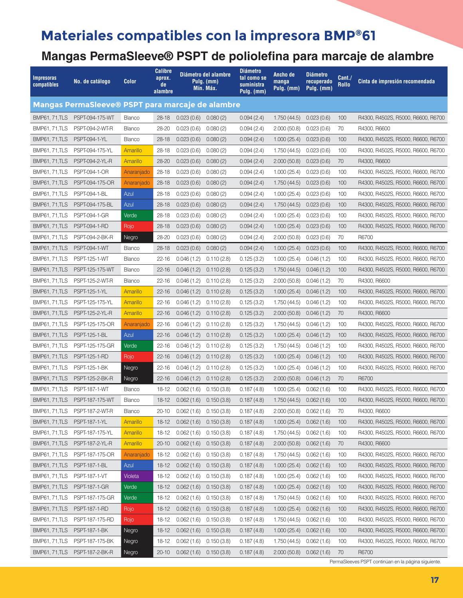#### **Mangas PermaSleeve® PSPT de poliolefina para marcaje de alambre**

| <b>Impresoras</b><br>compatibles | No. de catálogo                                  | <b>Color</b>  | <b>Calibre</b><br>aprox.<br>de<br>alambre |                           | Diámetro del alambre<br>Pulg. (mm)<br>Mín. Máx. | <b>Diámetro</b><br>tal como se<br>suministra<br>Pulg. (mm) | Ancho de<br>manga<br>Pulg. (mm) | <b>Diámetro</b><br>recuperado<br>Pulg. (mm) | Cant./<br><b>Rollo</b> | Cinta de impresión recomendada     |
|----------------------------------|--------------------------------------------------|---------------|-------------------------------------------|---------------------------|-------------------------------------------------|------------------------------------------------------------|---------------------------------|---------------------------------------------|------------------------|------------------------------------|
|                                  | Mangas PermaSleeve® PSPT para marcaje de alambre |               |                                           |                           |                                                 |                                                            |                                 |                                             |                        |                                    |
|                                  | BMP61, 71, TLS PSPT-094-175-WT                   | <b>Blanco</b> | 28-18                                     | $0.023(0.6)$ $0.080(2)$   |                                                 | 0.094(2.4)                                                 | 1.750(44.5)                     | 0.023(0.6)                                  | 100                    | R4300, R4502S, R5000, R6600, R6700 |
| <b>BMP61, 71, TLS</b>            | PSPT-094-2-WT-R                                  | <b>Blanco</b> | 28-20                                     | 0.023(0.6)                | 0.080(2)                                        | 0.094(2.4)                                                 | 2.000(50.8)                     | 0.023(0.6)                                  | 70                     | R4300, R6600                       |
| <b>BMP61, 71, TLS</b>            | PSPT-094-1-YL                                    | Blanco        | $28 - 18$                                 | 0.023(0.6)                | 0.080(2)                                        | 0.094(2.4)                                                 | 1.000(25.4)                     | 0.023(0.6)                                  | 100                    | R4300, R4502S, R5000, R6600, R6700 |
| <b>BMP61, 71, TLS</b>            | PSPT-094-175-YL                                  | Amarillo      | 28-18                                     | 0.023(0.6)                | 0.080(2)                                        | 0.094(2.4)                                                 | 1.750(44.5)                     | 0.023(0.6)                                  | 100                    | R4300, R4502S, R5000, R6600, R6700 |
| <b>BMP61, 71, TLS</b>            | PSPT-094-2-YL-R                                  | Amarillo      | 28-20                                     | 0.023(0.6)                | 0.080(2)                                        | 0.094(2.4)                                                 | 2.000(50.8)                     | 0.023(0.6)                                  | 70                     | R4300, R6600                       |
| <b>BMP61, 71, TLS</b>            | PSPT-094-1-OR                                    | Anaranjado    | 28-18                                     | 0.023(0.6)                | 0.080(2)                                        | 0.094(2.4)                                                 | 1.000(25.4)                     | 0.023(0.6)                                  | 100                    | R4300, R4502S, R5000, R6600, R6700 |
| <b>BMP61, 71, TLS</b>            | PSPT-094-175-OR                                  | Anaranjado    | $28 - 18$                                 | 0.023(0.6)                | 0.080(2)                                        | 0.094(2.4)                                                 | 1.750(44.5)                     | 0.023(0.6)                                  | 100                    | R4300, R4502S, R5000, R6600, R6700 |
| <b>BMP61, 71, TLS</b>            | PSPT-094-1-BL                                    | Azul          | 28-18                                     | 0.023(0.6)                | 0.080(2)                                        | 0.094(2.4)                                                 | 1.000(25.4)                     | 0.023(0.6)                                  | 100                    | R4300, R4502S, R5000, R6600, R6700 |
| <b>BMP61, 71, TLS</b>            | PSPT-094-175-BL                                  | Azul          | 28-18                                     | 0.023(0.6)                | 0.080(2)                                        | 0.094(2.4)                                                 | 1.750(44.5)                     | 0.023(0.6)                                  | 100                    | R4300, R4502S, R5000, R6600, R6700 |
| <b>BMP61, 71, TLS</b>            | <b>PSPT-094-1-GR</b>                             | Verde         | $28 - 18$                                 | 0.023(0.6)                | 0.080(2)                                        | 0.094(2.4)                                                 | 1.000(25.4)                     | 0.023(0.6)                                  | 100                    | R4300, R4502S, R5000, R6600, R6700 |
| <b>BMP61, 71, TLS</b>            | PSPT-094-1-RD                                    | Rojo          | $28 - 18$                                 | 0.023(0.6)                | 0.080(2)                                        | 0.094(2.4)                                                 | 1.000(25.4)                     | 0.023(0.6)                                  | 100                    | R4300, R4502S, R5000, R6600, R6700 |
| <b>BMP61, 71, TLS</b>            | PSPT-094-2-BK-R                                  | Negro         | 28-20                                     | 0.023(0.6)                | 0.080(2)                                        | 0.094(2.4)                                                 | 2.000(50.8)                     | 0.023(0.6)                                  | 70                     | R6700                              |
| <b>BMP61, 71, TLS</b>            | PSPT-094-1-WT                                    | <b>Blanco</b> | 28-18                                     | 0.023(0.6)                | 0.080(2)                                        | 0.094(2.4)                                                 | 1.000(25.4)                     | 0.023(0.6)                                  | 100                    | R4300, R4502S, R5000, R6600, R6700 |
| <b>BMP61, 71, TLS</b>            | <b>PSPT-125-1-WT</b>                             | <b>Blanco</b> | 22-16                                     | 0.046(1.2)                | 0.110(2.8)                                      | 0.125(3.2)                                                 | 1.000(25.4)                     | 0.046(1.2)                                  | 100                    | R4300, R4502S, R5000, R6600, R6700 |
| <b>BMP61, 71, TLS</b>            | PSPT-125-175-WT                                  | <b>Blanco</b> | $22 - 16$                                 | 0.046(1.2)                | 0.110(2.8)                                      | 0.125(3.2)                                                 | 1.750 (44.5)                    | 0.046(1.2)                                  | 100                    | R4300, R4502S, R5000, R6600, R6700 |
| <b>BMP61, 71, TLS</b>            | PSPT-125-2-WT-R                                  | <b>Blanco</b> | 22-16                                     | 0.046(1.2)                | 0.110(2.8)                                      | 0.125(3.2)                                                 | 2.000(50.8)                     | 0.046(1.2)                                  | 70                     | R4300, R6600                       |
| <b>BMP61, 71, TLS</b>            | PSPT-125-1-YL                                    | Amarillo      | 22-16                                     | 0.046(1.2)                | 0.110(2.8)                                      | 0.125(3.2)                                                 | 1.000(25.4)                     | 0.046(1.2)                                  | 100                    | R4300, R4502S, R5000, R6600, R6700 |
| <b>BMP61, 71, TLS</b>            | PSPT-125-175-YL                                  | Amarillo      | $22 - 16$                                 | 0.046(1.2)                | 0.110(2.8)                                      | 0.125(3.2)                                                 | 1.750(44.5)                     | 0.046(1.2)                                  | 100                    | R4300, R4502S, R5000, R6600, R6700 |
| <b>BMP61, 71, TLS</b>            | PSPT-125-2-YL-R                                  | Amarillo      | $22 - 16$                                 | 0.046(1.2)                | 0.110(2.8)                                      | 0.125(3.2)                                                 | 2.000(50.8)                     | 0.046(1.2)                                  | 70                     | R4300, R6600                       |
| <b>BMP61, 71, TLS</b>            | PSPT-125-175-OR                                  | Anaranjado    | $22 - 16$                                 | 0.046(1.2)                | 0.110(2.8)                                      | 0.125(3.2)                                                 | 1.750(44.5)                     | 0.046(1.2)                                  | 100                    | R4300, R4502S, R5000, R6600, R6700 |
| <b>BMP61, 71, TLS</b>            | <b>PSPT-125-1-BL</b>                             | Azul          | $22 - 16$                                 | 0.046(1.2)                | 0.110(2.8)                                      | 0.125(3.2)                                                 | 1.000(25.4)                     | 0.046(1.2)                                  | 100                    | R4300, R4502S, R5000, R6600, R6700 |
| <b>BMP61, 71, TLS</b>            | PSPT-125-175-GR                                  | Verde         | $22 - 16$                                 | 0.046(1.2)                | 0.110(2.8)                                      | 0.125(3.2)                                                 | 1.750(44.5)                     | 0.046(1.2)                                  | 100                    | R4300, R4502S, R5000, R6600, R6700 |
| <b>BMP61, 71, TLS</b>            | PSPT-125-1-RD                                    | Rojo          | $22 - 16$                                 | 0.046(1.2)                | 0.110(2.8)                                      | 0.125(3.2)                                                 | 1.000(25.4)                     | 0.046(1.2)                                  | 100                    | R4300, R4502S, R5000, R6600, R6700 |
| <b>BMP61, 71, TLS</b>            | PSPT-125-1-BK                                    | Negro         | 22-16                                     | 0.046(1.2)                | 0.110(2.8)                                      | 0.125(3.2)                                                 | 1.000(25.4)                     | 0.046(1.2)                                  | 100                    | R4300, R4502S, R5000, R6600, R6700 |
| <b>BMP61, 71, TLS</b>            | PSPT-125-2-BK-R                                  | Negro         | $22 - 16$                                 | 0.046(1.2)                | 0.110(2.8)                                      | 0.125(3.2)                                                 | 2.000(50.8)                     | 0.046(1.2)                                  | 70                     | R6700                              |
| <b>BMP61.71.TLS</b>              | <b>PSPT-187-1-WT</b>                             | <b>Blanco</b> | 18-12                                     | 0.062(1.6)                | 0.150(3.8)                                      | 0.187(4.8)                                                 | 1.000(25.4)                     | 0.062(1.6)                                  | 100                    | R4300, R4502S, R5000, R6600, R6700 |
| <b>BMP61, 71, TLS</b>            | PSPT-187-175-WT                                  | <b>Blanco</b> | $18 - 12$                                 | 0.062(1.6)                | 0.150(3.8)                                      | 0.187(4.8)                                                 | 1.750(44.5)                     | 0.062(1.6)                                  | 100                    | R4300, R4502S, R5000, R6600, R6700 |
|                                  | BMP61, 71, TLS PSPT-187-2-WT-R                   | Blanco        | 20-10                                     | $0.062(1.6)$ $0.150(3.8)$ |                                                 | 0.187(4.8)                                                 | $2.000(50.8)$ $0.062(1.6)$      |                                             | 70                     | R4300, R6600                       |
| <b>BMP61, 71, TLS</b>            | PSPT-187-1-YL                                    | Amarillo      | $18 - 12$                                 | $0.062(1.6)$ $0.150(3.8)$ |                                                 | 0.187(4.8)                                                 | 1.000(25.4)                     | 0.062(1.6)                                  | 100                    | R4300, R4502S, R5000, R6600, R6700 |
| <b>BMP61, 71, TLS</b>            | PSPT-187-175-YL                                  | Amarillo      | 18-12                                     | 0.062(1.6)                | 0.150(3.8)                                      | 0.187(4.8)                                                 | 1.750 (44.5)                    | 0.062(1.6)                                  | 100                    | R4300, R4502S, R5000, R6600, R6700 |
| <b>BMP61, 71, TLS</b>            | PSPT-187-2-YL-R                                  | Amarillo      | $20 - 10$                                 | 0.062(1.6)                | 0.150(3.8)                                      | 0.187(4.8)                                                 | 2.000(50.8)                     | 0.062(1.6)                                  | 70                     | R4300, R6600                       |
| <b>BMP61, 71, TLS</b>            | PSPT-187-175-OR                                  | Anaranjado    | 18-12                                     | 0.062(1.6)                | 0.150(3.8)                                      | 0.187(4.8)                                                 | 1.750(44.5)                     | 0.062(1.6)                                  | 100                    | R4300, R4502S, R5000, R6600, R6700 |
| <b>BMP61, 71, TLS</b>            | PSPT-187-1-BL                                    | Azul          | $18 - 12$                                 | $0.062(1.6)$ $0.150(3.8)$ |                                                 | 0.187(4.8)                                                 | 1.000(25.4)                     | 0.062(1.6)                                  | 100                    | R4300, R4502S, R5000, R6600, R6700 |
| <b>BMP61, 71, TLS</b>            | <b>PSPT-187-1-VT</b>                             | Violeta       | 18-12                                     | 0.062(1.6)                | 0.150(3.8)                                      | 0.187(4.8)                                                 | 1.000(25.4)                     | 0.062(1.6)                                  | 100                    | R4300, R4502S, R5000, R6600, R6700 |
| <b>BMP61, 71, TLS</b>            | <b>PSPT-187-1-GR</b>                             | Verde         | $18 - 12$                                 | 0.062(1.6)                | 0.150(3.8)                                      | 0.187(4.8)                                                 | 1.000(25.4)                     | 0.062(1.6)                                  | 100                    | R4300, R4502S, R5000, R6600, R6700 |
| <b>BMP61, 71, TLS</b>            | PSPT-187-175-GR                                  | Verde         | 18-12                                     | 0.062(1.6)                | 0.150(3.8)                                      | 0.187(4.8)                                                 | 1.750 (44.5)                    | 0.062(1.6)                                  | 100                    | R4300, R4502S, R5000, R6600, R6700 |
| <b>BMP61, 71, TLS</b>            | PSPT-187-1-RD                                    | Rojo          | $18 - 12$                                 | 0.062(1.6)                | 0.150(3.8)                                      | 0.187(4.8)                                                 | 1.000(25.4)                     | 0.062(1.6)                                  | 100                    | R4300, R4502S, R5000, R6600, R6700 |
| BMP61, 71, TLS                   | PSPT-187-175-RD                                  | Rojo          | $18 - 12$                                 | 0.062(1.6)                | 0.150(3.8)                                      | 0.187(4.8)                                                 | $1.750(44.5)$ 0.062 (1.6)       |                                             | 100                    | R4300, R4502S, R5000, R6600, R6700 |
| <b>BMP61, 71, TLS</b>            | <b>PSPT-187-1-BK</b>                             | Negro         | $18 - 12$                                 | 0.062(1.6)                | 0.150(3.8)                                      | 0.187(4.8)                                                 | 1.000(25.4)                     | 0.062(1.6)                                  | 100                    | R4300, R4502S, R5000, R6600, R6700 |
| <b>BMP61, 71, TLS</b>            | PSPT-187-175-BK                                  | Negro         | $18 - 12$                                 | 0.062(1.6)                | 0.150(3.8)                                      | 0.187(4.8)                                                 | 1.750(44.5)                     | 0.062(1.6)                                  | 100                    | R4300, R4502S, R5000, R6600, R6700 |
| <b>BMP61, 71, TLS</b>            | PSPT-187-2-BK-R                                  | Negro         | $20 - 10$                                 |                           | $0.062(1.6)$ $0.150(3.8)$                       | 0.187(4.8)                                                 | $2.000(50.8)$ 0.062 $(1.6)$     |                                             | 70                     | R6700                              |

PermaSleeves PSPT continúan en la página siguiente.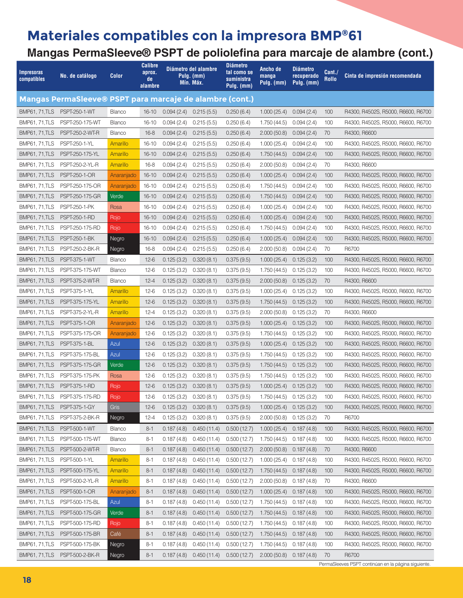#### **Mangas PermaSleeve® PSPT de poliolefina para marcaje de alambre (cont.)**

| <b>Impresoras</b><br>compatibles | No. de catálogo                                          | Color         | <b>Calibre</b><br>aprox.<br>de<br>alambre |                           | Diámetro del alambre<br>Pulg. (mm)<br>Mín. Máx. | <b>Diámetro</b><br>tal como se<br>suministra<br>Pulg. (mm) | Ancho de<br>manga<br>Pulg. (mm) | <b>Diámetro</b><br>recuperado<br>Pulg. (mm) | Cant./<br>Rollo | Cinta de impresión recomendada     |
|----------------------------------|----------------------------------------------------------|---------------|-------------------------------------------|---------------------------|-------------------------------------------------|------------------------------------------------------------|---------------------------------|---------------------------------------------|-----------------|------------------------------------|
|                                  | Mangas PermaSleeve® PSPT para marcaje de alambre (cont.) |               |                                           |                           |                                                 |                                                            |                                 |                                             |                 |                                    |
| <b>BMP61, 71, TLS</b>            | <b>PSPT-250-1-WT</b>                                     | <b>Blanco</b> | $16 - 10$                                 | 0.094(2.4)                | 0.215(5.5)                                      | 0.250(6.4)                                                 | 1.000(25.4)                     | 0.094(2.4)                                  | 100             | R4300, R4502S, R5000, R6600, R6700 |
| <b>BMP61, 71, TLS</b>            | PSPT-250-175-WT                                          | Blanco        | $16 - 10$                                 | 0.094(2.4)                | 0.215(5.5)                                      | 0.250(6.4)                                                 | 1.750(44.5)                     | 0.094(2.4)                                  | 100             | R4300, R4502S, R5000, R6600, R6700 |
| <b>BMP61, 71, TLS</b>            | PSPT-250-2-WT-R                                          | <b>Blanco</b> | $16 - 8$                                  | 0.094(2.4)                | 0.215(5.5)                                      | 0.250(6.4)                                                 | 2.000(50.8)                     | 0.094(2.4)                                  | 70              | R4300, R6600                       |
| <b>BMP61, 71, TLS</b>            | PSPT-250-1-YL                                            | Amarillo      | $16 - 10$                                 | 0.094(2.4)                | 0.215(5.5)                                      | 0.250(6.4)                                                 | 1.000(25.4)                     | 0.094(2.4)                                  | 100             | R4300, R4502S, R5000, R6600, R6700 |
| <b>BMP61, 71, TLS</b>            | PSPT-250-175-YL                                          | Amarillo      | $16 - 10$                                 | 0.094(2.4)                | 0.215(5.5)                                      | 0.250(6.4)                                                 | 1.750(44.5)                     | 0.094(2.4)                                  | 100             | R4300, R4502S, R5000, R6600, R6700 |
| <b>BMP61, 71, TLS</b>            | PSPT-250-2-YL-R                                          | Amarillo      | $16 - 8$                                  | 0.094(2.4)                | 0.215(5.5)                                      | 0.250(6.4)                                                 | 2.000(50.8)                     | 0.094(2.4)                                  | 70              | R4300, R6600                       |
| <b>BMP61, 71, TLS</b>            | PSPT-250-1-OR                                            | Anaranjado    | $16 - 10$                                 | 0.094(2.4)                | 0.215(5.5)                                      | 0.250(6.4)                                                 | 1.000(25.4)                     | 0.094(2.4)                                  | 100             | R4300, R4502S, R5000, R6600, R6700 |
| <b>BMP61, 71, TLS</b>            | PSPT-250-175-OR                                          | Anaranjado    | $16 - 10$                                 | 0.094(2.4)                | 0.215(5.5)                                      | 0.250(6.4)                                                 | 1.750 (44.5)                    | 0.094(2.4)                                  | 100             | R4300, R4502S, R5000, R6600, R6700 |
| <b>BMP61, 71, TLS</b>            | PSPT-250-175-GR                                          | Verde         | $16 - 10$                                 | 0.094(2.4)                | 0.215(5.5)                                      | 0.250(6.4)                                                 | 1.750(44.5)                     | 0.094(2.4)                                  | 100             | R4300, R4502S, R5000, R6600, R6700 |
| <b>BMP61, 71, TLS</b>            | PSPT-250-1-PK                                            | Rosa          | $16 - 10$                                 | 0.094(2.4)                | 0.215(5.5)                                      | 0.250(6.4)                                                 | 1.000(25.4)                     | 0.094(2.4)                                  | 100             | R4300, R4502S, R5000, R6600, R6700 |
| <b>BMP61, 71, TLS</b>            | <b>PSPT-250-1-RD</b>                                     | Rojo          | $16 - 10$                                 | 0.094(2.4)                | 0.215(5.5)                                      | 0.250(6.4)                                                 | 1.000(25.4)                     | 0.094(2.4)                                  | 100             | R4300, R4502S, R5000, R6600, R6700 |
| <b>BMP61, 71, TLS</b>            | PSPT-250-175-RD                                          | Rojo          | $16 - 10$                                 | 0.094(2.4)                | 0.215(5.5)                                      | 0.250(6.4)                                                 | 1.750(44.5)                     | 0.094(2.4)                                  | 100             | R4300, R4502S, R5000, R6600, R6700 |
| <b>BMP61, 71, TLS</b>            | PSPT-250-1-BK                                            | Negro         | $16 - 10$                                 | 0.094(2.4)                | 0.215(5.5)                                      | 0.250(6.4)                                                 | 1.000(25.4)                     | 0.094(2.4)                                  | 100             | R4300, R4502S, R5000, R6600, R6700 |
| <b>BMP61, 71, TLS</b>            | PSPT-250-2-BK-R                                          | Negro         | $16 - 8$                                  | 0.094(2.4)                | 0.215(5.5)                                      | 0.250(6.4)                                                 | 2.000(50.8)                     | 0.094(2.4)                                  | 70              | R6700                              |
| <b>BMP61, 71.TLS</b>             | <b>PSPT-375-1-WT</b>                                     | <b>Blanco</b> | $12-6$                                    | 0.125(3.2)                | 0.320(8.1)                                      | 0.375(9.5)                                                 | 1.000(25.4)                     | 0.125(3.2)                                  | 100             | R4300, R4502S, R5000, R6600, R6700 |
| <b>BMP61, 71, TLS</b>            | PSPT-375-175-WT                                          | Blanco        | $12-6$                                    | 0.125(3.2)                | 0.320(8.1)                                      | 0.375(9.5)                                                 | 1.750(44.5)                     | 0.125(3.2)                                  | 100             | R4300, R4502S, R5000, R6600, R6700 |
| <b>BMP61, 71, TLS</b>            | PSPT-375-2-WT-R                                          | Blanco        | $12 - 4$                                  | 0.125(3.2)                | 0.320(8.1)                                      | 0.375(9.5)                                                 | 2.000(50.8)                     | 0.125(3.2)                                  | 70              | R4300, R6600                       |
| <b>BMP61, 71, TLS</b>            | PSPT-375-1-YL                                            | Amarillo      | $12-6$                                    | 0.125(3.2)                | 0.320(8.1)                                      | 0.375(9.5)                                                 | 1.000(25.4)                     | 0.125(3.2)                                  | 100             | R4300, R4502S, R5000, R6600, R6700 |
| <b>BMP61, 71, TLS</b>            | PSPT-375-175-YL                                          | Amarillo      | $12-6$                                    | 0.125(3.2)                | 0.320(8.1)                                      | 0.375(9.5)                                                 | 1.750(44.5)                     | 0.125(3.2)                                  | 100             | R4300, R4502S, R5000, R6600, R6700 |
| <b>BMP61, 71, TLS</b>            | PSPT-375-2-YL-R                                          | Amarillo      | $12 - 4$                                  | 0.125(3.2)                | 0.320(8.1)                                      | 0.375(9.5)                                                 | 2.000(50.8)                     | 0.125(3.2)                                  | 70              | R4300, R6600                       |
| <b>BMP61, 71, TLS</b>            | PSPT-375-1-OR                                            | Anaranjado    | $12-6$                                    | 0.125(3.2)                | 0.320(8.1)                                      | 0.375(9.5)                                                 | 1.000(25.4)                     | 0.125(3.2)                                  | 100             | R4300, R4502S, R5000, R6600, R6700 |
| <b>BMP61, 71, TLS</b>            | PSPT-375-175-OR                                          | Anaranjado    | $12-6$                                    | 0.125(3.2)                | 0.320(8.1)                                      | 0.375(9.5)                                                 | 1.750(44.5)                     | 0.125(3.2)                                  | 100             | R4300, R4502S, R5000, R6600, R6700 |
| <b>BMP61, 71, TLS</b>            | PSPT-375-1-BL                                            | Azul          | $12-6$                                    | 0.125(3.2)                | 0.320(8.1)                                      | 0.375(9.5)                                                 | 1.000(25.4)                     | 0.125(3.2)                                  | 100             | R4300, R4502S, R5000, R6600, R6700 |
| <b>BMP61, 71, TLS</b>            | PSPT-375-175-BL                                          | Azul          | $12-6$                                    | 0.125(3.2)                | 0.320(8.1)                                      | 0.375(9.5)                                                 | 1.750(44.5)                     | 0.125(3.2)                                  | 100             | R4300, R4502S, R5000, R6600, R6700 |
| <b>BMP61, 71, TLS</b>            | PSPT-375-175-GR                                          | Verde         | $12-6$                                    | 0.125(3.2)                | 0.320(8.1)                                      | 0.375(9.5)                                                 | 1.750(44.5)                     | 0.125(3.2)                                  | 100             | R4300, R4502S, R5000, R6600, R6700 |
| <b>BMP61, 71, TLS</b>            | PSPT-375-175-PK                                          | Rosa          | $12-6$                                    | 0.125(3.2)                | 0.320(8.1)                                      | 0.375(9.5)                                                 | 1.750(44.5)                     | 0.125(3.2)                                  | 100             | R4300, R4502S, R5000, R6600, R6700 |
| <b>BMP61, 71, TLS</b>            | <b>PSPT-375-1-RD</b>                                     | Rojo          | $12-6$                                    | 0.125(3.2)                | 0.320(8.1)                                      | 0.375(9.5)                                                 | 1.000(25.4)                     | 0.125(3.2)                                  | 100             | R4300, R4502S, R5000, R6600, R6700 |
| <b>BMP61, 71, TLS</b>            | PSPT-375-175-RD                                          | Rojo          | $12-6$                                    | 0.125(3.2)                | 0.320(8.1)                                      | 0.375(9.5)                                                 | 1.750 (44.5)                    | 0.125(3.2)                                  | 100             | R4300, R4502S, R5000, R6600, R6700 |
| BMP61, 71, TLS PSPT-375-1-GY     |                                                          | Gris          | $12-6$                                    | $0.125(3.2)$ $0.320(8.1)$ |                                                 | 0.375(9.5)                                                 | $1.000(25.4)$ 0.125 (3.2)       |                                             | 100             | R4300, R4502S, R5000, R6600, R6700 |
| <b>BMP61, 71, TLS</b>            | PSPT-375-2-BK-R                                          | Negro         | $12 - 4$                                  | 0.125(3.2)                | 0.320(8.1)                                      | 0.375(9.5)                                                 | 2.000(50.8)                     | 0.125(3.2)                                  | 70              | R6700                              |
| <b>BMP61, 71, TLS</b>            | PSPT-500-1-WT                                            | Blanco        | $8 - 1$                                   | 0.187(4.8)                | 0.450(11.4)                                     | 0.500(12.7)                                                | 1.000(25.4)                     | 0.187(4.8)                                  | 100             | R4300, R4502S, R5000, R6600, R6700 |
| <b>BMP61, 71, TLS</b>            | PSPT-500-175-WT                                          | Blanco        | $8 - 1$                                   | 0.187(4.8)                | 0.450(11.4)                                     | 0.500(12.7)                                                | 1.750 (44.5)                    | 0.187(4.8)                                  | 100             | R4300, R4502S, R5000, R6600, R6700 |
| <b>BMP61, 71, TLS</b>            | PSPT-500-2-WT-R                                          | Blanco        | $8 - 1$                                   | 0.187(4.8)                | 0.450(11.4)                                     | 0.500(12.7)                                                | 2.000(50.8)                     | 0.187(4.8)                                  | 70              | R4300, R6600                       |
| <b>BMP61, 71, TLS</b>            | PSPT-500-1-YL                                            | Amarillo      | $8 - 1$                                   | 0.187(4.8)                | 0.450(11.4)                                     | 0.500(12.7)                                                | 1.000(25.4)                     | 0.187(4.8)                                  | 100             | R4300, R4502S, R5000, R6600, R6700 |
| <b>BMP61, 71, TLS</b>            | PSPT-500-175-YL                                          | Amarillo      | $8 - 1$                                   | 0.187(4.8)                | 0.450(11.4)                                     | 0.500(12.7)                                                | $1.750(44.5)$ 0.187 $(4.8)$     |                                             | 100             | R4300, R4502S, R5000, R6600, R6700 |
| <b>BMP61, 71, TLS</b>            | PSPT-500-2-YL-R                                          | Amarillo      | $8 - 1$                                   | 0.187(4.8)                | 0.450(11.4)                                     | 0.500(12.7)                                                | 2.000(50.8)                     | 0.187(4.8)                                  | 70              | R4300, R6600                       |
| <b>BMP61, 71, TLS</b>            | PSPT-500-1-OR                                            | Anaranjado    | $8 - 1$                                   | 0.187(4.8)                | 0.450(11.4)                                     | 0.500(12.7)                                                | 1.000(25.4)                     | 0.187(4.8)                                  | 100             | R4300, R4502S, R5000, R6600, R6700 |
| <b>BMP61, 71, TLS</b>            | PSPT-500-175-BL                                          | Azul          | $8 - 1$                                   | 0.187(4.8)                | 0.450(11.4)                                     | 0.500(12.7)                                                | 1.750 (44.5)                    | 0.187(4.8)                                  | 100             | R4300, R4502S, R5000, R6600, R6700 |
| <b>BMP61, 71, TLS</b>            | PSPT-500-175-GR                                          | Verde         | $8 - 1$                                   | 0.187(4.8)                | 0.450(11.4)                                     | 0.500(12.7)                                                | 1.750(44.5)                     | 0.187(4.8)                                  | 100             | R4300, R4502S, R5000, R6600, R6700 |
| <b>BMP61, 71, TLS</b>            | PSPT-500-175-RD                                          | Rojo          | $8 - 1$                                   | 0.187(4.8)                | 0.450(11.4)                                     | 0.500(12.7)                                                | $1.750(44.5)$ 0.187 (4.8)       |                                             | 100             | R4300, R4502S, R5000, R6600, R6700 |
| <b>BMP61, 71, TLS</b>            | PSPT-500-175-BR                                          | Café          | $8 - 1$                                   | 0.187(4.8)                | 0.450(11.4)                                     | 0.500(12.7)                                                | 1.750 (44.5)                    | 0.187(4.8)                                  | 100             | R4300, R4502S, R5000, R6600, R6700 |
| <b>BMP61, 71, TLS</b>            | PSPT-500-175-BK                                          | Negro         | $8 - 1$                                   | 0.187(4.8)                | 0.450(11.4)                                     | 0.500(12.7)                                                | 1.750(44.5)                     | 0.187(4.8)                                  | 100             | R4300, R4502S, R5000, R6600, R6700 |
|                                  | BMP61, 71, TLS PSPT-500-2-BK-R                           | Negro         | $8 - 1$                                   |                           | $0.187(4.8)$ $0.450(11.4)$                      | 0.500(12.7)                                                | $2.000(50.8)$ 0.187 (4.8)       |                                             | 70              | R6700                              |

PermaSleeves PSPT continúan en la página siguiente.